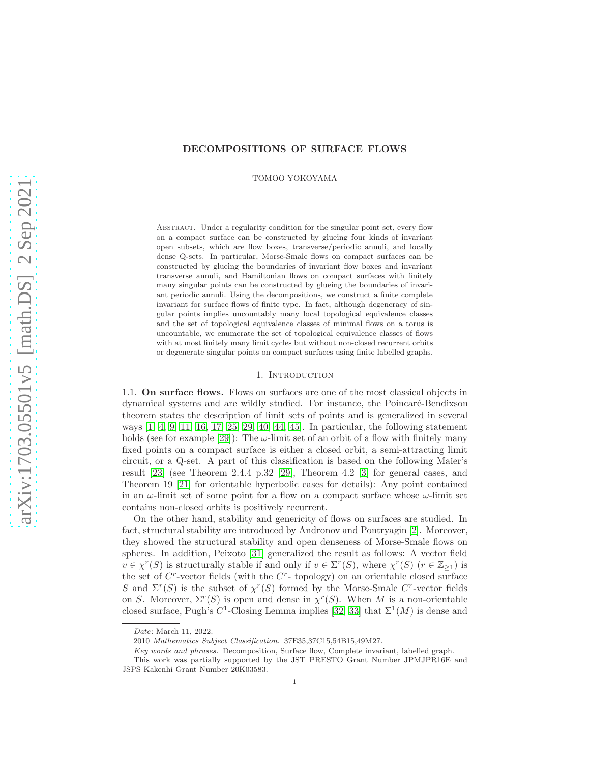# DECOMPOSITIONS OF SURFACE FLOWS

TOMOO YOKOYAMA

Abstract. Under a regularity condition for the singular point set, every flow on a compact surface can be constructed by glueing four kinds of invariant open subsets, which are flow boxes, transverse/periodic annuli, and locally dense Q-sets. In particular, Morse-Smale flows on compact surfaces can be constructed by glueing the boundaries of invariant flow boxes and invariant transverse annuli, and Hamiltonian flows on compact surfaces with finitely many singular points can be constructed by glueing the boundaries of invariant periodic annuli. Using the decompositions, we construct a finite complete invariant for surface flows of finite type. In fact, although degeneracy of singular points implies uncountably many local topological equivalence classes and the set of topological equivalence classes of minimal flows on a torus is uncountable, we enumerate the set of topological equivalence classes of flows with at most finitely many limit cycles but without non-closed recurrent orbits or degenerate singular points on compact surfaces using finite labelled graphs.

# 1. INTRODUCTION

1.1. On surface flows. Flows on surfaces are one of the most classical objects in dynamical systems and are wildly studied. For instance, the Poincar´e-Bendixson theorem states the description of limit sets of points and is generalized in several ways [\[1,](#page-55-0) [4,](#page-55-1) [9,](#page-56-0) [11,](#page-56-1) [16,](#page-56-2) [17,](#page-56-3) [25,](#page-56-4) [29,](#page-56-5) [40,](#page-57-0) [44,](#page-57-1) [45\]](#page-57-2). In particular, the following statement holds (see for example [\[29\]](#page-56-5)): The  $\omega$ -limit set of an orbit of a flow with finitely many fixed points on a compact surface is either a closed orbit, a semi-attracting limit circuit, or a Q-set. A part of this classification is based on the following Maier's result [\[23\]](#page-56-6) (see Theorem 2.4.4 p.32 [\[29\]](#page-56-5), Theorem 4.2 [\[3\]](#page-55-2) for general cases, and Theorem 19 [\[21\]](#page-56-7) for orientable hyperbolic cases for details): Any point contained in an  $\omega$ -limit set of some point for a flow on a compact surface whose  $\omega$ -limit set contains non-closed orbits is positively recurrent.

On the other hand, stability and genericity of flows on surfaces are studied. In fact, structural stability are introduced by Andronov and Pontryagin [\[2\]](#page-55-3). Moreover, they showed the structural stability and open denseness of Morse-Smale flows on spheres. In addition, Peixoto [\[31\]](#page-56-8) generalized the result as follows: A vector field  $v \in \chi^r(S)$  is structurally stable if and only if  $v \in \Sigma^r(S)$ , where  $\chi^r(S)$   $(r \in \mathbb{Z}_{\geq 1})$  is the set of  $C^r$ -vector fields (with the  $C^r$ - topology) on an orientable closed surface S and  $\Sigma^r(S)$  is the subset of  $\chi^r(S)$  formed by the Morse-Smale C<sup>r</sup>-vector fields on S. Moreover,  $\Sigma^r(S)$  is open and dense in  $\chi^r(S)$ . When M is a non-orientable closed surface, Pugh's  $C^1$ -Closing Lemma implies [\[32,](#page-56-9) [33\]](#page-56-10) that  $\Sigma^1(M)$  is dense and

Date: March 11, 2022.

<sup>2010</sup> Mathematics Subject Classification. 37E35,37C15,54B15,49M27.

Key words and phrases. Decomposition, Surface flow, Complete invariant, labelled graph.

This work was partially supported by the JST PRESTO Grant Number JPMJPR16E and JSPS Kakenhi Grant Number 20K03583.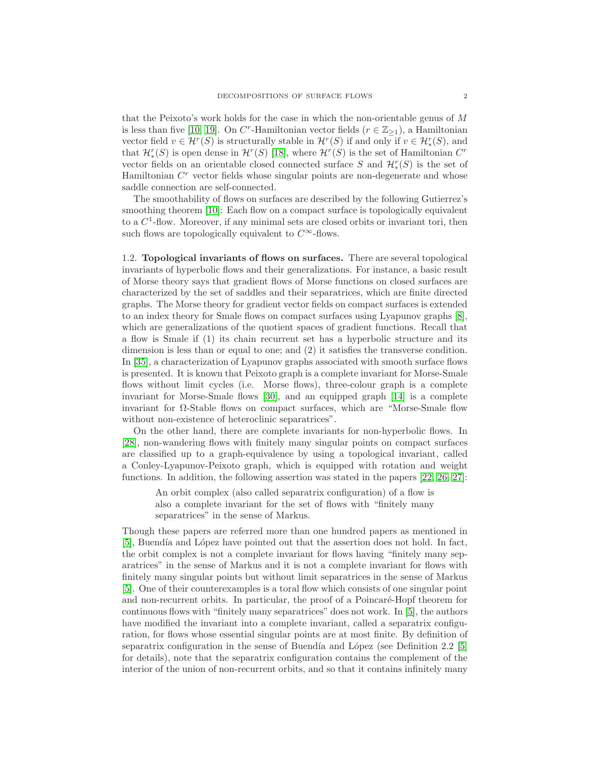that the Peixoto's work holds for the case in which the non-orientable genus of M is less than five [\[10,](#page-56-11) [19\]](#page-56-12). On  $C^r$ -Hamiltonian vector fields  $(r \in \mathbb{Z}_{\geq 1})$ , a Hamiltonian vector field  $v \in \mathcal{H}^r(S)$  is structurally stable in  $\mathcal{H}^r(S)$  if and only if  $v \in \mathcal{H}^r_*(S)$ , and that  $\mathcal{H}_{*}^{r}(S)$  is open dense in  $\mathcal{H}^{r}(S)$  [\[18\]](#page-56-13), where  $\mathcal{H}^{r}(S)$  is the set of Hamiltonian  $C^{r}$ vector fields on an orientable closed connected surface S and  $\mathcal{H}_{*}^{r}(S)$  is the set of Hamiltonian  $C<sup>r</sup>$  vector fields whose singular points are non-degenerate and whose saddle connection are self-connected.

The smoothability of flows on surfaces are described by the following Gutierrez's smoothing theorem [\[10\]](#page-56-11): Each flow on a compact surface is topologically equivalent to a  $C<sup>1</sup>$ -flow. Moreover, if any minimal sets are closed orbits or invariant tori, then such flows are topologically equivalent to  $C^{\infty}$ -flows.

1.2. Topological invariants of flows on surfaces. There are several topological invariants of hyperbolic flows and their generalizations. For instance, a basic result of Morse theory says that gradient flows of Morse functions on closed surfaces are characterized by the set of saddles and their separatrices, which are finite directed graphs. The Morse theory for gradient vector fields on compact surfaces is extended to an index theory for Smale flows on compact surfaces using Lyapunov graphs [\[8\]](#page-56-14), which are generalizations of the quotient spaces of gradient functions. Recall that a flow is Smale if (1) its chain recurrent set has a hyperbolic structure and its dimension is less than or equal to one; and (2) it satisfies the transverse condition. In [\[35\]](#page-56-15), a characterization of Lyapunov graphs associated with smooth surface flows is presented. It is known that Peixoto graph is a complete invariant for Morse-Smale flows without limit cycles (i.e. Morse flows), three-colour graph is a complete invariant for Morse-Smale flows [\[30\]](#page-56-16), and an equipped graph [\[14\]](#page-56-17) is a complete invariant for  $\Omega$ -Stable flows on compact surfaces, which are "Morse-Smale flow without non-existence of heteroclinic separatrices".

On the other hand, there are complete invariants for non-hyperbolic flows. In [\[28\]](#page-56-18), non-wandering flows with finitely many singular points on compact surfaces are classified up to a graph-equivalence by using a topological invariant, called a Conley-Lyapunov-Peixoto graph, which is equipped with rotation and weight functions. In addition, the following assertion was stated in the papers [\[22,](#page-56-19) [26,](#page-56-20) [27\]](#page-56-21):

An orbit complex (also called separatrix configuration) of a flow is also a complete invariant for the set of flows with "finitely many separatrices" in the sense of Markus.

Though these papers are referred more than one hundred papers as mentioned in [\[5\]](#page-56-22), Buendía and López have pointed out that the assertion does not hold. In fact, the orbit complex is not a complete invariant for flows having "finitely many separatrices" in the sense of Markus and it is not a complete invariant for flows with finitely many singular points but without limit separatrices in the sense of Markus [\[5\]](#page-56-22). One of their counterexamples is a toral flow which consists of one singular point and non-recurrent orbits. In particular, the proof of a Poincaré-Hopf theorem for continuous flows with "finitely many separatrices" does not work. In [\[5\]](#page-56-22), the authors have modified the invariant into a complete invariant, called a separatrix configuration, for flows whose essential singular points are at most finite. By definition of separatrix configuration in the sense of Buendía and López (see Definition 2.2  $[5]$ ) for details), note that the separatrix configuration contains the complement of the interior of the union of non-recurrent orbits, and so that it contains infinitely many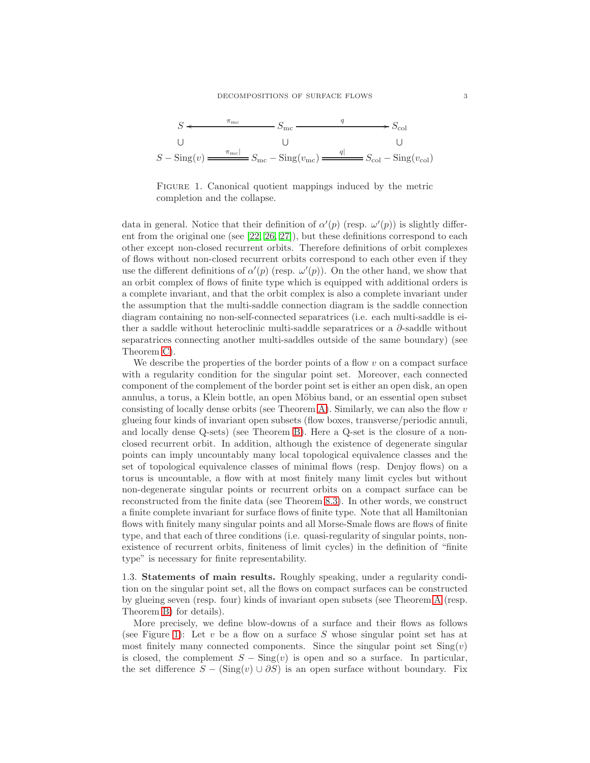

<span id="page-2-0"></span>FIGURE 1. Canonical quotient mappings induced by the metric completion and the collapse.

data in general. Notice that their definition of  $\alpha'(p)$  (resp.  $\omega'(p)$ ) is slightly different from the original one (see [\[22,](#page-56-19) [26,](#page-56-20) [27\]](#page-56-21)), but these definitions correspond to each other except non-closed recurrent orbits. Therefore definitions of orbit complexes of flows without non-closed recurrent orbits correspond to each other even if they use the different definitions of  $\alpha'(p)$  (resp.  $\omega'(p)$ ). On the other hand, we show that an orbit complex of flows of finite type which is equipped with additional orders is a complete invariant, and that the orbit complex is also a complete invariant under the assumption that the multi-saddle connection diagram is the saddle connection diagram containing no non-self-connected separatrices (i.e. each multi-saddle is either a saddle without heteroclinic multi-saddle separatrices or a  $\partial$ -saddle without separatrices connecting another multi-saddles outside of the same boundary) (see Theorem [C\)](#page-5-0).

We describe the properties of the border points of a flow  $v$  on a compact surface with a regularity condition for the singular point set. Moreover, each connected component of the complement of the border point set is either an open disk, an open annulus, a torus, a Klein bottle, an open Möbius band, or an essential open subset consisting of locally dense orbits (see Theorem [A\)](#page-3-0). Similarly, we can also the flow  $v$ glueing four kinds of invariant open subsets (flow boxes, transverse/periodic annuli, and locally dense Q-sets) (see Theorem [B\)](#page-4-0). Here a Q-set is the closure of a nonclosed recurrent orbit. In addition, although the existence of degenerate singular points can imply uncountably many local topological equivalence classes and the set of topological equivalence classes of minimal flows (resp. Denjoy flows) on a torus is uncountable, a flow with at most finitely many limit cycles but without non-degenerate singular points or recurrent orbits on a compact surface can be reconstructed from the finite data (see Theorem [8.3\)](#page-51-0). In other words, we construct a finite complete invariant for surface flows of finite type. Note that all Hamiltonian flows with finitely many singular points and all Morse-Smale flows are flows of finite type, and that each of three conditions (i.e. quasi-regularity of singular points, nonexistence of recurrent orbits, finiteness of limit cycles) in the definition of "finite type" is necessary for finite representability.

1.3. Statements of main results. Roughly speaking, under a regularity condition on the singular point set, all the flows on compact surfaces can be constructed by glueing seven (resp. four) kinds of invariant open subsets (see Theorem [A](#page-3-0) (resp. Theorem [B\)](#page-4-0) for details).

More precisely, we define blow-downs of a surface and their flows as follows (see Figure [1\)](#page-2-0): Let  $v$  be a flow on a surface  $S$  whose singular point set has at most finitely many connected components. Since the singular point set  $\text{Sing}(v)$ is closed, the complement  $S - \text{Sing}(v)$  is open and so a surface. In particular, the set difference  $S - (\text{Sing}(v) \cup \partial S)$  is an open surface without boundary. Fix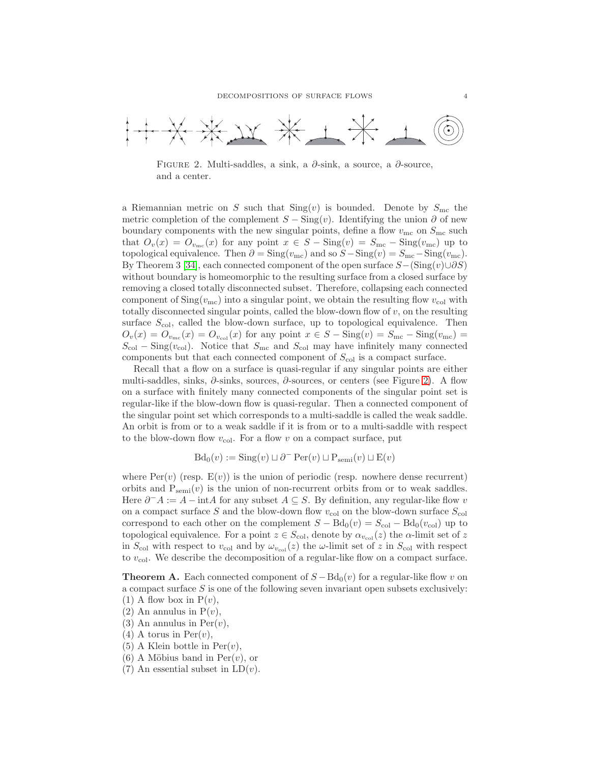

<span id="page-3-1"></span>FIGURE 2. Multi-saddles, a sink, a  $\partial$ -sink, a source, a  $\partial$ -source, and a center.

a Riemannian metric on S such that  $\text{Sing}(v)$  is bounded. Denote by  $S_{\text{mc}}$  the metric completion of the complement  $S - \text{Sing}(v)$ . Identifying the union  $\partial$  of new boundary components with the new singular points, define a flow  $v_{\rm mc}$  on  $S_{\rm mc}$  such that  $O_v(x) = O_{v_{\text{mc}}}(x)$  for any point  $x \in S - \text{Sing}(v) = S_{\text{mc}} - \text{Sing}(v_{\text{mc}})$  up to topological equivalence. Then  $\partial = \text{Sing}(v_{\text{mc}})$  and so  $S - \text{Sing}(v) = S_{\text{mc}} - \text{Sing}(v_{\text{mc}})$ . By Theorem 3 [\[34\]](#page-56-23), each connected component of the open surface  $S-(\text{Sing}(v)\cup\partial S)$ without boundary is homeomorphic to the resulting surface from a closed surface by removing a closed totally disconnected subset. Therefore, collapsing each connected component of  $\text{Sing}(v_{\text{mc}})$  into a singular point, we obtain the resulting flow  $v_{\text{col}}$  with totally disconnected singular points, called the blow-down flow of  $v$ , on the resulting surface  $S_{\text{col}}$ , called the blow-down surface, up to topological equivalence. Then  $O_v(x) = O_{v_{\text{mc}}}(x) = O_{v_{\text{col}}}(x)$  for any point  $x \in S - \text{Sing}(v) = S_{\text{mc}} - \text{Sing}(v_{\text{mc}}) =$  $S_{\text{col}} - \text{Sing}(v_{\text{col}})$ . Notice that  $S_{\text{mc}}$  and  $S_{\text{col}}$  may have infinitely many connected components but that each connected component of  $S_{\text{col}}$  is a compact surface.

Recall that a flow on a surface is quasi-regular if any singular points are either multi-saddles, sinks, ∂-sinks, sources, ∂-sources, or centers (see Figure [2\)](#page-3-1). A flow on a surface with finitely many connected components of the singular point set is regular-like if the blow-down flow is quasi-regular. Then a connected component of the singular point set which corresponds to a multi-saddle is called the weak saddle. An orbit is from or to a weak saddle if it is from or to a multi-saddle with respect to the blow-down flow  $v_{\text{col}}$ . For a flow v on a compact surface, put

 $Bd_0(v) := Sing(v) \sqcup \partial^- \text{Per}(v) \sqcup P_{semi}(v) \sqcup E(v)$ 

where  $Per(v)$  (resp.  $E(v)$ ) is the union of periodic (resp. nowhere dense recurrent) orbits and  $P_{semi}(v)$  is the union of non-recurrent orbits from or to weak saddles. Here  $\partial^- A := A - \text{int}A$  for any subset  $A \subseteq S$ . By definition, any regular-like flow v on a compact surface S and the blow-down flow  $v_{\text{col}}$  on the blow-down surface  $S_{\text{col}}$ correspond to each other on the complement  $S - Bd_0(v) = S_{col} - Bd_0(v_{col})$  up to topological equivalence. For a point  $z \in S_{\text{col}}$ , denote by  $\alpha_{v_{\text{col}}}(z)$  the  $\alpha$ -limit set of z in  $S_{\text{col}}$  with respect to  $v_{\text{col}}$  and by  $\omega_{v_{\text{col}}}(z)$  the  $\omega$ -limit set of z in  $S_{\text{col}}$  with respect to  $v_{\text{col}}$ . We describe the decomposition of a regular-like flow on a compact surface.

<span id="page-3-0"></span>**Theorem A.** Each connected component of  $S - Bd_0(v)$  for a regular-like flow v on a compact surface  $S$  is one of the following seven invariant open subsets exclusively: (1) A flow box in  $P(v)$ ,

- $(2)$  An annulus in  $P(v)$ ,
- $(3)$  An annulus in Per $(v)$ ,
- $(4)$  A torus in Per $(v)$ ,
- (5) A Klein bottle in  $Per(v)$ ,
- $(6)$  A Möbius band in Per $(v)$ , or
- 
- (7) An essential subset in  $LD(v)$ .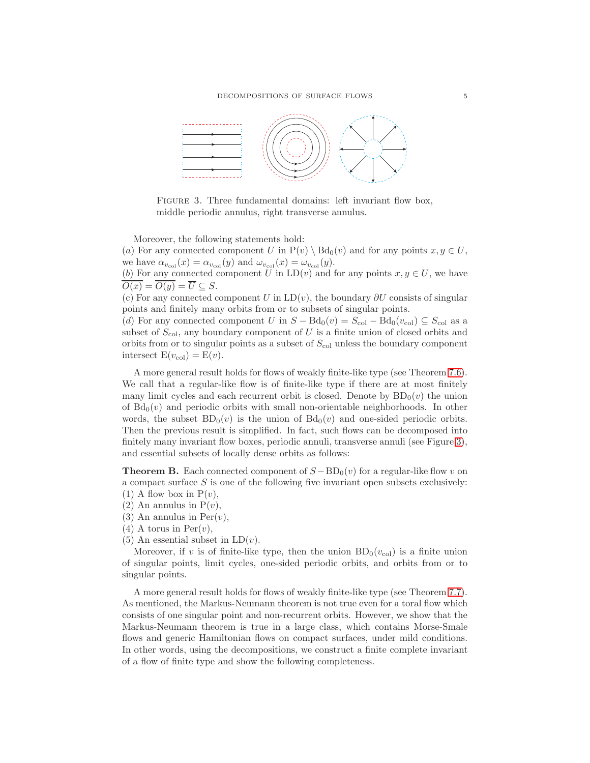

<span id="page-4-1"></span>FIGURE 3. Three fundamental domains: left invariant flow box, middle periodic annulus, right transverse annulus.

Moreover, the following statements hold:

(a) For any connected component U in  $P(v) \ Bd_0(v)$  and for any points  $x, y \in U$ , we have  $\alpha_{v_{\text{col}}}(x) = \alpha_{v_{\text{col}}}(y)$  and  $\omega_{v_{\text{col}}}(x) = \omega_{v_{\text{col}}}(y)$ .

(b) For any connected component U in  $LD(v)$  and for any points  $x, y \in U$ , we have  $\overline{O(x)} = \overline{O(y)} = \overline{U} \subseteq S.$ 

(c) For any connected component U in  $LD(v)$ , the boundary  $\partial U$  consists of singular points and finitely many orbits from or to subsets of singular points.

(d) For any connected component U in  $S - \text{Bd}_0(v) = S_{\text{col}} - \text{Bd}_0(v_{\text{col}}) \subseteq S_{\text{col}}$  as a subset of  $S_{\text{col}}$ , any boundary component of U is a finite union of closed orbits and orbits from or to singular points as a subset of  $S_{\text{col}}$  unless the boundary component intersect  $E(v_{col}) = E(v)$ .

A more general result holds for flows of weakly finite-like type (see Theorem [7.6\)](#page-44-0). We call that a regular-like flow is of finite-like type if there are at most finitely many limit cycles and each recurrent orbit is closed. Denote by  $BD_0(v)$  the union of  $Bd_0(v)$  and periodic orbits with small non-orientable neighborhoods. In other words, the subset  $BD_0(v)$  is the union of  $Bd_0(v)$  and one-sided periodic orbits. Then the previous result is simplified. In fact, such flows can be decomposed into finitely many invariant flow boxes, periodic annuli, transverse annuli (see Figure [3\)](#page-4-1), and essential subsets of locally dense orbits as follows:

<span id="page-4-0"></span>**Theorem B.** Each connected component of  $S - BD<sub>0</sub>(v)$  for a regular-like flow v on a compact surface  $S$  is one of the following five invariant open subsets exclusively:

(1) A flow box in  $P(v)$ ,

 $(2)$  An annulus in  $P(v)$ ,

(3) An annulus in  $Per(v)$ ,

 $(4)$  A torus in Per $(v)$ ,

(5) An essential subset in  $LD(v)$ .

Moreover, if v is of finite-like type, then the union  $BD_0(v_{col})$  is a finite union of singular points, limit cycles, one-sided periodic orbits, and orbits from or to singular points.

A more general result holds for flows of weakly finite-like type (see Theorem [7.7\)](#page-44-1). As mentioned, the Markus-Neumann theorem is not true even for a toral flow which consists of one singular point and non-recurrent orbits. However, we show that the Markus-Neumann theorem is true in a large class, which contains Morse-Smale flows and generic Hamiltonian flows on compact surfaces, under mild conditions. In other words, using the decompositions, we construct a finite complete invariant of a flow of finite type and show the following completeness.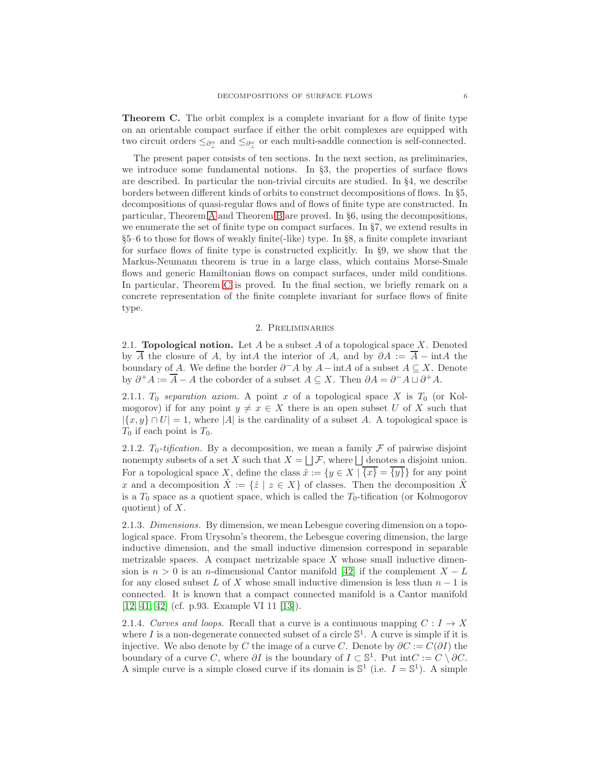<span id="page-5-0"></span>Theorem C. The orbit complex is a complete invariant for a flow of finite type on an orientable compact surface if either the orbit complexes are equipped with two circuit orders  $\leq_{\partial_{\perp}^{\alpha}}$  and  $\leq_{\partial_{\perp}^{\omega}}$  or each multi-saddle connection is self-connected.

The present paper consists of ten sections. In the next section, as preliminaries, we introduce some fundamental notions. In §3, the properties of surface flows are described. In particular the non-trivial circuits are studied. In §4, we describe borders between different kinds of orbits to construct decompositions of flows. In §5, decompositions of quasi-regular flows and of flows of finite type are constructed. In particular, Theorem [A](#page-3-0) and Theorem [B](#page-4-0) are proved. In §6, using the decompositions, we enumerate the set of finite type on compact surfaces. In §7, we extend results in §5–6 to those for flows of weakly finite(-like) type. In §8, a finite complete invariant for surface flows of finite type is constructed explicitly. In §9, we show that the Markus-Neumann theorem is true in a large class, which contains Morse-Smale flows and generic Hamiltonian flows on compact surfaces, under mild conditions. In particular, Theorem [C](#page-5-0) is proved. In the final section, we briefly remark on a concrete representation of the finite complete invariant for surface flows of finite type.

# 2. Preliminaries

2.1. **Topological notion.** Let  $A$  be a subset  $A$  of a topological space  $X$ . Denoted by  $\overline{A}$  the closure of A, by intA the interior of A, and by  $\partial A := \overline{A} - \text{int}A$  the boundary of A. We define the border  $\partial^- A$  by  $A - \text{int}A$  of a subset  $A \subseteq X$ . Denote by  $\partial^+ A := \overline{A} - A$  the coborder of a subset  $A \subseteq X$ . Then  $\partial A = \partial^- A \sqcup \partial^+ A$ .

2.1.1. To separation axiom. A point x of a topological space X is  $T_0$  (or Kolmogorov) if for any point  $y \neq x \in X$  there is an open subset U of X such that  $|\{x,y\} \cap U| = 1$ , where |A| is the cardinality of a subset A. A topological space is  $T_0$  if each point is  $T_0$ .

2.1.2.  $T_0$ -tification. By a decomposition, we mean a family  $\mathcal F$  of pairwise disjoint nonempty subsets of a set X such that  $X = \bigsqcup \mathcal{F}$ , where  $\bigsqcup$  denotes a disjoint union. For a topological space X, define the class  $\hat{x} := \{y \in X \mid \overline{\{x\}} = \overline{\{y\}}\}$  for any point x and a decomposition  $\hat{X} := \{\hat{z} \mid z \in X\}$  of classes. Then the decomposition  $\hat{X}$ is a  $T_0$  space as a quotient space, which is called the  $T_0$ -tification (or Kolmogorov quotient) of  $X$ .

2.1.3. Dimensions. By dimension, we mean Lebesgue covering dimension on a topological space. From Urysohn's theorem, the Lebesgue covering dimension, the large inductive dimension, and the small inductive dimension correspond in separable metrizable spaces. A compact metrizable space  $X$  whose small inductive dimension is  $n > 0$  is an n-dimensional Cantor manifold [\[42\]](#page-57-3) if the complement  $X - L$ for any closed subset L of X whose small inductive dimension is less than  $n-1$  is connected. It is known that a compact connected manifold is a Cantor manifold [\[12,](#page-56-24) [41,](#page-57-4) [42\]](#page-57-3) (cf. p.93. Example VI 11 [\[13\]](#page-56-25)).

2.1.4. Curves and loops. Recall that a curve is a continuous mapping  $C: I \rightarrow X$ where  $I$  is a non-degenerate connected subset of a circle  $\mathbb{S}^1$ . A curve is simple if it is injective. We also denote by C the image of a curve C. Denote by  $\partial C := C(\partial I)$  the boundary of a curve C, where  $\partial I$  is the boundary of  $I \subset \mathbb{S}^1$ . Put int $C := C \setminus \partial C$ . A simple curve is a simple closed curve if its domain is  $\mathbb{S}^1$  (i.e.  $I = \mathbb{S}^1$ ). A simple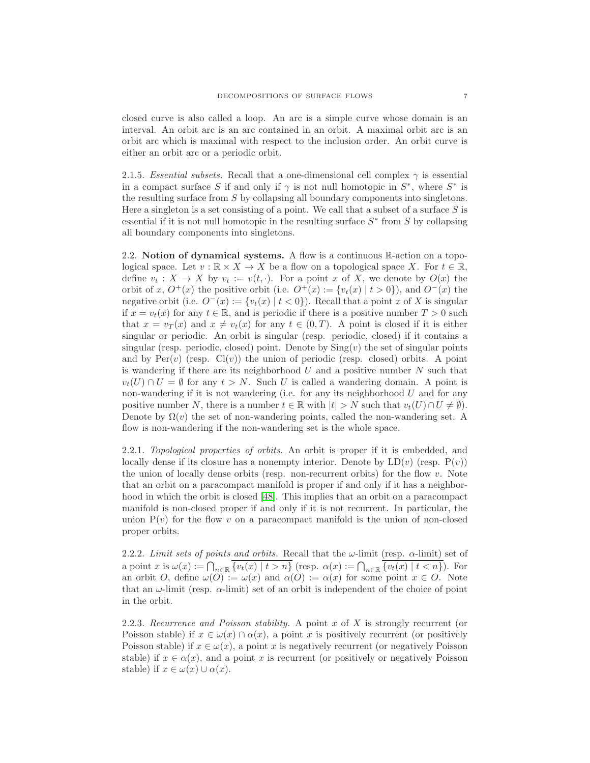closed curve is also called a loop. An arc is a simple curve whose domain is an interval. An orbit arc is an arc contained in an orbit. A maximal orbit arc is an orbit arc which is maximal with respect to the inclusion order. An orbit curve is either an orbit arc or a periodic orbit.

2.1.5. Essential subsets. Recall that a one-dimensional cell complex  $\gamma$  is essential in a compact surface S if and only if  $\gamma$  is not null homotopic in  $S^*$ , where  $S^*$  is the resulting surface from S by collapsing all boundary components into singletons. Here a singleton is a set consisting of a point. We call that a subset of a surface  $S$  is essential if it is not null homotopic in the resulting surface  $S^*$  from S by collapsing all boundary components into singletons.

2.2. Notion of dynamical systems. A flow is a continuous R-action on a topological space. Let  $v : \mathbb{R} \times X \to X$  be a flow on a topological space X. For  $t \in \mathbb{R}$ , define  $v_t : X \to X$  by  $v_t := v(t, \cdot)$ . For a point x of X, we denote by  $O(x)$  the orbit of x,  $O^+(x)$  the positive orbit (i.e.  $O^+(x) := \{v_t(x) | t > 0\}$ ), and  $O^-(x)$  the negative orbit (i.e.  $O^-(x) := \{v_t(x) | t < 0\}$ ). Recall that a point x of X is singular if  $x = v_t(x)$  for any  $t \in \mathbb{R}$ , and is periodic if there is a positive number  $T > 0$  such that  $x = v_T(x)$  and  $x \neq v_t(x)$  for any  $t \in (0,T)$ . A point is closed if it is either singular or periodic. An orbit is singular (resp. periodic, closed) if it contains a singular (resp. periodic, closed) point. Denote by  $\text{Sing}(v)$  the set of singular points and by  $Per(v)$  (resp.  $Cl(v)$ ) the union of periodic (resp. closed) orbits. A point is wandering if there are its neighborhood  $U$  and a positive number  $N$  such that  $v_t(U) \cap U = \emptyset$  for any  $t > N$ . Such U is called a wandering domain. A point is non-wandering if it is not wandering (i.e. for any its neighborhood  $U$  and for any positive number N, there is a number  $t \in \mathbb{R}$  with  $|t| > N$  such that  $v_t(U) \cap U \neq \emptyset$ . Denote by  $\Omega(v)$  the set of non-wandering points, called the non-wandering set. A flow is non-wandering if the non-wandering set is the whole space.

2.2.1. Topological properties of orbits. An orbit is proper if it is embedded, and locally dense if its closure has a nonempty interior. Denote by  $LD(v)$  (resp.  $P(v)$ ) the union of locally dense orbits (resp. non-recurrent orbits) for the flow  $v$ . Note that an orbit on a paracompact manifold is proper if and only if it has a neighborhood in which the orbit is closed [\[48\]](#page-57-5). This implies that an orbit on a paracompact manifold is non-closed proper if and only if it is not recurrent. In particular, the union  $P(v)$  for the flow v on a paracompact manifold is the union of non-closed proper orbits.

2.2.2. Limit sets of points and orbits. Recall that the  $\omega$ -limit (resp.  $\alpha$ -limit) set of a point x is  $\omega(x) := \bigcap_{n \in \mathbb{R}} \overline{\{v_t(x) \mid t > n\}}$  (resp.  $\alpha(x) := \bigcap_{n \in \mathbb{R}} \overline{\{v_t(x) \mid t < n\}}$ ). For an orbit O, define  $\omega(O) := \omega(x)$  and  $\alpha(O) := \alpha(x)$  for some point  $x \in O$ . Note that an  $\omega$ -limit (resp.  $\alpha$ -limit) set of an orbit is independent of the choice of point in the orbit.

2.2.3. Recurrence and Poisson stability. A point x of X is strongly recurrent (or Poisson stable) if  $x \in \omega(x) \cap \alpha(x)$ , a point x is positively recurrent (or positively Poisson stable) if  $x \in \omega(x)$ , a point x is negatively recurrent (or negatively Poisson stable) if  $x \in \alpha(x)$ , and a point x is recurrent (or positively or negatively Poisson stable) if  $x \in \omega(x) \cup \alpha(x)$ .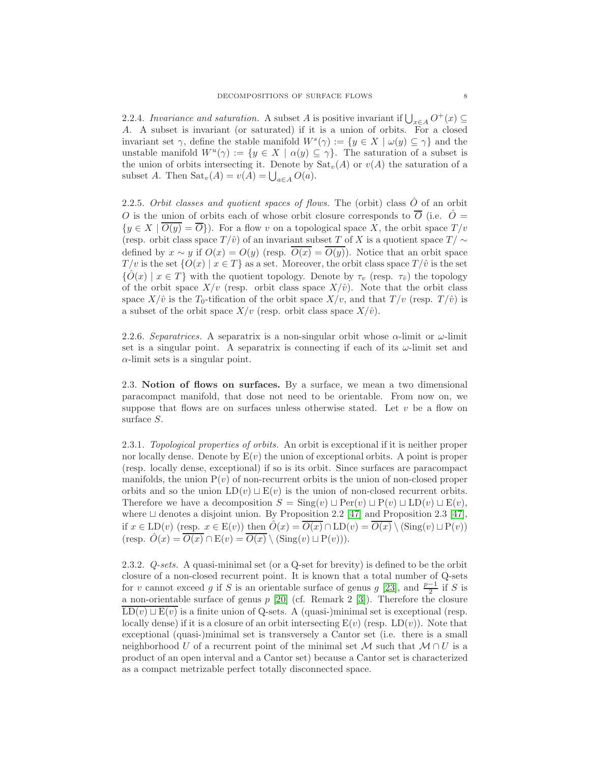2.2.4. Invariance and saturation. A subset A is positive invariant if  $\bigcup_{x \in A} O^+(x) \subseteq$ A. A subset is invariant (or saturated) if it is a union of orbits. For a closed invariant set  $\gamma$ , define the stable manifold  $W^s(\gamma) := \{y \in X \mid \omega(y) \subseteq \gamma\}$  and the unstable manifold  $W^u(\gamma) := \{y \in X \mid \alpha(y) \subseteq \gamma\}.$  The saturation of a subset is the union of orbits intersecting it. Denote by  $\text{Sat}_{v}(A)$  or  $v(A)$  the saturation of a subset A. Then  $\text{Sat}_v(A) = v(A) = \bigcup_{a \in A} O(a).$ 

2.2.5. Orbit classes and quotient spaces of flows. The (orbit) class  $\hat{O}$  of an orbit O is the union of orbits each of whose orbit closure corresponds to  $\overline{O}$  (i.e.  $\hat{O} =$  $\{y \in X \mid \overline{O(y)} = \overline{O}\}\)$ . For a flow v on a topological space X, the orbit space  $T/v$ (resp. orbit class space  $T/\hat{v}$ ) of an invariant subset T of X is a quotient space  $T/\sim$ defined by  $x \sim y$  if  $O(x) = O(y)$  (resp.  $O(x) = O(y)$ ). Notice that an orbit space  $T/v$  is the set  $\{O(x) | x \in T\}$  as a set. Moreover, the orbit class space  $T/\hat{v}$  is the set  ${\{\hat{O}(x) | x \in T\}}$  with the quotient topology. Denote by  $\tau_v$  (resp.  $\tau_{\hat{v}}$ ) the topology of the orbit space  $X/v$  (resp. orbit class space  $X/\hat{v}$ ). Note that the orbit class space  $X/\hat{v}$  is the  $T_0$ -tification of the orbit space  $X/v$ , and that  $T/v$  (resp.  $T/\hat{v}$ ) is a subset of the orbit space  $X/v$  (resp. orbit class space  $X/\hat{v}$ ).

2.2.6. Separatrices. A separatrix is a non-singular orbit whose  $\alpha$ -limit or  $\omega$ -limit set is a singular point. A separatrix is connecting if each of its  $\omega$ -limit set and  $\alpha$ -limit sets is a singular point.

2.3. Notion of flows on surfaces. By a surface, we mean a two dimensional paracompact manifold, that dose not need to be orientable. From now on, we suppose that flows are on surfaces unless otherwise stated. Let  $v$  be a flow on surface S.

2.3.1. Topological properties of orbits. An orbit is exceptional if it is neither proper nor locally dense. Denote by  $E(v)$  the union of exceptional orbits. A point is proper (resp. locally dense, exceptional) if so is its orbit. Since surfaces are paracompact manifolds, the union  $P(v)$  of non-recurrent orbits is the union of non-closed proper orbits and so the union  $LD(v) \sqcup E(v)$  is the union of non-closed recurrent orbits. Therefore we have a decomposition  $S = \text{Sing}(v) \sqcup \text{Per}(v) \sqcup \text{PD}(v) \sqcup \text{LD}(v) \sqcup \text{E}(v)$ , where ⊔ denotes a disjoint union. By Proposition 2.2 [\[47\]](#page-57-6) and Proposition 2.3 [\[47\]](#page-57-6), if  $x \in \text{LD}(v)$  (resp.  $x \in \text{E}(v)$ ) then  $\hat{O}(x) = \overline{O(x)} \cap \text{LD}(v) = \overline{O(x)} \setminus (\text{Sing}(v) \sqcup \text{P}(v))$ (resp.  $\hat{O}(x) = \overline{O(x)} \cap E(v) = \overline{O(x)} \setminus (\text{Sing}(v) \sqcup P(v))).$ 

2.3.2. Q-sets. A quasi-minimal set (or a Q-set for brevity) is defined to be the orbit closure of a non-closed recurrent point. It is known that a total number of Q-sets for v cannot exceed g if S is an orientable surface of genus g [\[23\]](#page-56-6), and  $\frac{p-1}{2}$  if S is a non-orientable surface of genus  $p$  [\[20\]](#page-56-26) (cf. Remark 2 [\[3\]](#page-55-2)). Therefore the closure  $LD(v) \sqcup E(v)$  is a finite union of Q-sets. A (quasi-)minimal set is exceptional (resp. locally dense) if it is a closure of an orbit intersecting  $E(v)$  (resp.  $LD(v)$ ). Note that exceptional (quasi-)minimal set is transversely a Cantor set (i.e. there is a small neighborhood U of a recurrent point of the minimal set M such that  $M \cap U$  is a product of an open interval and a Cantor set) because a Cantor set is characterized as a compact metrizable perfect totally disconnected space.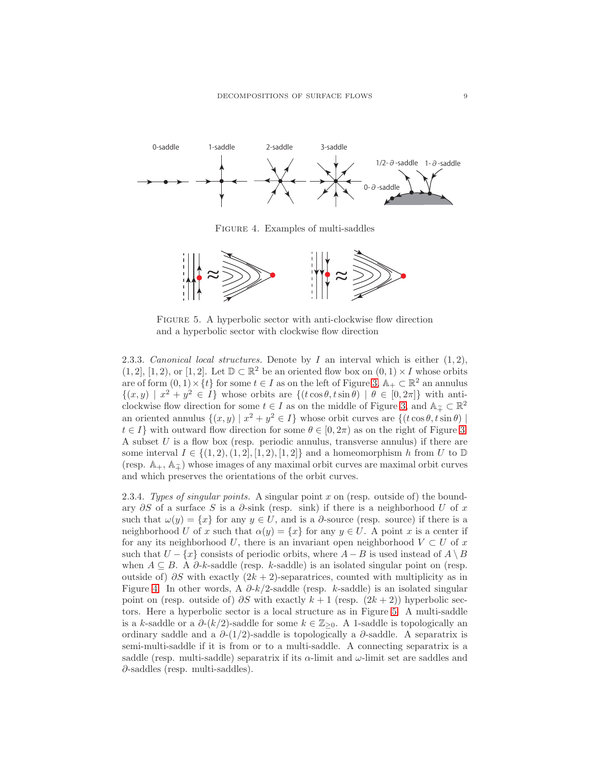

<span id="page-8-0"></span>Figure 4. Examples of multi-saddles



<span id="page-8-1"></span>FIGURE 5. A hyperbolic sector with anti-clockwise flow direction and a hyperbolic sector with clockwise flow direction

2.3.3. Canonical local structures. Denote by I an interval which is either  $(1, 2)$ ,  $(1, 2]$ ,  $[1, 2)$ , or  $[1, 2]$ . Let  $\mathbb{D} \subset \mathbb{R}^2$  be an oriented flow box on  $(0, 1) \times I$  whose orbits are of form  $(0,1) \times \{t\}$  for some  $t \in I$  as on the left of Figure [3,](#page-4-1)  $\mathbb{A}_{+} \subset \mathbb{R}^{2}$  an annulus  $\{(x,y) \mid x^2 + y^2 \in I\}$  whose orbits are  $\{(t \cos \theta, t \sin \theta) \mid \theta \in [0, 2\pi]\}$  with anticlockwise flow direction for some  $t \in I$  as on the middle of Figure [3,](#page-4-1) and  $\mathbb{A}_{\tilde{+}} \subset \mathbb{R}^2$ an oriented annulus  $\{(x, y) | x^2 + y^2 \in I\}$  whose orbit curves are  $\{(t \cos \theta, t \sin \theta) |$  $t \in I$  with outward flow direction for some  $\theta \in [0, 2\pi)$  as on the right of Figure [3.](#page-4-1) A subset  $U$  is a flow box (resp. periodic annulus, transverse annulus) if there are some interval  $I \in \{(1, 2), (1, 2), [1, 2), [1, 2]\}$  and a homeomorphism h from U to  $\mathbb{D}$ (resp.  $\mathbb{A}_+, \mathbb{A}_{\tilde{\mathcal{I}}}\)$  whose images of any maximal orbit curves are maximal orbit curves and which preserves the orientations of the orbit curves.

2.3.4. Types of singular points. A singular point  $x$  on (resp. outside of) the boundary  $\partial S$  of a surface S is a  $\partial$ -sink (resp. sink) if there is a neighborhood U of x such that  $\omega(y) = \{x\}$  for any  $y \in U$ , and is a  $\partial$ -source (resp. source) if there is a neighborhood U of x such that  $\alpha(y) = \{x\}$  for any  $y \in U$ . A point x is a center if for any its neighborhood U, there is an invariant open neighborhood  $V \subset U$  of x such that  $U - \{x\}$  consists of periodic orbits, where  $A - B$  is used instead of  $A \setminus B$ when  $A \subseteq B$ . A  $\partial$ -k-saddle (resp. k-saddle) is an isolated singular point on (resp. outside of)  $\partial S$  with exactly  $(2k + 2)$ -separatrices, counted with multiplicity as in Figure [4.](#page-8-0) In other words, A  $\partial k/2$ -saddle (resp. k-saddle) is an isolated singular point on (resp. outside of)  $\partial S$  with exactly  $k + 1$  (resp.  $(2k + 2)$ ) hyperbolic sectors. Here a hyperbolic sector is a local structure as in Figure [5.](#page-8-1) A multi-saddle is a k-saddle or a  $\partial-(k/2)$ -saddle for some  $k \in \mathbb{Z}_{\geq 0}$ . A 1-saddle is topologically an ordinary saddle and a  $\partial$ -(1/2)-saddle is topologically a  $\partial$ -saddle. A separatrix is semi-multi-saddle if it is from or to a multi-saddle. A connecting separatrix is a saddle (resp. multi-saddle) separatrix if its  $\alpha$ -limit and  $\omega$ -limit set are saddles and ∂-saddles (resp. multi-saddles).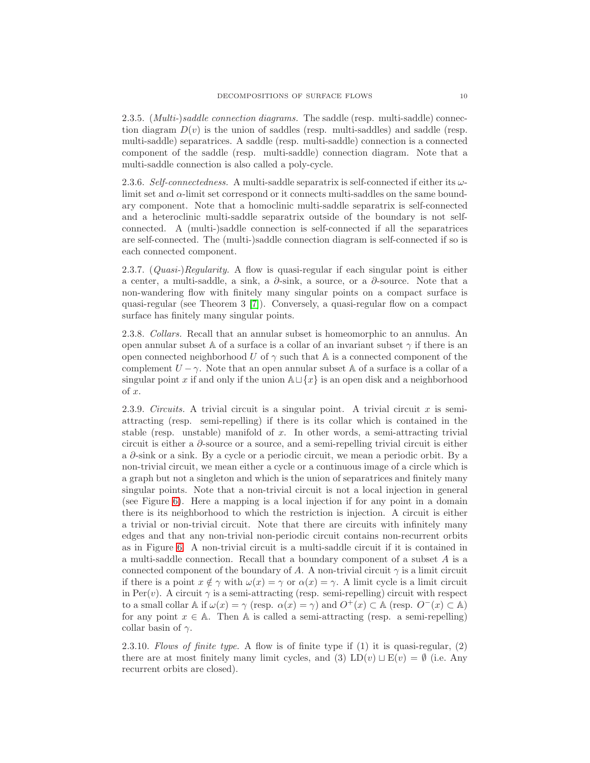2.3.5. (*Multi-*)saddle connection diagrams. The saddle (resp. multi-saddle) connection diagram  $D(v)$  is the union of saddles (resp. multi-saddles) and saddle (resp. multi-saddle) separatrices. A saddle (resp. multi-saddle) connection is a connected component of the saddle (resp. multi-saddle) connection diagram. Note that a multi-saddle connection is also called a poly-cycle.

2.3.6. Self-connectedness. A multi-saddle separatrix is self-connected if either its  $\omega$ limit set and  $\alpha$ -limit set correspond or it connects multi-saddles on the same boundary component. Note that a homoclinic multi-saddle separatrix is self-connected and a heteroclinic multi-saddle separatrix outside of the boundary is not selfconnected. A (multi-)saddle connection is self-connected if all the separatrices are self-connected. The (multi-)saddle connection diagram is self-connected if so is each connected component.

2.3.7.  $(Quasi-)Regularity.$  A flow is quasi-regular if each singular point is either a center, a multi-saddle, a sink, a  $\partial$ -sink, a source, or a  $\partial$ -source. Note that a non-wandering flow with finitely many singular points on a compact surface is quasi-regular (see Theorem 3 [\[7\]](#page-56-27)). Conversely, a quasi-regular flow on a compact surface has finitely many singular points.

2.3.8. Collars. Recall that an annular subset is homeomorphic to an annulus. An open annular subset A of a surface is a collar of an invariant subset  $\gamma$  if there is an open connected neighborhood U of  $\gamma$  such that A is a connected component of the complement  $U - \gamma$ . Note that an open annular subset A of a surface is a collar of a singular point x if and only if the union  $\mathbb{A}\sqcup\{x\}$  is an open disk and a neighborhood of x.

2.3.9. Circuits. A trivial circuit is a singular point. A trivial circuit x is semiattracting (resp. semi-repelling) if there is its collar which is contained in the stable (resp. unstable) manifold of  $x$ . In other words, a semi-attracting trivial circuit is either a ∂-source or a source, and a semi-repelling trivial circuit is either a ∂-sink or a sink. By a cycle or a periodic circuit, we mean a periodic orbit. By a non-trivial circuit, we mean either a cycle or a continuous image of a circle which is a graph but not a singleton and which is the union of separatrices and finitely many singular points. Note that a non-trivial circuit is not a local injection in general (see Figure [6\)](#page-10-0). Here a mapping is a local injection if for any point in a domain there is its neighborhood to which the restriction is injection. A circuit is either a trivial or non-trivial circuit. Note that there are circuits with infinitely many edges and that any non-trivial non-periodic circuit contains non-recurrent orbits as in Figure [6.](#page-10-0) A non-trivial circuit is a multi-saddle circuit if it is contained in a multi-saddle connection. Recall that a boundary component of a subset A is a connected component of the boundary of A. A non-trivial circuit  $\gamma$  is a limit circuit if there is a point  $x \notin \gamma$  with  $\omega(x) = \gamma$  or  $\alpha(x) = \gamma$ . A limit cycle is a limit circuit in Per(v). A circuit  $\gamma$  is a semi-attracting (resp. semi-repelling) circuit with respect to a small collar  $\mathbb A$  if  $\omega(x) = \gamma$  (resp.  $\alpha(x) = \gamma$ ) and  $O^+(x) \subset \mathbb A$  (resp.  $O^-(x) \subset \mathbb A$ ) for any point  $x \in A$ . Then A is called a semi-attracting (resp. a semi-repelling) collar basin of  $\gamma$ .

2.3.10. Flows of finite type. A flow is of finite type if (1) it is quasi-regular, (2) there are at most finitely many limit cycles, and (3) LD(v)  $\Box$  E(v) = Ø (i.e. Any recurrent orbits are closed).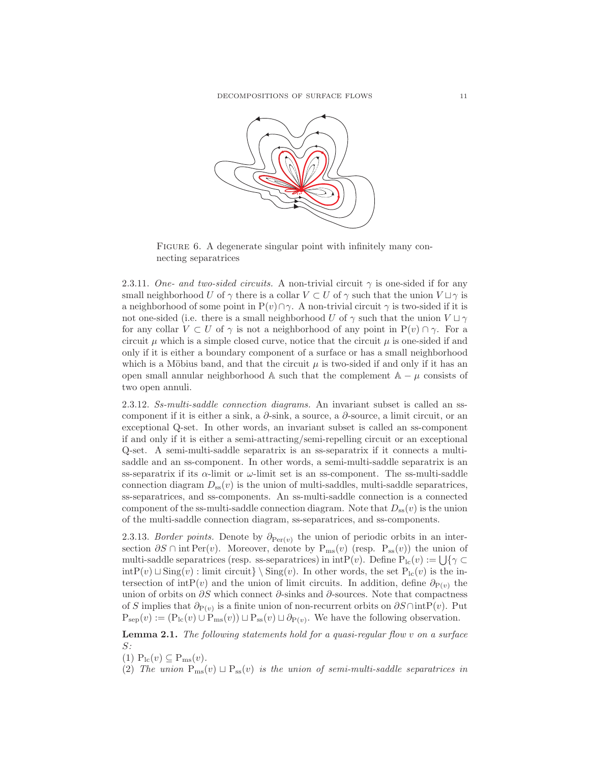

<span id="page-10-0"></span>FIGURE 6. A degenerate singular point with infinitely many connecting separatrices

2.3.11. One- and two-sided circuits. A non-trivial circuit  $\gamma$  is one-sided if for any small neighborhood U of  $\gamma$  there is a collar  $V \subset U$  of  $\gamma$  such that the union  $V \sqcup \gamma$  is a neighborhood of some point in  $P(v) \cap \gamma$ . A non-trivial circuit  $\gamma$  is two-sided if it is not one-sided (i.e. there is a small neighborhood U of  $\gamma$  such that the union  $V \sqcup \gamma$ for any collar  $V \subset U$  of  $\gamma$  is not a neighborhood of any point in  $P(v) \cap \gamma$ . For a circuit  $\mu$  which is a simple closed curve, notice that the circuit  $\mu$  is one-sided if and only if it is either a boundary component of a surface or has a small neighborhood which is a Möbius band, and that the circuit  $\mu$  is two-sided if and only if it has an open small annular neighborhood  $\mathbb A$  such that the complement  $\mathbb A - \mu$  consists of two open annuli.

2.3.12. Ss-multi-saddle connection diagrams. An invariant subset is called an sscomponent if it is either a sink, a  $\partial$ -sink, a source, a  $\partial$ -source, a limit circuit, or an exceptional Q-set. In other words, an invariant subset is called an ss-component if and only if it is either a semi-attracting/semi-repelling circuit or an exceptional Q-set. A semi-multi-saddle separatrix is an ss-separatrix if it connects a multisaddle and an ss-component. In other words, a semi-multi-saddle separatrix is an ss-separatrix if its  $\alpha$ -limit or  $\omega$ -limit set is an ss-component. The ss-multi-saddle connection diagram  $D_{ss}(v)$  is the union of multi-saddles, multi-saddle separatrices, ss-separatrices, and ss-components. An ss-multi-saddle connection is a connected component of the ss-multi-saddle connection diagram. Note that  $D_{ss}(v)$  is the union of the multi-saddle connection diagram, ss-separatrices, and ss-components.

2.3.13. Border points. Denote by  $\partial_{\text{Per}(v)}$  the union of periodic orbits in an intersection  $\partial S \cap \text{int Per}(v)$ . Moreover, denote by  $P_{\text{ms}}(v)$  (resp.  $P_{ss}(v)$ ) the union of multi-saddle separatrices (resp. ss-separatrices) in  $\text{intP}(v)$ . Define  $\text{P}_{1c}(v) := \bigcup \{ \gamma \subset$ intP(v)  $\Box$  Sing(v) : limit circuit} \ Sing(v). In other words, the set P<sub>lc</sub>(v) is the intersection of intP(v) and the union of limit circuits. In addition, define  $\partial_{P(v)}$  the union of orbits on  $\partial S$  which connect  $\partial$ -sinks and  $\partial$ -sources. Note that compactness of S implies that  $\partial_{P(v)}$  is a finite union of non-recurrent orbits on  $\partial S \cap intP(v)$ . Put  $P_{\rm sep}(v) := (P_{\rm lc}(v) \cup P_{\rm ms}(v)) \sqcup P_{\rm ss}(v) \sqcup \partial_{P(v)}$ . We have the following observation.

<span id="page-10-1"></span>Lemma 2.1. The following statements hold for a quasi-regular flow v on a surface S:

- (1)  $P_{\text{lc}}(v) \subseteq P_{\text{ms}}(v)$ .
- (2) The union  $P_{ms}(v) \sqcup P_{ss}(v)$  is the union of semi-multi-saddle separatrices in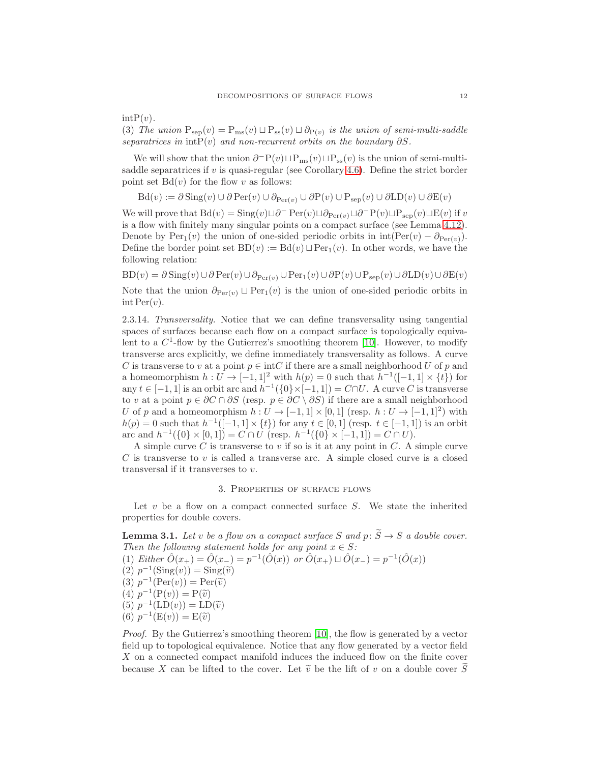$intP(v)$ .

(3) The union  $P_{sep}(v) = P_{ms}(v) \sqcup P_{ss}(v) \sqcup \partial_{P(v)}$  is the union of semi-multi-saddle separatrices in int $P(v)$  and non-recurrent orbits on the boundary  $\partial S$ .

We will show that the union  $\partial^{-}P(v) \sqcup P_{\text{ms}}(v) \sqcup P_{\text{ss}}(v)$  is the union of semi-multisaddle separatrices if  $v$  is quasi-regular (see Corollary [4.6\)](#page-20-0). Define the strict border point set  $Bd(v)$  for the flow v as follows:

Bd(v) :=  $\partial$  Sing(v) ∪  $\partial$  Per(v) ∪  $\partial$ <sub>Per(v)</sub> ∪  $\partial$ P(v) ∪  $P_{sep}(v)$  ∪  $\partial$ LD(v) ∪  $\partial$ E(v)

We will prove that  $Bd(v) = Sing(v) \sqcup \partial^{-} Per(v) \sqcup \partial_{Per(v)} \sqcup \partial^{-}P(v) \sqcup P_{sep}(v) \sqcup E(v)$  if v is a flow with finitely many singular points on a compact surface (see Lemma [4.12\)](#page-22-0). Denote by  $\text{Per}_1(v)$  the union of one-sided periodic orbits in  $\text{int}(\text{Per}(v) - \partial_{\text{Per}(v)})$ . Define the border point set  $BD(v) := Bd(v) \sqcup Per_1(v)$ . In other words, we have the following relation:

BD $(v) = \partial$ Sing $(v) \cup \partial$ Per $(v) \cup \partial_{\text{Per}(v)} \cup$ Per<sub>1</sub> $(v) \cup \partial$ P $(v) \cup \partial_{\text{Rep}}(v) \cup \partial$ LD $(v) \cup \partial$ E $(v)$ 

Note that the union  $\partial_{\text{Per}(v)} \sqcup \text{Per}_1(v)$  is the union of one-sided periodic orbits in  $\text{int Per}(v)$ .

2.3.14. Transversality. Notice that we can define transversality using tangential spaces of surfaces because each flow on a compact surface is topologically equivalent to a  $C^1$ -flow by the Gutierrez's smoothing theorem [\[10\]](#page-56-11). However, to modify transverse arcs explicitly, we define immediately transversality as follows. A curve C is transverse to v at a point  $p \in \text{int } C$  if there are a small neighborhood U of p and a homeomorphism  $h: U \to [-1,1]^2$  with  $h(p) = 0$  such that  $h^{-1}([-1,1] \times \{t\})$  for any  $t \in [-1, 1]$  is an orbit arc and  $h^{-1}(\{0\} \times [-1, 1]) = C \cap U$ . A curve C is transverse to v at a point  $p \in \partial C \cap \partial S$  (resp.  $p \in \partial C \setminus \partial S$ ) if there are a small neighborhood U of p and a homeomorphism  $h: U \to [-1,1] \times [0,1]$  (resp.  $h: U \to [-1,1]^2$ ) with  $h(p) = 0$  such that  $h^{-1}([-1, 1] \times \{t\})$  for any  $t \in [0, 1]$  (resp.  $t \in [-1, 1]$ ) is an orbit arc and  $h^{-1}(\{0\} \times [0,1]) = C \cap U$  (resp.  $h^{-1}(\{0\} \times [-1,1]) = C \cap U$ ).

A simple curve  $C$  is transverse to  $v$  if so is it at any point in  $C$ . A simple curve C is transverse to v is called a transverse arc. A simple closed curve is a closed transversal if it transverses to v.

# 3. Properties of surface flows

Let  $v$  be a flow on a compact connected surface  $S$ . We state the inherited properties for double covers.

<span id="page-11-0"></span>**Lemma 3.1.** Let v be a flow on a compact surface S and  $p: \widetilde{S} \to S$  a double cover. Then the following statement holds for any point  $x \in S$ : (1) Either  $\hat{O}(x_+) = \hat{O}(x_-) = p^{-1}(\hat{O}(x))$  or  $\hat{O}(x_+) \sqcup \hat{O}(x_-) = p^{-1}(\hat{O}(x))$  $(2) p^{-1}(\text{Sing}(v)) = \text{Sing}(\tilde{v})$ <br>  $(3) r^{-1}(\text{Ber}(v)) = \text{Ber}(\tilde{v})$ (3)  $p^{-1}(\text{Per}(v)) = \text{Per}(\tilde{v})$ (4)  $p^{-1}(\mathbf{P}(v)) = \mathbf{P}(\tilde{v})$ (5)  $p^{-1}(\text{LD}(v)) = \text{LD}(\tilde{v})$ <br>(6)  $p^{-1}(\text{E}(v)) = \text{E}(\tilde{v})$ (6)  $p^{-1}(E(v)) = E(\tilde{v})$ 

Proof. By the Gutierrez's smoothing theorem [\[10\]](#page-56-11), the flow is generated by a vector field up to topological equivalence. Notice that any flow generated by a vector field X on a connected compact manifold induces the induced flow on the finite cover because X can be lifted to the cover. Let  $\tilde{v}$  be the lift of v on a double cover  $\tilde{S}$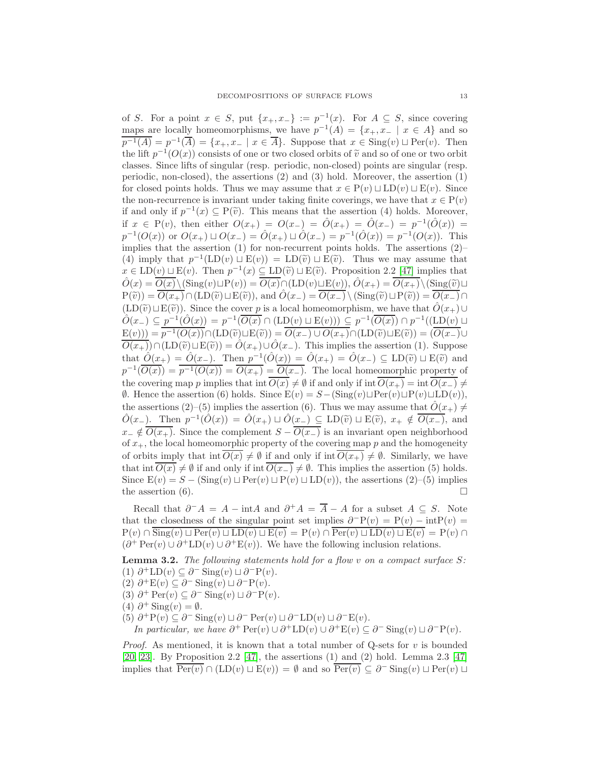of S. For a point  $x \in S$ , put  $\{x_+, x_-\} := p^{-1}(x)$ . For  $A \subseteq S$ , since covering maps are locally homeomorphisms, we have  $p^{-1}(A) = \{x_+, x_- \mid x \in A\}$  and so  $\overline{p^{-1}(A)} = p^{-1}(\overline{A}) = \{x_+, x_- \mid x \in \overline{A}\}.$  Suppose that  $x \in \text{Sing}(v) \sqcup \text{Per}(v)$ . Then the lift  $p^{-1}(O(x))$  consists of one or two closed orbits of  $\tilde{v}$  and so of one or two orbit classes. Since lifts of singular (resp. periodic, non-closed) points are singular (resp. periodic, non-closed), the assertions (2) and (3) hold. Moreover, the assertion (1) for closed points holds. Thus we may assume that  $x \in P(v) \sqcup LD(v) \sqcup E(v)$ . Since the non-recurrence is invariant under taking finite coverings, we have that  $x \in P(v)$ if and only if  $p^{-1}(x) \subseteq P(\tilde{v})$ . This means that the assertion (4) holds. Moreover, if  $x \in P(v)$ , then either  $O(x_+) = O(x_-) = \hat{O}(x_+) = \hat{O}(x_-) = p^{-1}(\hat{O}(x)) =$  $p^{-1}(O(x))$  or  $O(x_+) \sqcup O(x_-) = \hat{O}(x_+) \sqcup \hat{O}(x_-) = p^{-1}(\hat{O}(x)) = p^{-1}(O(x)).$  This implies that the assertion (1) for non-recurrent points holds. The assertions (2)– (4) imply that  $p^{-1}(\text{LD}(v) \sqcup \text{E}(v)) = \text{LD}(\tilde{v}) \sqcup \text{E}(\tilde{v})$ . Thus we may assume that  $x \in \text{LD}(v) \sqcup \text{E}(v)$ . Then  $p^{-1}(x) \subseteq \text{LD}(\tilde{v}) \sqcup \text{E}(\tilde{v})$ . Proposition 2.2 [\[47\]](#page-57-6) implies that  $\hat{O}(x) = \overline{O(x)}\setminus(\text{Sing}(v)\sqcup P(v)) = \overline{O(x)}\cap(\text{LD}(v)\sqcup E(v)), \hat{O}(x_+) = \overline{O(x_+)}\setminus(\text{Sing}(\tilde{v})\sqcup$  $P(\tilde{v}) = \overline{O(x_+)} \cap (\text{LD}(\tilde{v}) \sqcup \text{E}(\tilde{v}))$ , and  $\hat{O}(x_-) = \overline{O(x_-)} \setminus (\text{Sing}(\tilde{v}) \sqcup \text{P}(\tilde{v})) = \overline{O(x_-)} \cap$  $(\text{LD}(\tilde{v})\sqcup\text{E}(\tilde{v}))$ . Since the cover p is a local homeomorphism, we have that  $\hat{O}(x_+) \cup$  $\hat{O}(x_{-}) \subseteq p^{-1}(\hat{O}(x)) = p^{-1}(\overline{O(x)} \cap (\text{LD}(v) \sqcup \text{E}(v))) \subseteq p^{-1}(\overline{O(x)}) \cap p^{-1}((\text{LD}(v) \sqcup \text{E}(v)))$  $E(v)) = \overline{p^{-1}(O(x))} \cap (\mathrm{LD}(\widetilde{v}) \sqcup E(\widetilde{v})) = \overline{O(x_-) \cup O(x_+)} \cap (\mathrm{LD}(\widetilde{v}) \sqcup E(\widetilde{v})) = (\overline{O(x_-)} \cup$  $\overline{O(x_+)}\cap(\mathrm{LD}(\tilde{v})\sqcup \mathrm{E}(\tilde{v}))=\hat{O}(x_+)\cup \hat{O}(x_-)$ . This implies the assertion (1). Suppose that  $\hat{O}(x_+) = \hat{O}(x_-)$ . Then  $p^{-1}(\hat{O}(x)) = \hat{O}(x_+) = \hat{O}(x_-) \subseteq \text{LD}(\tilde{v}) \sqcup \text{E}(\tilde{v})$  and  $p^{-1}(\overline{O(x)}) = \overline{p^{-1}(O(x))} = \overline{O(x_+)} = \overline{O(x_-)}$ . The local homeomorphic property of the covering map p implies that int  $O(x) \neq \emptyset$  if and only if int  $O(x_+) = \text{int } O(x_-) \neq$  $\emptyset$ . Hence the assertion (6) holds. Since  $E(v) = S - (\text{Sing}(v) \sqcup \text{Per}(v) \sqcup P(v) \sqcup \text{LD}(v)),$ the assertions (2)–(5) implies the assertion (6). Thus we may assume that  $\hat{O}(x_+) \neq$  $\hat{O}(x_{-})$ . Then  $p^{-1}(\hat{O}(x)) = \hat{O}(x_{+}) \sqcup \hat{O}(\overline{x_{-}}) \subseteq \text{LD}(\tilde{v}) \sqcup \text{E}(\tilde{v}), x_{+} \notin \overline{O(x_{-}})$ , and  $x_-\notin \overline{O(x_+)}$ . Since the complement  $S-\overline{O(x_-)}$  is an invariant open neighborhood of  $x_{+}$ , the local homeomorphic property of the covering map p and the homogeneity of orbits imply that  $\text{int}\,\overline{O(x)}\neq\emptyset$  if and only if  $\text{int}\,\overline{O(x_+)}\neq\emptyset$ . Similarly, we have that int  $\overline{O(x)} \neq \emptyset$  if and only if int  $\overline{O(x_-)} \neq \emptyset$ . This implies the assertion (5) holds. Since  $E(v) = S - (\text{Sing}(v) \sqcup \text{Per}(v) \sqcup P(v) \sqcup \text{LD}(v)),$  the assertions  $(2)$ – $(5)$  implies the assertion (6).  $\Box$ 

Recall that  $\partial^- A = A - \text{int}A$  and  $\partial^+ A = \overline{A} - A$  for a subset  $A \subseteq S$ . Note that the closedness of the singular point set implies  $\partial^-P(v) = P(v) - \text{int}P(v) =$  $P(v) \cap \overline{\text{Sing}}(v) \sqcup \text{Per}(v) \sqcup \text{LD}(v) \sqcup E(v) = P(v) \cap \overline{\text{Per}}(v) \sqcup \text{LD}(v) \sqcup E(v) = P(v) \cap$  $(\partial^+ \operatorname{Per}(v) \cup \partial^+ \operatorname{LD}(v) \cup \partial^+ \operatorname{E}(v))$ . We have the following inclusion relations.

<span id="page-12-0"></span>**Lemma 3.2.** The following statements hold for a flow v on a compact surface  $S$ : (1)  $\partial^+ \text{LD}(v) \subseteq \partial^- \text{Sing}(v) \sqcup \partial^- \text{P}(v)$ .

- (2)  $\partial^+ E(v) \subseteq \partial^- \text{Sing}(v) \sqcup \partial^- P(v)$ .
- (3)  $\partial^+ \operatorname{Per}(v) \subseteq \partial^- \operatorname{Sing}(v) \sqcup \partial^- \operatorname{P}(v)$ .
- (4)  $\partial^+$  Sing(v) =  $\emptyset$ .
- (5)  $\partial^+ P(v) \subseteq \partial^- \text{Sing}(v) \sqcup \partial^- \text{Per}(v) \sqcup \partial^- \text{LD}(v) \sqcup \partial^- \text{E}(v)$ .

In particular, we have  $\partial^+ \operatorname{Per}(v) \cup \partial^+ \mathrm{LD}(v) \cup \partial^+ \mathrm{E}(v) \subseteq \partial^- \operatorname{Sing}(v) \sqcup \partial^- \mathrm{P}(v)$ .

*Proof.* As mentioned, it is known that a total number of Q-sets for  $v$  is bounded [\[20,](#page-56-26) [23\]](#page-56-6). By Proposition 2.2 [\[47\]](#page-57-6), the assertions (1) and (2) hold. Lemma 2.3 [\[47\]](#page-57-6) implies that  $\overline{\text{Per}(v)} \cap (\text{LD}(v) \sqcup \text{E}(v)) = \emptyset$  and so  $\overline{\text{Per}(v)} \subseteq \partial^- \text{Sing}(v) \sqcup \text{Per}(v) \sqcup$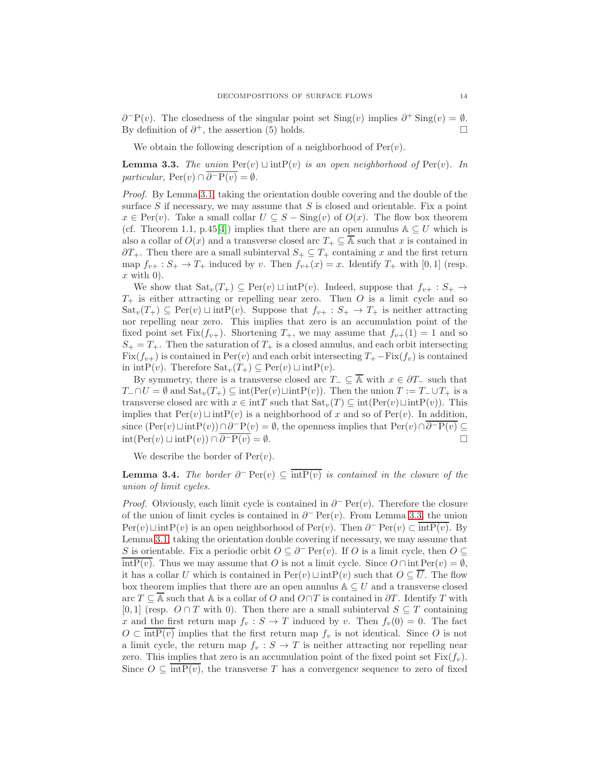$\partial^{-}P(v)$ . The closedness of the singular point set Sing(v) implies  $\partial^{+}$  Sing(v) =  $\emptyset$ . By definition of  $\partial^+$ , the assertion (5) holds.

We obtain the following description of a neighborhood of  $Per(v)$ .

<span id="page-13-0"></span>**Lemma 3.3.** The union  $\text{Per}(v) \sqcup \text{int}P(v)$  is an open neighborhood of  $\text{Per}(v)$ . In particular,  $\text{Per}(v) \cap \overline{\partial^{-} P(v)} = \emptyset$ .

Proof. By Lemma [3.1,](#page-11-0) taking the orientation double covering and the double of the surface  $S$  if necessary, we may assume that  $S$  is closed and orientable. Fix a point  $x \in \text{Per}(v)$ . Take a small collar  $U \subseteq S - \text{Sing}(v)$  of  $O(x)$ . The flow box theorem (cf. Theorem 1.1, p.45[\[4\]](#page-55-1)) implies that there are an open annulus  $\mathbb{A} \subseteq U$  which is also a collar of  $O(x)$  and a transverse closed arc  $T_+ \subseteq \overline{A}$  such that x is contained in ∂T<sub>+</sub>. Then there are a small subinterval  $S_+ \subseteq T_+$  containing x and the first return map  $f_{v+}: S_+ \to T_+$  induced by v. Then  $f_{v+}(x) = x$ . Identify  $T_+$  with [0, 1] (resp.  $x$  with 0).

We show that  $\text{Sat}_v(T_+) \subseteq \text{Per}(v) \sqcup \text{intP}(v)$ . Indeed, suppose that  $f_{v+} : S_+ \to$  $T_{+}$  is either attracting or repelling near zero. Then O is a limit cycle and so  $\text{Sat}_v(T_+) \subseteq \text{Per}(v) \sqcup \text{intP}(v)$ . Suppose that  $f_{v+} : S_+ \to T_+$  is neither attracting nor repelling near zero. This implies that zero is an accumulation point of the fixed point set Fix $(f_{v+})$ . Shortening  $T_+$ , we may assume that  $f_{v+}(1) = 1$  and so  $S_+ = T_+$ . Then the saturation of  $T_+$  is a closed annulus, and each orbit intersecting  $Fix(f_{v+})$  is contained in Per(v) and each orbit intersecting  $T_{+}$  – Fix( $f_{v}$ ) is contained in intP(v). Therefore  $\text{Sat}_{v}(T_{+}) \subseteq \text{Per}(v) \sqcup \text{intP}(v)$ .

By symmetry, there is a transverse closed arc  $T_-\subseteq \overline{\mathbb{A}}$  with  $x\in \partial T_-\$  such that  $T_-\cap U=\emptyset$  and  $\text{Sat}_v(T_+)\subseteq \text{int}(\text{Per}(v)\sqcup \text{int}P(v))$ . Then the union  $T:=T_-\cup T_+$  is a transverse closed arc with  $x \in \text{int}T$  such that  $\text{Sat}_v(T) \subseteq \text{int}(\text{Per}(v) \sqcup \text{int}P(v))$ . This implies that  $\text{Per}(v)$  ⊔ int $\text{P}(v)$  is a neighborhood of x and so of  $\text{Per}(v)$ . In addition, since  $(Per(v) \sqcup intP(v)) \cap \partial^{-} P(v) = \emptyset$ , the openness implies that  $Per(v) \cap \overline{\partial^{-} P(v)} \subseteq$ int(Per(v)  $\sqcup$  intP(v)) ∩  $\overline{\partial^{-p}(v)} = \emptyset$ .

We describe the border of  $Per(v)$ .

<span id="page-13-1"></span>**Lemma 3.4.** The border  $\partial^-\operatorname{Per}(v) \subseteq \overline{\text{int}P(v)}$  is contained in the closure of the union of limit cycles.

*Proof.* Obviously, each limit cycle is contained in  $\partial$ <sup>-</sup> Per(v). Therefore the closure of the union of limit cycles is contained in  $\partial^-$  Per(v). From Lemma [3.3,](#page-13-0) the union  $Per(v) \sqcup intP(v)$  is an open neighborhood of  $Per(v)$ . Then  $\partial^- \text{Per}(v) \subset \overline{intP(v)}$ . By Lemma [3.1,](#page-11-0) taking the orientation double covering if necessary, we may assume that S is orientable. Fix a periodic orbit  $O \subseteq \partial^- \text{Per}(v)$ . If O is a limit cycle, then  $O \subseteq$  $\overline{\text{intP}(v)}$ . Thus we may assume that O is not a limit cycle. Since  $O \cap \text{int Per}(v) = \emptyset$ , it has a collar U which is contained in  $\text{Per}(v) \sqcup \text{intP}(v)$  such that  $O \subseteq \overline{U}$ . The flow box theorem implies that there are an open annulus  $A \subseteq U$  and a transverse closed arc  $T \subseteq \overline{A}$  such that A is a collar of O and  $O \cap T$  is contained in  $\partial T$ . Identify T with [0, 1] (resp.  $O \cap T$  with 0). Then there are a small subinterval  $S \subseteq T$  containing x and the first return map  $f_v : S \to T$  induced by v. Then  $f_v(0) = 0$ . The fact  $O \subset \text{intP}(v)$  implies that the first return map  $f_v$  is not identical. Since O is not a limit cycle, the return map  $f_v : S \to T$  is neither attracting nor repelling near zero. This implies that zero is an accumulation point of the fixed point set  $Fix(f_v)$ . Since  $O \subseteq \text{intP}(v)$ , the transverse T has a convergence sequence to zero of fixed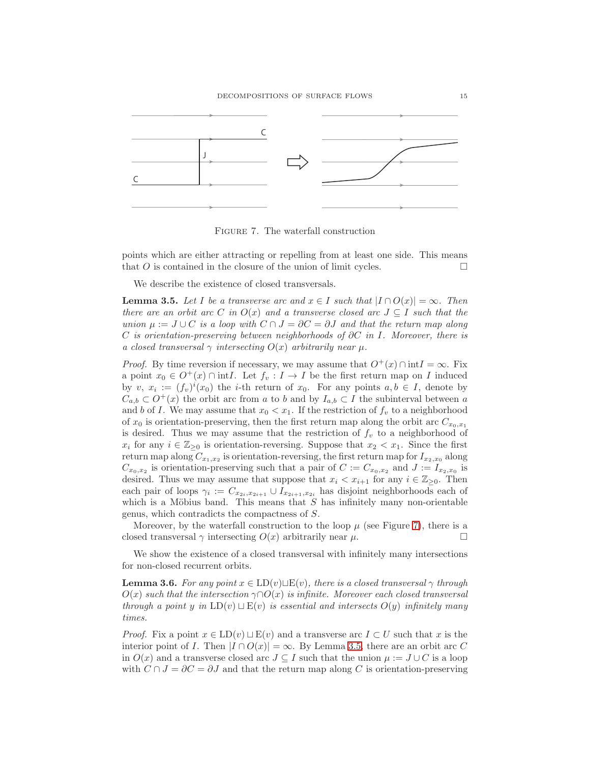

<span id="page-14-0"></span>Figure 7. The waterfall construction

points which are either attracting or repelling from at least one side. This means that O is contained in the closure of the union of limit cycles.

We describe the existence of closed transversals.

<span id="page-14-1"></span>**Lemma 3.5.** Let I be a transverse arc and  $x \in I$  such that  $|I \cap O(x)| = \infty$ . Then there are an orbit arc C in  $O(x)$  and a transverse closed arc  $J \subseteq I$  such that the union  $\mu := J \cup C$  is a loop with  $C \cap J = \partial C = \partial J$  and that the return map along C is orientation-preserving between neighborhoods of  $\partial C$  in I. Moreover, there is a closed transversal  $\gamma$  intersecting  $O(x)$  arbitrarily near  $\mu$ .

*Proof.* By time reversion if necessary, we may assume that  $O^+(x) \cap \text{int} I = \infty$ . Fix a point  $x_0 \in O^+(x) \cap \text{int}I$ . Let  $f_v : I \to I$  be the first return map on I induced by v,  $x_i := (f_v)^i(x_0)$  the *i*-th return of  $x_0$ . For any points  $a, b \in I$ , denote by  $C_{a,b} \subset O^+(x)$  the orbit arc from a to b and by  $I_{a,b} \subset I$  the subinterval between a and b of I. We may assume that  $x_0 < x_1$ . If the restriction of  $f_v$  to a neighborhood of  $x_0$  is orientation-preserving, then the first return map along the orbit arc  $C_{x_0,x_1}$ is desired. Thus we may assume that the restriction of  $f_v$  to a neighborhood of  $x_i$  for any  $i \in \mathbb{Z}_{\geq 0}$  is orientation-reversing. Suppose that  $x_2 < x_1$ . Since the first return map along  $C_{x_1,x_2}$  is orientation-reversing, the first return map for  $I_{x_2,x_0}$  along  $C_{x_0,x_2}$  is orientation-preserving such that a pair of  $C := C_{x_0,x_2}$  and  $J := I_{x_2,x_0}$  is desired. Thus we may assume that suppose that  $x_i < x_{i+1}$  for any  $i \in \mathbb{Z}_{\geq 0}$ . Then each pair of loops  $\gamma_i := C_{x_{2i},x_{2i+1}} \cup I_{x_{2i+1},x_{2i}}$  has disjoint neighborhoods each of which is a Möbius band. This means that  $S$  has infinitely many non-orientable genus, which contradicts the compactness of S.

Moreover, by the waterfall construction to the loop  $\mu$  (see Figure [7\)](#page-14-0), there is a closed transversal  $\gamma$  intersecting  $O(x)$  arbitrarily near  $\mu$ .

We show the existence of a closed transversal with infinitely many intersections for non-closed recurrent orbits.

<span id="page-14-2"></span>**Lemma 3.6.** For any point  $x \in \text{LD}(v) \sqcup \text{E}(v)$ , there is a closed transversal  $\gamma$  through  $O(x)$  such that the intersection  $\gamma \cap O(x)$  is infinite. Moreover each closed transversal through a point y in  $LD(v) \sqcup E(v)$  is essential and intersects  $O(y)$  infinitely many times.

*Proof.* Fix a point  $x \in \text{LD}(v) \sqcup \text{E}(v)$  and a transverse arc  $I \subset U$  such that x is the interior point of *I*. Then  $|I \cap O(x)| = \infty$ . By Lemma [3.5,](#page-14-1) there are an orbit arc C in  $O(x)$  and a transverse closed arc  $J \subseteq I$  such that the union  $\mu := J \cup C$  is a loop with  $C \cap J = \partial C = \partial J$  and that the return map along C is orientation-preserving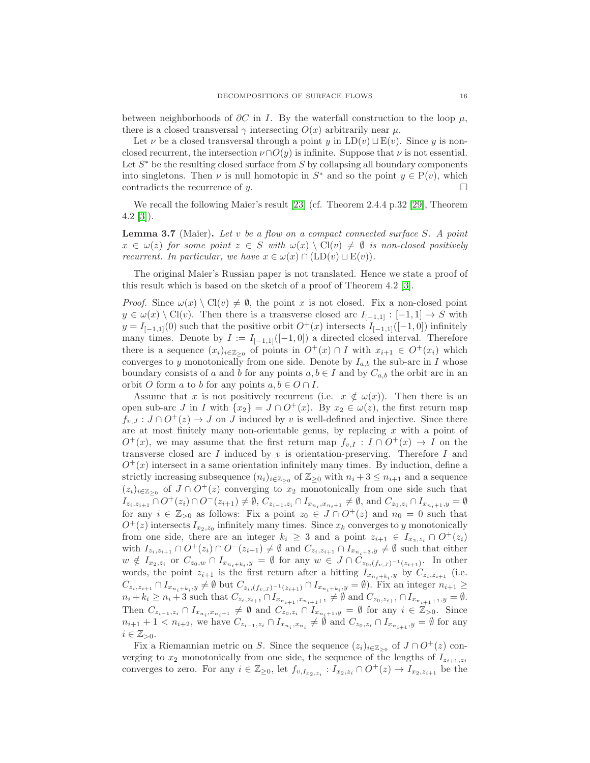between neighborhoods of  $\partial C$  in I. By the waterfall construction to the loop  $\mu$ , there is a closed transversal  $\gamma$  intersecting  $O(x)$  arbitrarily near  $\mu$ .

Let  $\nu$  be a closed transversal through a point y in LD(v)  $\sqcup$  E(v). Since y is nonclosed recurrent, the intersection  $\nu \cap O(y)$  is infinite. Suppose that  $\nu$  is not essential. Let  $S^*$  be the resulting closed surface from  $S$  by collapsing all boundary components into singletons. Then  $\nu$  is null homotopic in  $S^*$  and so the point  $y \in P(v)$ , which contradicts the recurrence of y.

We recall the following Maier's result  $[23]$  (cf. Theorem 2.4.4 p.32 [\[29\]](#page-56-5), Theorem  $4.2 \; [3]$  $4.2 \; [3]$ ).

<span id="page-15-0"></span>**Lemma 3.7** (Maier). Let v be a flow on a compact connected surface S. A point  $x \in \omega(z)$  for some point  $z \in S$  with  $\omega(x) \setminus \text{Cl}(v) \neq \emptyset$  is non-closed positively recurrent. In particular, we have  $x \in \omega(x) \cap (LD(v) \sqcup E(v)).$ 

The original Ma<sup>i</sup>er's Russian paper is not translated. Hence we state a proof of this result which is based on the sketch of a proof of Theorem 4.2 [\[3\]](#page-55-2).

*Proof.* Since  $\omega(x) \setminus \text{Cl}(v) \neq \emptyset$ , the point x is not closed. Fix a non-closed point  $y \in \omega(x) \setminus \text{Cl}(v)$ . Then there is a transverse closed arc  $I_{[-1,1]}: [-1,1] \to S$  with  $y = I_{[-1,1]}(0)$  such that the positive orbit  $O^+(x)$  intersects  $I_{[-1,1]}([-1,0])$  infinitely many times. Denote by  $I := I_{[-1,1]}([-1,0])$  a directed closed interval. Therefore there is a sequence  $(x_i)_{i \in \mathbb{Z}_{\geq 0}}$  of points in  $O^+(x) \cap I$  with  $x_{i+1} \in O^+(x_i)$  which converges to y monotonically from one side. Denote by  $I_{a,b}$  the sub-arc in I whose boundary consists of a and b for any points  $a, b \in I$  and by  $C_{a,b}$  the orbit arc in an orbit O form a to b for any points  $a, b \in O \cap I$ .

Assume that x is not positively recurrent (i.e.  $x \notin \omega(x)$ ). Then there is an open sub-arc J in I with  $\{x_2\} = J \cap O^+(x)$ . By  $x_2 \in \omega(z)$ , the first return map  $f_{v,J}: J \cap O^+(z) \to J$  on J induced by v is well-defined and injective. Since there are at most finitely many non-orientable genus, by replacing  $x$  with a point of  $O^+(x)$ , we may assume that the first return map  $f_{v,I}: I \cap O^+(x) \to I$  on the transverse closed arc I induced by  $v$  is orientation-preserving. Therefore I and  $O^+(x)$  intersect in a same orientation infinitely many times. By induction, define a strictly increasing subsequence  $(n_i)_{i \in \mathbb{Z}_{\geq 0}}$  of  $\mathbb{Z}_{\geq 0}$  with  $n_i + 3 \leq n_{i+1}$  and a sequence  $(z_i)_{i\in\mathbb{Z}_{\geq 0}}$  of  $J \cap O^+(z)$  converging to  $x_2$  monotonically from one side such that  $I_{z_i,z_{i+1}} \cap O^+(z_i) \cap O^-(z_{i+1}) \neq \emptyset$ ,  $C_{z_{i-1},z_i} \cap I_{x_{n_i},x_{n_i+1}} \neq \emptyset$ , and  $C_{z_0,z_i} \cap I_{x_{n_i+1},y} = \emptyset$ for any  $i \in \mathbb{Z}_{>0}$  as follows: Fix a point  $z_0 \in J \cap O^+(z)$  and  $n_0 = 0$  such that  $O^+(z)$  intersects  $I_{x_2,z_0}$  infinitely many times. Since  $x_k$  converges to y monotonically from one side, there are an integer  $k_i \geq 3$  and a point  $z_{i+1} \in I_{x_2, z_i} \cap O^+(z_i)$ with  $I_{z_i,z_{i+1}} \cap O^+(z_i) \cap O^-(z_{i+1}) \neq \emptyset$  and  $C_{z_i,z_{i+1}} \cap I_{x_{n_i+3},y} \neq \emptyset$  such that either  $w \notin I_{x_2,z_i}$  or  $C_{z_0,w} \cap I_{x_{n_i+k_i},y} = \emptyset$  for any  $w \in J \cap C_{z_0,(f_{v,J})^{-1}(z_{i+1})}$ . In other words, the point  $z_{i+1}$  is the first return after a hitting  $I_{x_{n_i+k_i},y}$  by  $C_{z_i,z_{i+1}}$  (i.e.  $C_{z_i,z_{i+1}} \cap I_{x_{n_i+k_i},y} \neq \emptyset$  but  $C_{z_i,(f_{v,J})^{-1}(z_{i+1})} \cap I_{x_{n_i+k_i},y} = \emptyset$ ). Fix an integer  $n_{i+1} \geq$  $n_i + k_i \geq n_i + 3$  such that  $C_{z_i, z_{i+1}} \cap I_{x_{n_{i+1}}, x_{n_{i+1}+1}} \neq \emptyset$  and  $C_{z_0, z_{i+1}} \cap I_{x_{n_{i+1}+1}, y} = \emptyset$ . Then  $C_{z_{i-1},z_i} \cap I_{x_{n_i},x_{n_i+1}} \neq \emptyset$  and  $C_{z_0,z_i} \cap I_{x_{n_i+1},y} = \emptyset$  for any  $i \in \mathbb{Z}_{>0}$ . Since  $n_{i+1}+1 < n_{i+2}$ , we have  $C_{z_{i-1},z_i} \cap I_{x_{n_i},x_{n_i}} \neq \emptyset$  and  $C_{z_0,z_i} \cap I_{x_{n_{i+1}},y} = \emptyset$  for any  $i \in \mathbb{Z}_{>0}$ .

Fix a Riemannian metric on S. Since the sequence  $(z_i)_{i \in \mathbb{Z}_{\geq 0}}$  of  $J \cap O^+(z)$  converging to  $x_2$  monotonically from one side, the sequence of the lengths of  $I_{z_{i+1},z_i}$ converges to zero. For any  $i \in \mathbb{Z}_{\geq 0}$ , let  $f_{v,I_{x_2,z_i}}: I_{x_2,z_i} \cap O^+(z) \to I_{x_2,z_{i+1}}$  be the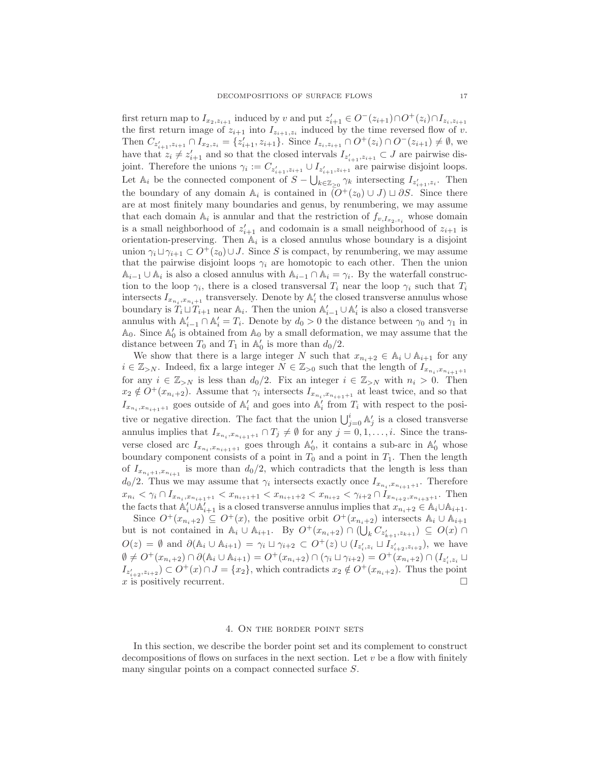first return map to  $I_{x_2, z_{i+1}}$  induced by v and put  $z'_{i+1} \in O^-(z_{i+1}) \cap O^+(z_i) \cap I_{z_i, z_{i+1}}$ the first return image of  $z_{i+1}$  into  $I_{z_{i+1},z_i}$  induced by the time reversed flow of v. Then  $C_{z'_{i+1},z_{i+1}} \cap I_{x_2,z_i} = \{z'_{i+1},z_{i+1}\}\.$  Since  $I_{z_i,z_{i+1}} \cap O^+(z_i) \cap O^-(z_{i+1}) \neq \emptyset$ , we have that  $z_i \neq z'_{i+1}$  and so that the closed intervals  $I_{z'_{i+1},z_{i+1}} \subset J$  are pairwise disjoint. Therefore the unions  $\gamma_i := C_{z'_{i+1}, z_{i+1}} \cup I_{z'_{i+1}, z_{i+1}}$  are pairwise disjoint loops. Let  $\mathbb{A}_i$  be the connected component of  $S - \bigcup_{k \in \mathbb{Z}_{\geq 0}} \gamma_k$  intersecting  $I_{z'_{i+1},z_i}$ . Then the boundary of any domain  $\mathbb{A}_i$  is contained in  $\overline{(O^+(z_0) \cup J)} \sqcup \partial S$ . Since there are at most finitely many boundaries and genus, by renumbering, we may assume that each domain  $\mathbb{A}_i$  is annular and that the restriction of  $f_{v,I_{x_2,z_i}}$  whose domain is a small neighborhood of  $z'_{i+1}$  and codomain is a small neighborhood of  $z_{i+1}$  is orientation-preserving. Then  $\mathbb{A}_i$  is a closed annulus whose boundary is a disjoint union  $\gamma_i \sqcup \gamma_{i+1} \subset O^+(z_0) \cup J$ . Since S is compact, by renumbering, we may assume that the pairwise disjoint loops  $\gamma_i$  are homotopic to each other. Then the union  $\mathbb{A}_{i-1} \cup \mathbb{A}_i$  is also a closed annulus with  $\mathbb{A}_{i-1} \cap \mathbb{A}_i = \gamma_i$ . By the waterfall construction to the loop  $\gamma_i$ , there is a closed transversal  $T_i$  near the loop  $\gamma_i$  such that  $T_i$ intersects  $I_{x_{n_i},x_{n_i+1}}$  transversely. Denote by  $\mathbb{A}'_i$  the closed transverse annulus whose boundary is  $T_i \sqcup T_{i+1}$  near  $\mathbb{A}_i$ . Then the union  $\mathbb{A}'_{i-1} \cup \mathbb{A}'_i$  is also a closed transverse annulus with  $\mathbb{A}'_{i-1} \cap \mathbb{A}'_i = T_i$ . Denote by  $d_0 > 0$  the distance between  $\gamma_0$  and  $\gamma_1$  in  $\mathbb{A}_0$ . Since  $\mathbb{A}'_0$  is obtained from  $\mathbb{A}_0$  by a small deformation, we may assume that the distance between  $T_0$  and  $T_1$  in  $\mathbb{A}'_0$  is more than  $d_0/2$ .

We show that there is a large integer N such that  $x_{n_i+2} \in A_i \cup A_{i+1}$  for any  $i \in \mathbb{Z}_{\geq N}$ . Indeed, fix a large integer  $N \in \mathbb{Z}_{\geq 0}$  such that the length of  $I_{x_{n_i},x_{n_{i+1}+1}}$ for any  $i \in \mathbb{Z}_{\geq N}$  is less than  $d_0/2$ . Fix an integer  $i \in \mathbb{Z}_{\geq N}$  with  $n_i > 0$ . Then  $x_2 \notin O^+(x_{n_i+2})$ . Assume that  $\gamma_i$  intersects  $I_{x_{n_i},x_{n_{i+1}+1}}$  at least twice, and so that  $I_{x_{n_i},x_{n_{i+1}+1}}$  goes outside of  $\mathbb{A}'_i$  and goes into  $\mathbb{A}'_i$  from  $T_i$  with respect to the positive or negative direction. The fact that the union  $\bigcup_{j=0}^{i} A'_{j}$  is a closed transverse annulus implies that  $I_{x_{n_i},x_{n_{i+1}+1}} \cap T_j \neq \emptyset$  for any  $j = 0,1,\ldots,i$ . Since the transverse closed arc  $I_{x_{n_i},x_{n_{i+1}+1}}$  goes through  $\mathbb{A}'_0$ , it contains a sub-arc in  $\mathbb{A}'_0$  whose boundary component consists of a point in  $T_0$  and a point in  $T_1$ . Then the length of  $I_{x_{n_i+1},x_{n_{i+1}}}$  is more than  $d_0/2$ , which contradicts that the length is less than  $d_0/2$ . Thus we may assume that  $\gamma_i$  intersects exactly once  $I_{x_{n_i},x_{n_{i+1}+1}}$ . Therefore  $x_{n_i} < \gamma_i \cap I_{x_{n_i}, x_{n_{i+1}+1}} < x_{n_{i+1}+1} < x_{n_{i+1}+2} < x_{n_{i+2}} < \gamma_{i+2} \cap I_{x_{n_{i+2}}, x_{n_{i+3}+1}}$ . Then the facts that  $\mathbb{A}'_i \cup \mathbb{A}'_{i+1}$  is a closed transverse annulus implies that  $x_{n_i+2} \in \mathbb{A}_i \cup \mathbb{A}_{i+1}$ .

Since  $O^+(x_{n_i+2}) \subseteq O^+(x)$ , the positive orbit  $O^+(x_{n_i+2})$  intersects  $\mathbb{A}_i \cup \mathbb{A}_{i+1}$ but is not contained in  $\mathbb{A}_i \cup \mathbb{A}_{i+1}$ . By  $O^+(x_{n_i+2}) \cap (\bigcup_k C_{z'_{k+1},z_{k+1}}) \subseteq O(x) \cap$  $O(z) = \emptyset$  and  $\partial(\mathbb{A}_i \cup \mathbb{A}_{i+1}) = \gamma_i \sqcup \gamma_{i+2} \subset O^+(z) \cup (I_{z_i', z_i} \sqcup I_{z_{i+2}', z_{i+2}})$ , we have  $\emptyset \neq O^+(x_{n_i+2}) \cap \partial (\mathbb{A}_i \cup \mathbb{A}_{i+1}) = O^+(x_{n_i+2}) \cap (\gamma_i \cup \gamma_{i+2}) = O^+(x_{n_i+2}) \cap (I_{z'_i,z_i} \cup \gamma_{i+2})$  $I_{z'_{i+2},z_{i+2}} \subset O^+(x) \cap J = \{x_2\}$ , which contradicts  $x_2 \notin O^+(x_{n_i+2})$ . Thus the point x is positively recurrent.

# 4. On the border point sets

In this section, we describe the border point set and its complement to construct decompositions of flows on surfaces in the next section. Let  $v$  be a flow with finitely many singular points on a compact connected surface S.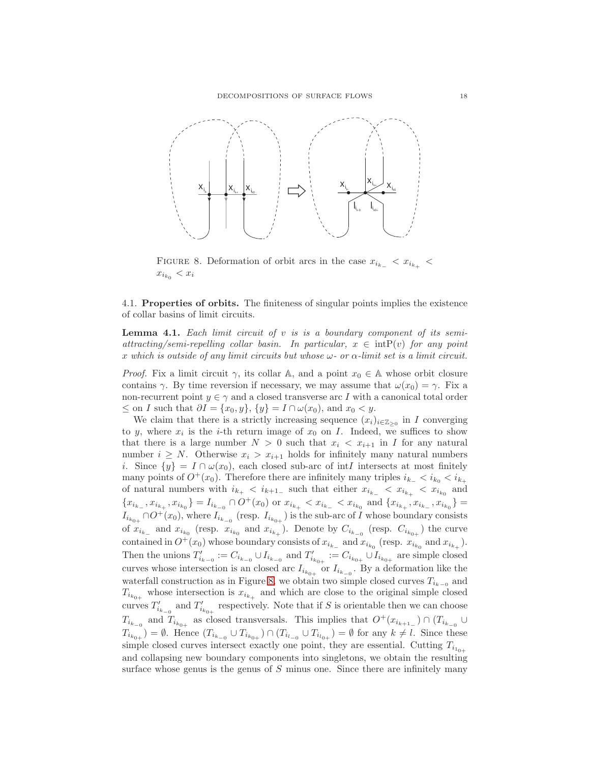

<span id="page-17-0"></span>FIGURE 8. Deformation of orbit arcs in the case  $x_{i_{k-}} < x_{i_{k+}}$  $x_{i_{k_0}} < x_i$ 

4.1. Properties of orbits. The finiteness of singular points implies the existence of collar basins of limit circuits.

<span id="page-17-1"></span>**Lemma 4.1.** Each limit circuit of  $v$  is is a boundary component of its semiattracting/semi-repelling collar basin. In particular,  $x \in \text{intP}(v)$  for any point x which is outside of any limit circuits but whose  $\omega$ - or  $\alpha$ -limit set is a limit circuit.

*Proof.* Fix a limit circuit  $\gamma$ , its collar A, and a point  $x_0 \in A$  whose orbit closure contains  $\gamma$ . By time reversion if necessary, we may assume that  $\omega(x_0) = \gamma$ . Fix a non-recurrent point  $y \in \gamma$  and a closed transverse arc I with a canonical total order  $\leq$  on I such that  $\partial I = \{x_0, y\}, \{y\} = I \cap \omega(x_0)$ , and  $x_0 < y$ .

We claim that there is a strictly increasing sequence  $(x_i)_{i\in\mathbb{Z}_{\geq 0}}$  in I converging to y, where  $x_i$  is the *i*-th return image of  $x_0$  on *I*. Indeed, we suffices to show that there is a large number  $N > 0$  such that  $x_i < x_{i+1}$  in I for any natural number  $i \geq N$ . Otherwise  $x_i > x_{i+1}$  holds for infinitely many natural numbers i. Since  $\{y\} = I \cap \omega(x_0)$ , each closed sub-arc of intI intersects at most finitely many points of  $O^+(x_0)$ . Therefore there are infinitely many triples  $i_{k-} < i_{k_0} < i_{k+1}$ of natural numbers with  $i_{k_{+}} < i_{k+1_{-}}$  such that either  $x_{i_{k_{-}}} < x_{i_{k_{+}}} < x_{i_{k_{0}}}$  and  $\{x_{i_{k_-}},x_{i_{k_+}},x_{i_{k_0}}\}=I_{i_{k_{-0}}}\cap O^+(x_0)\text{ or }x_{i_{k_+}}$  $I_{i_{k_{0+}}} \cap O^+(x_0)$ , where  $I_{i_{k_{-0}}}$  (resp.  $I_{i_{k_{0+}}}$ ) is the sub-arc of I whose boundary consists of  $x_{i_{k-}}$  and  $x_{i_{k_0}}$  (resp.  $x_{i_{k_0}}$  and  $x_{i_{k+}}$ ). Denote by  $C_{i_{k-0}}$  (resp.  $C_{i_{k_0+}}$ ) the curve contained in  $O^+(x_0)$  whose boundary consists of  $x_{i_{k_-}}$  and  $x_{i_{k_0}}$  (resp.  $x_{i_{k_0}}$  and  $x_{i_{k_+}}$ ). Then the unions  $T'_{i_{k-0}} := C_{i_{k-0}} \cup I_{i_{k-0}}$  and  $T'_{i_{k_0+}} := C_{i_{k_0+}} \cup I_{i_{k_0+}}$  are simple closed curves whose intersection is an closed arc  $I_{i_{k_{0+}}}$  or  $I_{i_{k_{-0}}}$ . By a deformation like the waterfall construction as in Figure [8,](#page-17-0) we obtain two simple closed curves  $T_{i_{k-0}}$  and  $T_{i_{k_{0+}}}$  whose intersection is  $x_{i_{k_+}}$  and which are close to the original simple closed curves  $T'_{i_{k_{-0}}}$  and  $T'_{i_{k_{0+}}}$  respectively. Note that if S is orientable then we can choose  $T_{i_{k_{-0}}}$  and  $T_{i_{k_{0+}}}$  as closed transversals. This implies that  $O^+(x_{i_{k+1}}) \cap (T_{i_{k_{-0}}} \cup$  $T_{i_{k_{0+}}}$  =  $\emptyset$ . Hence  $(T_{i_{k_{-0}}} \cup T_{i_{k_{0+}}} ) \cap (T_{i_{l_{-0}}} \cup T_{i_{l_{0+}}} ) = \emptyset$  for any  $k \neq l$ . Since these simple closed curves intersect exactly one point, they are essential. Cutting  $T_{i_{10+}}$ and collapsing new boundary components into singletons, we obtain the resulting surface whose genus is the genus of  $S$  minus one. Since there are infinitely many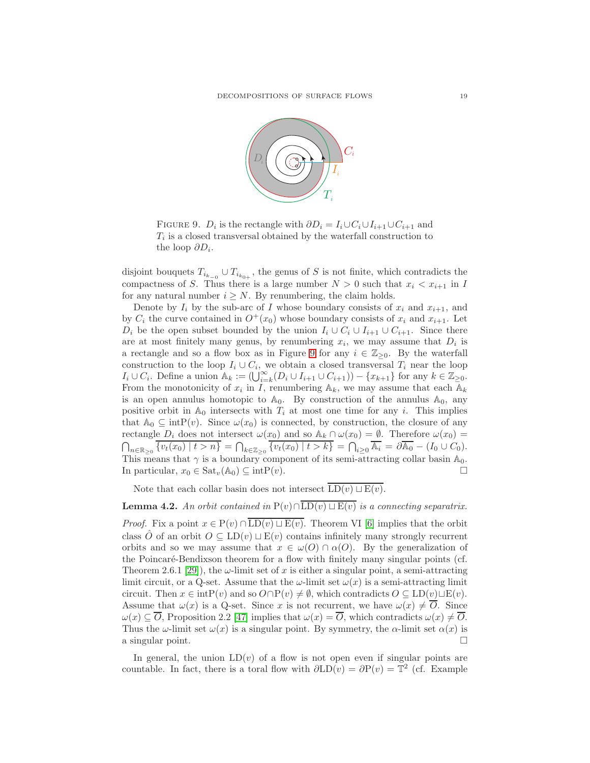

<span id="page-18-0"></span>FIGURE 9.  $D_i$  is the rectangle with  $\partial D_i = I_i \cup C_i \cup I_{i+1} \cup C_{i+1}$  and  $T_i$  is a closed transversal obtained by the waterfall construction to the loop  $\partial D_i$ .

disjoint bouquets  $T_{i_{k_{-0}}} \cup T_{i_{k_{0+}}}$ , the genus of S is not finite, which contradicts the compactness of S. Thus there is a large number  $N > 0$  such that  $x_i < x_{i+1}$  in I for any natural number  $i \geq N$ . By renumbering, the claim holds.

Denote by  $I_i$  by the sub-arc of I whose boundary consists of  $x_i$  and  $x_{i+1}$ , and by  $C_i$  the curve contained in  $O^+(x_0)$  whose boundary consists of  $x_i$  and  $x_{i+1}$ . Let  $D_i$  be the open subset bounded by the union  $I_i \cup C_i \cup I_{i+1} \cup C_{i+1}$ . Since there are at most finitely many genus, by renumbering  $x_i$ , we may assume that  $D_i$  is a rectangle and so a flow box as in Figure [9](#page-18-0) for any  $i \in \mathbb{Z}_{\geq 0}$ . By the waterfall construction to the loop  $I_i \cup C_i$ , we obtain a closed transversal  $T_i$  near the loop  $I_i\cup C_i$ . Define a union  $\mathbb{A}_k := (\bigcup_{i=k}^{\infty} (D_i \cup I_{i+1} \cup C_{i+1})) - \{x_{k+1}\}\$ for any  $k \in \mathbb{Z}_{\geq 0}$ . From the monotonicity of  $x_i$  in I, renumbering  $\mathbb{A}_k$ , we may assume that each  $\mathbb{A}_k$ is an open annulus homotopic to  $\mathbb{A}_0$ . By construction of the annulus  $\mathbb{A}_0$ , any positive orbit in  $\mathbb{A}_0$  intersects with  $T_i$  at most one time for any i. This implies that  $\mathbb{A}_0 \subseteq \text{intP}(v)$ . Since  $\omega(x_0)$  is connected, by construction, the closure of any rectangle  $D_i$  does not intersect  $\omega(x_0)$  and so  $\mathbb{A}_k \cap \omega(x_0) = \emptyset$ . Therefore  $\omega(x_0) =$  $\bigcap_{n\in\mathbb{R}_{\geq 0}}\overline{\{v_t(x_0)\mid t>n\}}=\bigcap_{k\in\mathbb{Z}_{\geq 0}}\overline{\{v_t(x_0)\mid t>k\}}=\bigcap_{i\geq 0}\overline{\mathbb{A}_i}=\partial\overline{\mathbb{A}_0}-(I_0\cup C_0).$ This means that  $\gamma$  is a boundary component of its semi-attracting collar basin  $\mathbb{A}_0$ . In particular,  $x_0 \in \text{Sat}_v(\mathbb{A}_0) \subseteq \text{intP}(v)$ .

Note that each collar basin does not intersect  $\overline{\text{LD}(v) \sqcup \text{E}(v)}$ .

<span id="page-18-1"></span>**Lemma 4.2.** An orbit contained in P(v)∩ $\overline{\text{LD}(v) \sqcup \text{E}(v)}$  is a connecting separatrix. *Proof.* Fix a point  $x \in P(v) \cap \overline{\text{LD}(v) \sqcup \text{E}(v)}$ . Theorem VI [\[6\]](#page-56-28) implies that the orbit class  $\hat{O}$  of an orbit  $O \subseteq LD(v) \sqcup E(v)$  contains infinitely many strongly recurrent orbits and so we may assume that  $x \in \omega(O) \cap \alpha(O)$ . By the generalization of the Poincaré-Bendixson theorem for a flow with finitely many singular points (cf. Theorem 2.6.1 [\[29\]](#page-56-5)), the  $\omega$ -limit set of x is either a singular point, a semi-attracting limit circuit, or a Q-set. Assume that the  $\omega$ -limit set  $\omega(x)$  is a semi-attracting limit circuit. Then  $x \in \text{intP}(v)$  and so  $O \cap P(v) \neq \emptyset$ , which contradicts  $O \subseteq LD(v) \sqcup E(v)$ . Assume that  $\omega(x)$  is a Q-set. Since x is not recurrent, we have  $\omega(x) \neq \overline{O}$ . Since  $\omega(x) \subseteq \overline{O}$ , Proposition 2.2 [\[47\]](#page-57-6) implies that  $\omega(x) = \overline{O}$ , which contradicts  $\omega(x) \neq \overline{O}$ . Thus the  $\omega$ -limit set  $\omega(x)$  is a singular point. By symmetry, the  $\alpha$ -limit set  $\alpha(x)$  is a singular point.

In general, the union  $LD(v)$  of a flow is not open even if singular points are countable. In fact, there is a toral flow with  $\partial LD(v) = \partial P(v) = \mathbb{T}^2$  (cf. Example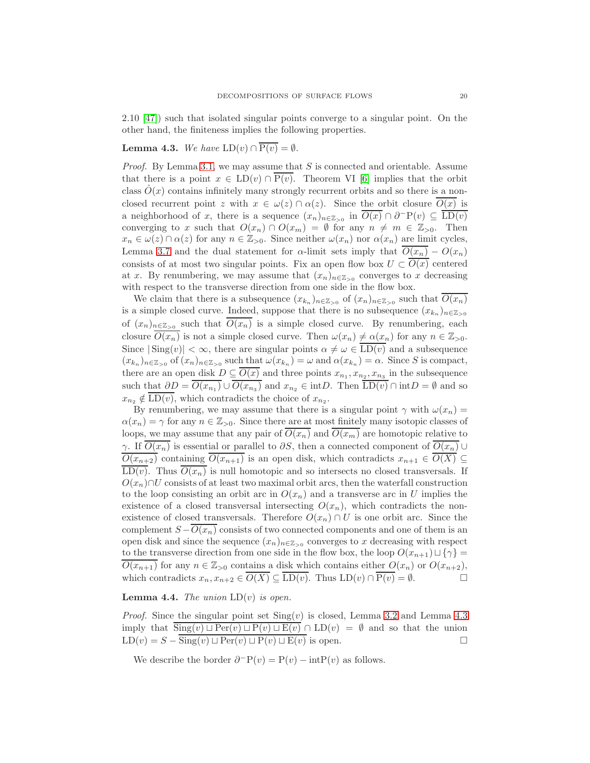2.10 [\[47\]](#page-57-6)) such that isolated singular points converge to a singular point. On the other hand, the finiteness implies the following properties.

# <span id="page-19-0"></span>**Lemma 4.3.** We have  $LD(v) \cap \overline{P(v)} = \emptyset$ .

*Proof.* By Lemma [3.1,](#page-11-0) we may assume that  $S$  is connected and orientable. Assume that there is a point  $x \in LD(v) \cap P(v)$ . Theorem VI [\[6\]](#page-56-28) implies that the orbit class  $O(x)$  contains infinitely many strongly recurrent orbits and so there is a nonclosed recurrent point z with  $x \in \omega(z) \cap \alpha(z)$ . Since the orbit closure  $O(x)$  is a neighborhood of x, there is a sequence  $(x_n)_{n \in \mathbb{Z}_{>0}}$  in  $\overline{O(x)} \cap \partial^-P(v) \subseteq \overline{\text{LD}(v)}$ converging to x such that  $O(x_n) \cap O(x_m) = \emptyset$  for any  $n \neq m \in \mathbb{Z}_{>0}$ . Then  $x_n \in \omega(z) \cap \alpha(z)$  for any  $n \in \mathbb{Z}_{>0}$ . Since neither  $\omega(x_n)$  nor  $\alpha(x_n)$  are limit cycles, Lemma [3.7](#page-15-0) and the dual statement for  $\alpha$ -limit sets imply that  $O(x_n) - O(x_n)$ consists of at most two singular points. Fix an open flow box  $U \subset \overline{O(x)}$  centered at x. By renumbering, we may assume that  $(x_n)_{n \in \mathbb{Z}_{>0}}$  converges to x decreasing with respect to the transverse direction from one side in the flow box.

We claim that there is a subsequence  $(x_{k_n})_{n \in \mathbb{Z}_{>0}}$  of  $(x_n)_{n \in \mathbb{Z}_{>0}}$  such that  $O(x_n)$ is a simple closed curve. Indeed, suppose that there is no subsequence  $(x_{k_n})_{n \in \mathbb{Z}_{>0}}$ of  $(x_n)_{n \in \mathbb{Z}_{>0}}$  such that  $O(x_n)$  is a simple closed curve. By renumbering, each closure  $\overline{O(x_n)}$  is not a simple closed curve. Then  $\omega(x_n) \neq \alpha(x_n)$  for any  $n \in \mathbb{Z}_{>0}$ . Since  $|\text{Sing}(v)| < \infty$ , there are singular points  $\alpha \neq \omega \in \overline{\text{LD}(v)}$  and a subsequence  $(x_{k_n})_{n \in \mathbb{Z}_{>0}}$  of  $(x_n)_{n \in \mathbb{Z}_{>0}}$  such that  $\omega(x_{k_n}) = \omega$  and  $\alpha(x_{k_n}) = \alpha$ . Since S is compact, there are an open disk  $D \subseteq O(x)$  and three points  $x_{n_1}, x_{n_2}, x_{n_3}$  in the subsequence such that  $\partial D = O(x_{n_1}) \cup O(x_{n_3})$  and  $x_{n_2} \in \text{int}D$ . Then  $LD(v) \cap \text{int}D = \emptyset$  and so  $x_{n_2} \notin \text{LD}(v)$ , which contradicts the choice of  $x_{n_2}$ .

By renumbering, we may assume that there is a singular point  $\gamma$  with  $\omega(x_n)$  =  $\alpha(x_n) = \gamma$  for any  $n \in \mathbb{Z}_{>0}$ . Since there are at most finitely many isotopic classes of loops, we may assume that any pair of  $\overline{O(x_n)}$  and  $\overline{O(x_m)}$  are homotopic relative to γ. If  $\overline{O(x_n)}$  is essential or parallel to  $\partial S$ , then a connected component of  $\overline{O(x_n)}$   $\cup$  $\overline{O(x_{n+2})}$  containing  $\overline{O(x_{n+1})}$  is an open disk, which contradicts  $x_{n+1} \in \overline{O(X)} \subseteq$  $\overline{\text{LD}(v)}$ . Thus  $\overline{O(x_n)}$  is null homotopic and so intersects no closed transversals. If  $O(x_n) \cap U$  consists of at least two maximal orbit arcs, then the waterfall construction to the loop consisting an orbit arc in  $O(x_n)$  and a transverse arc in U implies the existence of a closed transversal intersecting  $O(x_n)$ , which contradicts the nonexistence of closed transversals. Therefore  $O(x_n) \cap U$  is one orbit arc. Since the complement  $S - O(x_n)$  consists of two connected components and one of them is an open disk and since the sequence  $(x_n)_{n \in \mathbb{Z}_{>0}}$  converges to x decreasing with respect to the transverse direction from one side in the flow box, the loop  $O(x_{n+1}) \sqcup \{\gamma\}$  $\overline{O(x_{n+1})}$  for any  $n \in \mathbb{Z}_{>0}$  contains a disk which contains either  $O(x_n)$  or  $O(x_{n+2})$ , which contradicts  $x_n, x_{n+2} \in \overline{O(X)} \subseteq \overline{\text{LD}(v)}$ . Thus  $\text{LD}(v) \cap \overline{P(v)} = \emptyset$ .

# <span id="page-19-1"></span>**Lemma 4.4.** The union  $LD(v)$  is open.

*Proof.* Since the singular point set  $\text{Sing}(v)$  is closed, Lemma [3.2](#page-12-0) and Lemma [4.3](#page-19-0) imply that  $\text{Sing}(v) \sqcup \text{Per}(v) \sqcup \text{P}(v) \sqcup \text{E}(v) \cap \text{LD}(v) = \emptyset$  and so that the union  $LD(v) = S - \overline{\text{Sing}}(v) \sqcup \text{Per}(v) \sqcup P(v) \sqcup E(v)$  is open.

We describe the border  $\partial^- P(v) = P(v) - \text{int}P(v)$  as follows.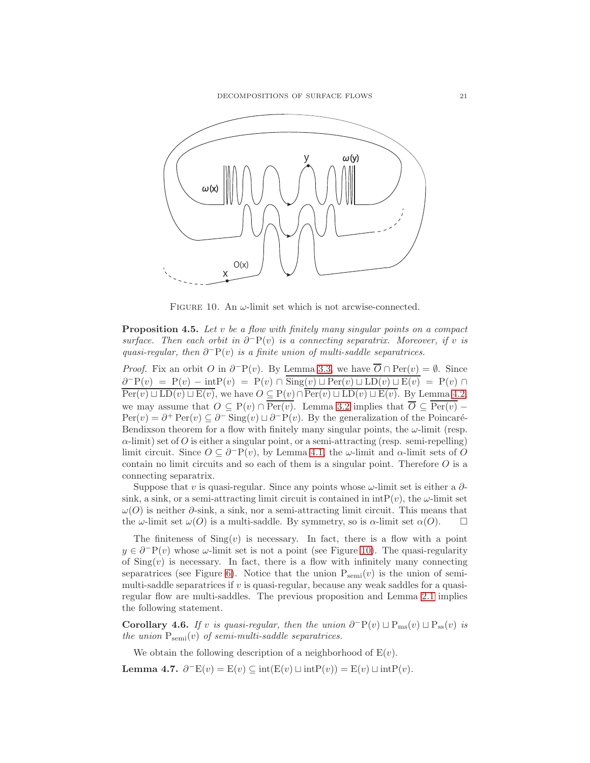

<span id="page-20-1"></span>FIGURE 10. An  $\omega$ -limit set which is not arcwise-connected.

<span id="page-20-2"></span>Proposition 4.5. Let v be a flow with finitely many singular points on a compact surface. Then each orbit in  $\partial^{-}P(v)$  is a connecting separatrix. Moreover, if v is quasi-regular, then  $\partial^-\mathbf{P}(v)$  is a finite union of multi-saddle separatrices.

*Proof.* Fix an orbit O in  $\partial^{\neg} P(v)$ . By Lemma [3.3,](#page-13-0) we have  $\overline{O} \cap Per(v) = \emptyset$ . Since  $\partial^{-}P(v) = P(v) - \text{int}P(v) = P(v) \cap \overline{\text{Sing}(v) \sqcup \text{Per}(v) \sqcup \text{LD}(v) \sqcup \text{E}(v)} = P(v) \cap \overline{\text{Sing}(v) \sqcup \text{Per}(v)}$  $\overline{\mathrm{Per}(v) \sqcup \mathrm{LD}(v) \sqcup \mathrm{E}(v)}$ , we have  $O \subseteq \mathrm{P}(v) \cap \overline{\mathrm{Per}(v) \sqcup \mathrm{LD}(v) \sqcup \mathrm{E}(v)}$ . By Lemma [4.2,](#page-18-1) we may assume that  $O \subseteq P(v) \cap \overline{Per(v)}$ . Lemma [3.2](#page-12-0) implies that  $\overline{O} \subseteq \overline{Per(v)}$  –  $Per(v) = \partial^+ Per(v) \subseteq \partial^- Sing(v) \sqcup \partial^- P(v)$ . By the generalization of the Poincaré-Bendixson theorem for a flow with finitely many singular points, the  $\omega$ -limit (resp.  $\alpha$ -limit) set of O is either a singular point, or a semi-attracting (resp. semi-repelling) limit circuit. Since  $O \subseteq \partial^{-}P(v)$ , by Lemma [4.1,](#page-17-1) the  $\omega$ -limit and  $\alpha$ -limit sets of O contain no limit circuits and so each of them is a singular point. Therefore  $O$  is a connecting separatrix.

Suppose that v is quasi-regular. Since any points whose  $\omega$ -limit set is either a  $\partial$ sink, a sink, or a semi-attracting limit circuit is contained in  $\text{intP}(v)$ , the  $\omega$ -limit set  $ω$ (O) is neither  $\partial$ -sink, a sink, nor a semi-attracting limit circuit. This means that the  $\omega$ -limit set  $\omega(O)$  is a multi-saddle. By symmetry, so is  $\alpha$ -limit set  $\alpha(O)$ .

The finiteness of  $\text{Sing}(v)$  is necessary. In fact, there is a flow with a point  $y \in \partial^{-}P(v)$  whose  $\omega$ -limit set is not a point (see Figure [10\)](#page-20-1). The quasi-regularity of  $\text{Sing}(v)$  is necessary. In fact, there is a flow with infinitely many connecting separatrices (see Figure [6\)](#page-10-0). Notice that the union  $P_{semi}(v)$  is the union of semimulti-saddle separatrices if v is quasi-regular, because any weak saddles for a quasiregular flow are multi-saddles. The previous proposition and Lemma [2.1](#page-10-1) implies the following statement.

<span id="page-20-0"></span>Corollary 4.6. If v is quasi-regular, then the union  $\partial^-P(v) \sqcup P_{ms}(v) \sqcup P_{ss}(v)$  is the union  $P_{semi}(v)$  of semi-multi-saddle separatrices.

We obtain the following description of a neighborhood of  $E(v)$ .

<span id="page-20-3"></span>Lemma 4.7.  $\partial^- E(v) = E(v) \subseteq \text{int}(E(v) \sqcup \text{int}P(v)) = E(v) \sqcup \text{int}P(v)$ .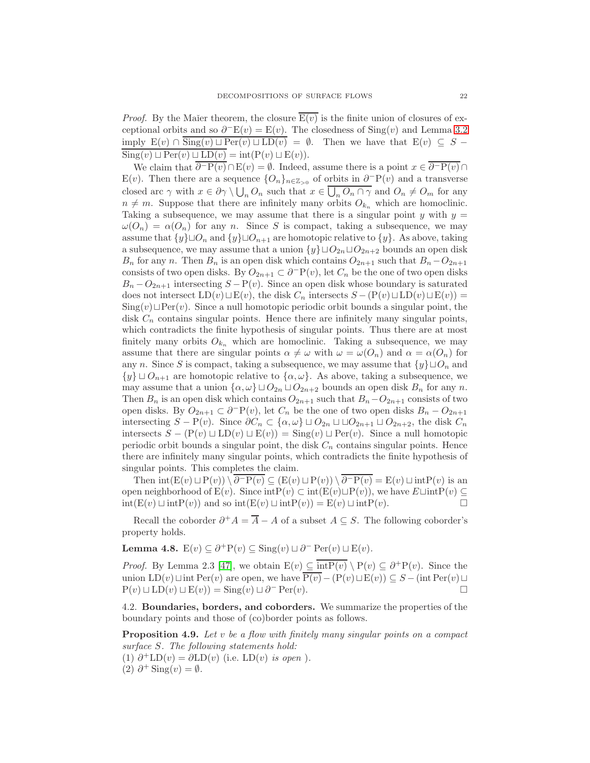*Proof.* By the Maier theorem, the closure  $E(v)$  is the finite union of closures of exceptional orbits and so  $\partial$ <sup>-</sup>E(v) = E(v). The closedness of Sing(v) and Lemma [3.2](#page-12-0) imply  $E(v) \cap \overline{\text{Sing}(v) \sqcup \text{Per}(v) \sqcup \text{LD}(v)} = \emptyset$ . Then we have that  $E(v) \subseteq S \text{Sing}(v) \sqcup \text{Per}(v) \sqcup \text{LD}(v) = \text{int}(\text{P}(v) \sqcup \text{E}(v)).$ 

We claim that  $\overline{\partial^{-}P(v)} \cap E(v) = \emptyset$ . Indeed, assume there is a point  $x \in \overline{\partial^{-}P(v)} \cap E(v)$ E(v). Then there are a sequence  ${O_n}_{n \in \mathbb{Z}_{>0}}$  of orbits in  $\partial^-P(v)$  and a transverse closed arc  $\gamma$  with  $x \in \partial \gamma \setminus \bigcup_n O_n$  such that  $x \in \overline{\bigcup_n O_n \cap \gamma}$  and  $O_n \neq O_m$  for any  $n \neq m$ . Suppose that there are infinitely many orbits  $O_{k_n}$  which are homoclinic. Taking a subsequence, we may assume that there is a singular point  $y$  with  $y =$  $\omega(O_n) = \alpha(O_n)$  for any n. Since S is compact, taking a subsequence, we may assume that  $\{y\} \sqcup O_n$  and  $\{y\} \sqcup O_{n+1}$  are homotopic relative to  $\{y\}$ . As above, taking a subsequence, we may assume that a union  $\{y\} \sqcup O_{2n} \sqcup O_{2n+2}$  bounds an open disk  $B_n$  for any n. Then  $B_n$  is an open disk which contains  $O_{2n+1}$  such that  $B_n-O_{2n+1}$ consists of two open disks. By  $O_{2n+1} \subset \partial^{-}P(v)$ , let  $C_n$  be the one of two open disks  $B_n-O_{2n+1}$  intersecting  $S-P(v)$ . Since an open disk whose boundary is saturated does not intersect  $LD(v) \sqcup E(v)$ , the disk  $C_n$  intersects  $S - (P(v) \sqcup LD(v) \sqcup E(v)) =$  $\text{Sing}(v) \sqcup \text{Per}(v)$ . Since a null homotopic periodic orbit bounds a singular point, the disk  $C_n$  contains singular points. Hence there are infinitely many singular points, which contradicts the finite hypothesis of singular points. Thus there are at most finitely many orbits  $O_{k_n}$  which are homoclinic. Taking a subsequence, we may assume that there are singular points  $\alpha \neq \omega$  with  $\omega = \omega(O_n)$  and  $\alpha = \alpha(O_n)$  for any n. Since S is compact, taking a subsequence, we may assume that  $\{y\} \sqcup O_n$  and  $\{y\} \sqcup O_{n+1}$  are homotopic relative to  $\{\alpha,\omega\}$ . As above, taking a subsequence, we may assume that a union  $\{\alpha,\omega\} \sqcup O_{2n} \sqcup O_{2n+2}$  bounds an open disk  $B_n$  for any n. Then  $B_n$  is an open disk which contains  $O_{2n+1}$  such that  $B_n-O_{2n+1}$  consists of two open disks. By  $O_{2n+1} \subset \partial^{-}P(v)$ , let  $C_n$  be the one of two open disks  $B_n - O_{2n+1}$ intersecting  $S - P(v)$ . Since  $\partial C_n \subset \{\alpha, \omega\} \sqcup O_{2n} \sqcup \sqcup O_{2n+1} \sqcup O_{2n+2}$ , the disk  $C_n$ intersects S − (P(v) ⊔ LD(v) ⊔ E(v)) = Sing(v) ⊔ Per(v). Since a null homotopic periodic orbit bounds a singular point, the disk  $C_n$  contains singular points. Hence there are infinitely many singular points, which contradicts the finite hypothesis of singular points. This completes the claim.

Then  $\mathrm{int}(\mathrm{E}(v) \sqcup \mathrm{P}(v)) \setminus \partial^{-} \mathrm{P}(v) \subseteq (\mathrm{E}(v) \sqcup \mathrm{P}(v)) \setminus \partial^{-} \mathrm{P}(v) = \mathrm{E}(v) \sqcup \mathrm{int} \mathrm{P}(v)$  is an open neighborhood of  $E(v)$ . Since  $int P(v) \subset int(E(v) \sqcup P(v))$ , we have  $E \sqcup int P(v) \subseteq$  $int(E(v) \sqcup intP(v))$  and so  $int(E(v) \sqcup intP(v)) = E(v) \sqcup intP(v)$ .  $\Box$ 

Recall the coborder  $\partial^+ A = \overline{A} - A$  of a subset  $A \subseteq S$ . The following coborder's property holds.

<span id="page-21-0"></span>Lemma 4.8.  $E(v) \subseteq \partial^+ P(v) \subseteq \text{Sing}(v) \sqcup \partial^- \text{Per}(v) \sqcup E(v)$ .

*Proof.* By Lemma 2.3 [\[47\]](#page-57-6), we obtain  $E(v) \subseteq \overline{\text{int}P(v)} \setminus P(v) \subseteq \partial^+ P(v)$ . Since the union LD(v) $\Box$ int Per(v) are open, we have  $\overline{P(v)}-(P(v)\Box E(v))\subseteq S-(\text{int Per}(v)\Box$  $P(v) \sqcup LD(v) \sqcup E(v)) = Sing(v) \sqcup \partial^{-} Per(v).$ 

4.2. Boundaries, borders, and coborders. We summarize the properties of the boundary points and those of (co)border points as follows.

<span id="page-21-1"></span>Proposition 4.9. Let v be a flow with finitely many singular points on a compact surface S. The following statements hold:

(1)  $\partial^+ \text{LD}(v) = \partial \text{LD}(v)$  (i.e.  $\text{LD}(v)$  is open). (2)  $\partial^+$  Sing(v) =  $\emptyset$ .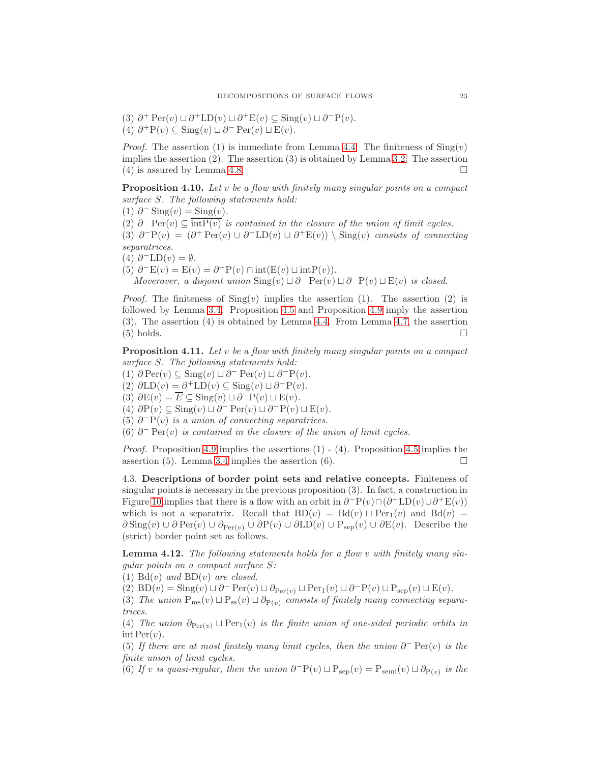(3)  $\partial^+ \operatorname{Per}(v) \sqcup \partial^+ \operatorname{LD}(v) \sqcup \partial^+ \operatorname{E}(v) \subseteq \operatorname{Sing}(v) \sqcup \partial^- \operatorname{P}(v)$ . (4)  $\partial^+ P(v) \subseteq \text{Sing}(v) \sqcup \partial^- \text{Per}(v) \sqcup \text{E}(v)$ .

*Proof.* The assertion (1) is immediate from Lemma [4.4.](#page-19-1) The finiteness of  $\text{Sing}(v)$ implies the assertion  $(2)$ . The assertion  $(3)$  is obtained by Lemma [3.2.](#page-12-0) The assertion (4) is assured by Lemma [4.8.](#page-21-0)

<span id="page-22-1"></span>**Proposition 4.10.** Let v be a flow with finitely many singular points on a compact surface S. The following statements hold:

(1)  $\partial$ <sup>-</sup> Sing(v) = Sing(v).

(2)  $\partial^-$  Per $(v) \subseteq \overline{\text{int}P(v)}$  is contained in the closure of the union of limit cycles. (3)  $\partial^{\neg}P(v) = (\partial^{\neg}Per(v) \cup \partial^{\neg}LD(v) \cup \partial^{\neg}E(v)) \setminus Sing(v)$  consists of connecting separatrices.

(4)  $\partial^{-}LD(v) = \emptyset$ .

(5)  $\partial^- E(v) = E(v) = \partial^+ P(v) \cap int(E(v) \sqcup intP(v)).$ 

Moverover, a disjoint union  $\text{Sing}(v) \sqcup \partial^- \text{Per}(v) \sqcup \partial^- \text{P}(v) \sqcup \text{E}(v)$  is closed.

*Proof.* The finiteness of  $\text{Sing}(v)$  implies the assertion (1). The assertion (2) is followed by Lemma [3.4.](#page-13-1) Proposition [4.5](#page-20-2) and Proposition [4.9](#page-21-1) imply the assertion (3). The assertion (4) is obtained by Lemma [4.4.](#page-19-1) From Lemma [4.7,](#page-20-3) the assertion  $(5)$  holds.

<span id="page-22-2"></span>**Proposition 4.11.** Let v be a flow with finitely many singular points on a compact surface S. The following statements hold:

(1)  $\partial \operatorname{Per}(v) \subseteq \operatorname{Sing}(v) \sqcup \partial^- \operatorname{Per}(v) \sqcup \partial^- \operatorname{P}(v)$ . (2)  $\partial \text{LD}(v) = \partial^+ \text{LD}(v) \subseteq \text{Sing}(v) \sqcup \partial^- \text{P}(v)$ . (3)  $\partial E(v) = \overline{E} \subseteq$  Sing $(v) \sqcup \partial^{-}P(v) \sqcup E(v)$ .

(4)  $\partial P(v) \subseteq \text{Sing}(v) \sqcup \partial^- \text{Per}(v) \sqcup \partial^- \text{P}(v) \sqcup \text{E}(v)$ .

(5)  $∂<sup>−</sup>P(v)$  is a union of connecting separatrices.

(6)  $∂<sup>−</sup> Per(v)$  is contained in the closure of the union of limit cycles.

*Proof.* Proposition [4.9](#page-21-1) implies the assertions  $(1)$  -  $(4)$ . Proposition [4.5](#page-20-2) implies the assertion (5). Lemma [3.4](#page-13-1) implies the assertion (6).

4.3. Descriptions of border point sets and relative concepts. Finiteness of singular points is necessary in the previous proposition (3). In fact, a construction in Figure [10](#page-20-1) implies that there is a flow with an orbit in  $\partial^- P(v) \cap (\partial^+ LD(v) \cup \partial^+ E(v))$ which is not a separatrix. Recall that  $BD(v) = Bd(v) \sqcup Per_1(v)$  and  $Bd(v) =$  $\partial \text{Sing}(v) \cup \partial \text{Per}(v) \cup \partial_{\text{Per}(v)} \cup \partial P(v) \cup \partial \text{LD}(v) \cup P_{\text{sep}}(v) \cup \partial E(v)$ . Describe the (strict) border point set as follows.

<span id="page-22-0"></span>Lemma 4.12. The following statements holds for a flow v with finitely many singular points on a compact surface S:

(1)  $Bd(v)$  and  $BD(v)$  are closed.

(2)  $BD(v) = Sing(v) \sqcup \partial^{-} Per(v) \sqcup \partial_{Per(v)} \sqcup Per_1(v) \sqcup \partial^{-}P(v) \sqcup P_{sep}(v) \sqcup E(v).$ 

(3) The union  $P_{ms}(v) \sqcup P_{ss}(v) \sqcup \partial_{P(v)}$  consists of finitely many connecting separatrices.

(4) The union  $\partial_{Per(v)} \sqcup Per_1(v)$  is the finite union of one-sided periodic orbits in  $\text{int Per}(v)$ .

(5) If there are at most finitely many limit cycles, then the union  $\partial^-$  Per $(v)$  is the finite union of limit cycles.

(6) If v is quasi-regular, then the union  $\partial^{\Box}P(v) \sqcup P_{\rm sep}(v) = P_{\rm semi}(v) \sqcup \partial_{P(v)}$  is the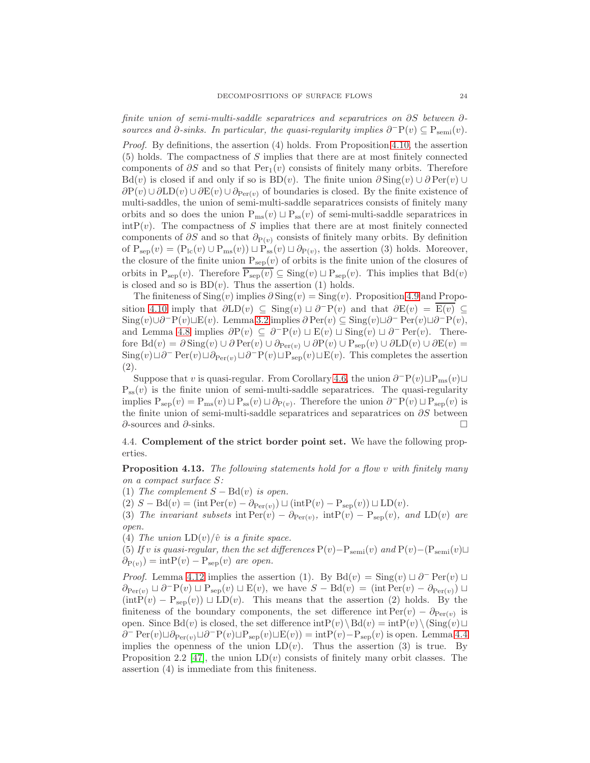finite union of semi-multi-saddle separatrices and separatrices on ∂S between ∂ sources and  $\partial$ -sinks. In particular, the quasi-regularity implies  $\partial^{\neg}P(v) \subseteq P_{\text{semi}}(v)$ .

*Proof.* By definitions, the assertion  $(4)$  holds. From Proposition [4.10,](#page-22-1) the assertion (5) holds. The compactness of S implies that there are at most finitely connected components of  $\partial S$  and so that Per<sub>1</sub>(v) consists of finitely many orbits. Therefore Bd(v) is closed if and only if so is BD(v). The finite union  $\partial Sing(v) \cup \partial Per(v) \cup$  $\partial P(v) \cup \partial LD(v) \cup \partial E(v) \cup \partial_{Per(v)}$  of boundaries is closed. By the finite existence of multi-saddles, the union of semi-multi-saddle separatrices consists of finitely many orbits and so does the union  $P_{ms}(v) \sqcup P_{ss}(v)$  of semi-multi-saddle separatrices in  $\int \text{intP}(v)$ . The compactness of S implies that there are at most finitely connected components of  $\partial S$  and so that  $\partial P(v)$  consists of finitely many orbits. By definition of  $P_{sep}(v) = (P_{lc}(v) \cup P_{ms}(v)) \sqcup P_{ss}(v) \sqcup \partial_{P(v)}$ , the assertion (3) holds. Moreover, the closure of the finite union  $P_{sep}(v)$  of orbits is the finite union of the closures of orbits in  $P_{sep}(v)$ . Therefore  $\overline{P_{sep}(v)} \subseteq Sing(v) \sqcup P_{sep}(v)$ . This implies that  $Bd(v)$ is closed and so is  $BD(v)$ . Thus the assertion (1) holds.

The finiteness of  $\text{Sing}(v)$  implies  $\partial \text{Sing}(v) = \text{Sing}(v)$ . Proposition [4.9](#page-21-1) and Propo-sition [4.10](#page-22-1) imply that  $\partial LD(v) \subseteq Sing(v) \sqcup \partial^{-}P(v)$  and that  $\partial E(v) = \overline{E(v)} \subseteq$ Sing $(v) \cup \partial^{-} P(v) \sqcup E(v)$ . Lemma [3.2](#page-12-0) implies  $\partial Per(v) \subseteq Sing(v) \sqcup \partial^{-} Per(v) \sqcup \partial^{-} P(v)$ , and Lemma [4.8](#page-21-0) implies  $\partial P(v) \subseteq \partial^{-} P(v) \sqcup E(v) \sqcup Sing(v) \sqcup \partial^{-} Per(v)$ . Therefore  $Bd(v) = \partial Sing(v) \cup \partial Per(v) \cup \partial_{Per(v)} \cup \partial P(v) \cup P_{sep}(v) \cup \partial LD(v) \cup \partial E(v) =$  $\text{Sing}(v) \sqcup \partial^- \text{Per}(v) \sqcup \partial_{\text{Per}(v)} \sqcup \partial^- \text{P}(v) \sqcup \text{P}_{\text{sep}}(v) \sqcup \text{E}(v)$ . This completes the assertion (2).

Suppose that v is quasi-regular. From Corollary [4.6,](#page-20-0) the union  $\partial^-P(v) \sqcup P_{ms}(v) \sqcup$  $P_{ss}(v)$  is the finite union of semi-multi-saddle separatrices. The quasi-regularity implies  $P_{sep}(v) = P_{ms}(v) \sqcup P_{ss}(v) \sqcup \partial_{P(v)}$ . Therefore the union  $\partial^{\neg} P(v) \sqcup P_{sep}(v)$  is the finite union of semi-multi-saddle separatrices and separatrices on  $\partial S$  between ∂-sources and ∂-sinks.

4.4. Complement of the strict border point set. We have the following properties.

<span id="page-23-0"></span>Proposition 4.13. The following statements hold for a flow v with finitely many on a compact surface S:

(1) The complement  $S - \text{Bd}(v)$  is open.

(2)  $S - \text{Bd}(v) = (\text{int Per}(v) - \partial_{\text{Per}(v)}) \sqcup (\text{intP}(v) - \text{P}_{\text{sep}}(v)) \sqcup \text{LD}(v).$ 

(3) The invariant subsets int  $\text{Per}(v) - \partial_{\text{Per}(v)}$ , int $P(v) - P_{\text{sep}}(v)$ , and  $LD(v)$  are open.

(4) The union  $LD(v)/\hat{v}$  is a finite space.

(5) If v is quasi-regular, then the set differences  $P(v) - P_{semi}(v)$  and  $P(v) - (P_{semi}(v) \sqcup$  $\partial_{P(v)}) = intP(v) - P_{sep}(v)$  are open.

*Proof.* Lemma [4.12](#page-22-0) implies the assertion (1). By Bd(v) =  $\text{Sing}(v) \sqcup \partial^- \text{Per}(v) \sqcup$  $\partial_{\text{Per}(v)} \sqcup \partial^{-}P(v) \sqcup P_{\text{sep}}(v) \sqcup E(v)$ , we have  $S - \text{Bd}(v) = (\text{int Per}(v) - \partial_{\text{Per}(v)}) \sqcup$  $(intP(v) - P_{sep}(v)) \sqcup LD(v)$ . This means that the assertion (2) holds. By the finiteness of the boundary components, the set difference int  $Per(v) - \partial_{Per(v)}$  is open. Since Bd(v) is closed, the set difference  $\mathrm{intP}(v)\setminus\text{Bd}(v) = \mathrm{intP}(v)\setminus(\text{Sing}(v)\sqcup$  $\partial^-$  Per $(v)$  $\Box \partial_{\text{Per}(v)}$  $\Box \partial^-$ P $(v)$  $\Box P_{\text{sep}}(v)$  $\Box E(v)$ ) = intP $(v)$  $-$  P<sub>sep</sub> $(v)$  is open. Lemma [4.4](#page-19-1) implies the openness of the union  $LD(v)$ . Thus the assertion (3) is true. By Proposition 2.2 [\[47\]](#page-57-6), the union  $LD(v)$  consists of finitely many orbit classes. The assertion (4) is immediate from this finiteness.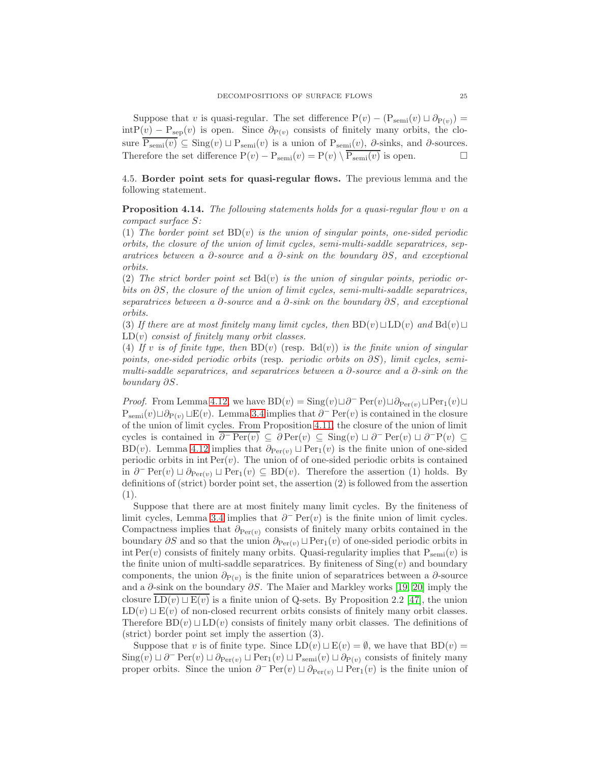Suppose that v is quasi-regular. The set difference  $P(v) - (P_{semi}(v) \sqcup \partial_{P(v)}) =$  $\text{intP}(v) - \text{P}_{\text{sep}}(v)$  is open. Since  $\partial_{\text{P}(v)}$  consists of finitely many orbits, the closure  $\overline{P_{semi}(v)} \subseteq$  Sing $(v) \sqcup P_{semi}(v)$  is a union of  $P_{semi}(v), \partial_{ns}$  inks, and  $\partial_{ns}$  sources. Therefore the set difference  $P(v) - P_{semi}(v) = P(v) \setminus \overline{P_{semi}(v)}$  is open.

4.5. Border point sets for quasi-regular flows. The previous lemma and the following statement.

<span id="page-24-0"></span>Proposition 4.14. The following statements holds for a quasi-regular flow v on a compact surface S:

(1) The border point set  $BD(v)$  is the union of singular points, one-sided periodic orbits, the closure of the union of limit cycles, semi-multi-saddle separatrices, separatrices between a  $\partial$ -source and a  $\partial$ -sink on the boundary  $\partial S$ , and exceptional orbits.

(2) The strict border point set  $Bd(v)$  is the union of singular points, periodic orbits on  $\partial S$ , the closure of the union of limit cycles, semi-multi-saddle separatrices, separatrices between a  $\partial$ -source and a  $\partial$ -sink on the boundary  $\partial S$ , and exceptional orbits.

(3) If there are at most finitely many limit cycles, then  $BD(v) \sqcup LD(v)$  and  $Bd(v) \sqcup$  $LD(v)$  consist of finitely many orbit classes.

(4) If v is of finite type, then  $BD(v)$  (resp.  $Bd(v)$ ) is the finite union of singular points, one-sided periodic orbits (resp. periodic orbits on ∂S), limit cycles, semimulti-saddle separatrices, and separatrices between a  $\partial$ -source and a  $\partial$ -sink on the boundary ∂S.

*Proof.* From Lemma [4.12,](#page-22-0) we have  $BD(v) = Sing(v) \sqcup \partial^{\dagger} Per(v) \sqcup \partial_{Per(v)} \sqcup Per_1(v) \sqcup$  $P_{semi}(v) \sqcup \partial_{P(v)} \sqcup E(v)$ . Lemma [3.4](#page-13-1) implies that  $\partial^- \text{Per}(v)$  is contained in the closure of the union of limit cycles. From Proposition [4.11,](#page-22-2) the closure of the union of limit cycles is contained in  $\overline{\partial^-\operatorname{Per}(v)} \subseteq \partial \operatorname{Per}(v) \subseteq \operatorname{Sing}(v) \sqcup \partial^- \operatorname{Per}(v) \sqcup \partial^- \operatorname{Per}(v) \subseteq$ BD(v). Lemma [4.12](#page-22-0) implies that  $\partial_{Per(v)} \sqcup Per_1(v)$  is the finite union of one-sided periodic orbits in int  $Per(v)$ . The union of of one-sided periodic orbits is contained in  $\partial^-$  Per $(v) \sqcup \partial_{\text{Per}(v)} \sqcup \text{Per}_1(v) \subseteq BD(v)$ . Therefore the assertion (1) holds. By definitions of (strict) border point set, the assertion (2) is followed from the assertion (1).

Suppose that there are at most finitely many limit cycles. By the finiteness of limit cycles, Lemma [3.4](#page-13-1) implies that  $\partial^-$  Per $(v)$  is the finite union of limit cycles. Compactness implies that  $\partial_{Per(v)}$  consists of finitely many orbits contained in the boundary  $\partial S$  and so that the union  $\partial_{Per(v)} \sqcup Per_1(v)$  of one-sided periodic orbits in int Per(v) consists of finitely many orbits. Quasi-regularity implies that  $P_{semi}(v)$  is the finite union of multi-saddle separatrices. By finiteness of  $\text{Sing}(v)$  and boundary components, the union  $\partial_{P(v)}$  is the finite union of separatrices between a  $\partial$ -source and a  $\partial$ -sink on the boundary  $\partial S$ . The Maĭer and Markley works [\[19,](#page-56-12) [20\]](#page-56-26) imply the closure LD(v)  $\sqcup$  E(v) is a finite union of Q-sets. By Proposition 2.2 [\[47\]](#page-57-6), the union  $LD(v) \sqcup E(v)$  of non-closed recurrent orbits consists of finitely many orbit classes. Therefore BD(v)  $\sqcup$  LD(v) consists of finitely many orbit classes. The definitions of (strict) border point set imply the assertion (3).

Suppose that v is of finite type. Since  $LD(v) \sqcup E(v) = \emptyset$ , we have that  $BD(v) =$  $\text{Sing}(v) \sqcup \partial^- \text{Per}(v) \sqcup \partial_{\text{Per}(v)} \sqcup \text{Per}_1(v) \sqcup P_{\text{semi}}(v) \sqcup \partial_{\text{Per}(v)}$  consists of finitely many proper orbits. Since the union  $\partial^- \text{Per}(v) \sqcup \partial_{\text{Per}(v)} \sqcup \text{Per}_1(v)$  is the finite union of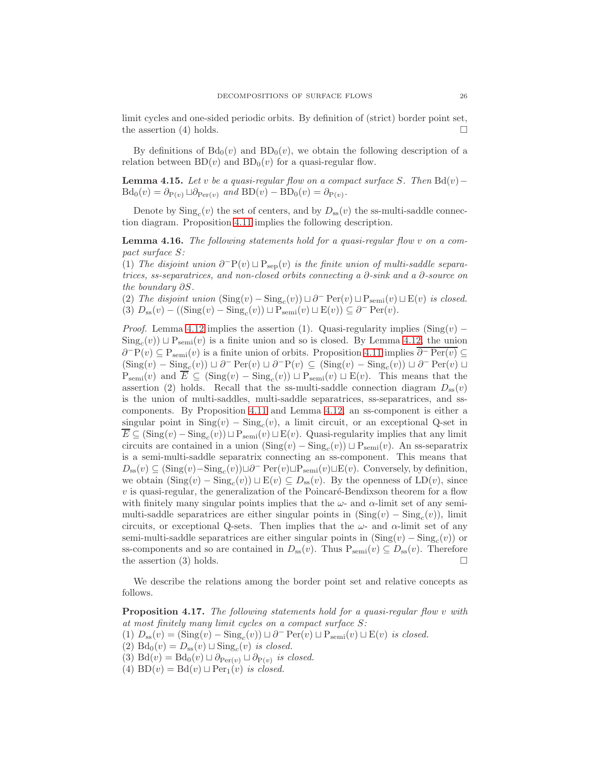limit cycles and one-sided periodic orbits. By definition of (strict) border point set, the assertion (4) holds.  $\square$ 

By definitions of  $Bd_0(v)$  and  $BD_0(v)$ , we obtain the following description of a relation between  $BD(v)$  and  $BD_0(v)$  for a quasi-regular flow.

<span id="page-25-1"></span>**Lemma 4.15.** Let v be a quasi-regular flow on a compact surface S. Then  $Bd(v)$  –  $\text{Bd}_0(v) = \partial_{\text{P}(v)} \sqcup \partial_{\text{Per}(v)} \text{ and } \text{BD}(v) - \text{BD}_0(v) = \partial_{\text{P}(v)}$ .

Denote by  $\text{Sing}_c(v)$  the set of centers, and by  $D_{ss}(v)$  the ss-multi-saddle connection diagram. Proposition [4.11](#page-22-2) implies the following description.

<span id="page-25-0"></span>Lemma 4.16. The following statements hold for a quasi-regular flow v on a compact surface S:

(1) The disjoint union  $\partial^-P(v) \sqcup P_{\rm sep}(v)$  is the finite union of multi-saddle separatrices, ss-separatrices, and non-closed orbits connecting a ∂-sink and a ∂-source on the boundary ∂S.

(2) The disjoint union  $(\text{Sing}(v) - \text{Sing}_c(v)) \sqcup \partial^- \text{Per}(v) \sqcup \text{P}_{\text{semi}}(v) \sqcup \text{E}(v)$  is closed. (3)  $D_{ss}(v) - ((\text{Sing}(v) - \text{Sing}_c(v)) \sqcup P_{semi}(v) \sqcup E(v)) \subseteq \partial^-\text{Per}(v)$ .

*Proof.* Lemma [4.12](#page-22-0) implies the assertion (1). Quasi-regularity implies  $(Sing(v) \text{Sing}_c(v)$   $\sqcup$   $\text{P}_{\text{semi}}(v)$  is a finite union and so is closed. By Lemma [4.12,](#page-22-0) the union  $\partial^{-}P(v) \subseteq P_{semi}(v)$  is a finite union of orbits. Proposition [4.11](#page-22-2) implies  $\overline{\partial^{-}Per(v)} \subseteq$  $(Sing(v) - Sing_c(v)) \sqcup \partial^- \text{Per}(v) \sqcup \partial^- \text{P}(v) \subseteq (Sing(v) - Sing_c(v)) \sqcup \partial^- \text{Per}(v) \sqcup$  $P_{semi}(v)$  and  $E \subseteq (\text{Sing}(v) - \text{Sing}_c(v)) \sqcup P_{semi}(v) \sqcup E(v)$ . This means that the assertion (2) holds. Recall that the ss-multi-saddle connection diagram  $D_{ss}(v)$ is the union of multi-saddles, multi-saddle separatrices, ss-separatrices, and sscomponents. By Proposition [4.11](#page-22-2) and Lemma [4.12,](#page-22-0) an ss-component is either a singular point in  $\text{Sing}(v) - \text{Sing}_c(v)$ , a limit circuit, or an exceptional Q-set in  $E \subseteq (\text{Sing}(v) - \text{Sing}_c(v)) \sqcup \text{P}_{\text{semi}}(v) \sqcup \text{E}(v)$ . Quasi-regularity implies that any limit circuits are contained in a union  $(\text{Sing}(v) - \text{Sing}_c(v)) \sqcup \text{P}_{\text{semi}}(v)$ . An ss-separatrix is a semi-multi-saddle separatrix connecting an ss-component. This means that  $D_{ss}(v) \subseteq (\text{Sing}(v) - \text{Sing}_c(v)) \sqcup \partial^- \text{Per}(v) \sqcup \text{P}_{semi}(v) \sqcup \text{E}(v)$ . Conversely, by definition, we obtain  $(\text{Sing}(v) - \text{Sing}_c(v)) \sqcup E(v) \subseteq D_{ss}(v)$ . By the openness of  $LD(v)$ , since  $v$  is quasi-regular, the generalization of the Poincaré-Bendixson theorem for a flow with finitely many singular points implies that the  $\omega$ - and  $\alpha$ -limit set of any semimulti-saddle separatrices are either singular points in  $(Sing(v) - Sing_c(v))$ , limit circuits, or exceptional Q-sets. Then implies that the  $\omega$ - and  $\alpha$ -limit set of any semi-multi-saddle separatrices are either singular points in  $(\text{Sing}(v) - \text{Sing}_c(v))$  or ss-components and so are contained in  $D_{ss}(v)$ . Thus  $P_{semi}(v) \subseteq D_{ss}(v)$ . Therefore the assertion (3) holds.  $\square$ 

We describe the relations among the border point set and relative concepts as follows.

<span id="page-25-2"></span>**Proposition 4.17.** The following statements hold for a quasi-regular flow v with at most finitely many limit cycles on a compact surface S:

(1)  $D_{ss}(v) = (\text{Sing}(v) - \text{Sing}_c(v)) \sqcup \partial^-\text{Per}(v) \sqcup P_{semi}(v) \sqcup E(v)$  is closed.

(2) Bd<sub>0</sub> $(v) = D_{ss}(v) \sqcup Sing_c(v)$  is closed.

(3) Bd(v) = Bd<sub>0</sub>(v)  $\sqcup \partial_{\text{Per}(v)} \sqcup \partial_{\text{P}(v)}$  is closed.

(4) BD $(v) = \text{Bd}(v) \sqcup \text{Per}_1(v)$  is closed.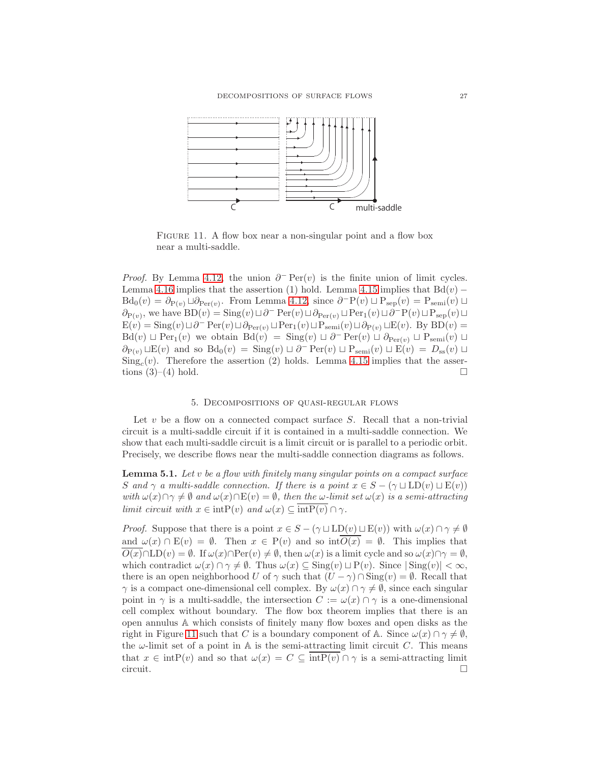

<span id="page-26-0"></span>FIGURE 11. A flow box near a non-singular point and a flow box near a multi-saddle.

*Proof.* By Lemma [4.12,](#page-22-0) the union  $\partial$ <sup>-</sup> Per(v) is the finite union of limit cycles. Lemma [4.16](#page-25-0) implies that the assertion (1) hold. Lemma [4.15](#page-25-1) implies that  $Bd(v)$  –  $Bd_0(v) = \partial_{P(v)} \sqcup \partial_{Per(v)}$ . From Lemma [4.12,](#page-22-0) since  $\partial^{\neg} P(v) \sqcup P_{sep}(v) = P_{semi}(v) \sqcup$  $\partial_{P(v)}$ , we have  $BD(v) = Sing(v) \sqcup \partial^{\dagger} Per(v) \sqcup \partial_{Per(v)} \sqcup Per_1(v) \sqcup \partial^{\dagger} P(v) \sqcup P_{sep}(v) \sqcup$  $E(v) = Sing(v) \sqcup \partial^-\operatorname{Per}(v) \sqcup \partial_{\operatorname{Per}(v)} \sqcup \operatorname{Per}_1(v) \sqcup P_{\operatorname{semi}}(v) \sqcup \partial_{\operatorname{P}(v)} \sqcup E(v)$ . By  $BD(v) =$  $Bd(v) \sqcup Per_1(v)$  we obtain  $Bd(v) = Sing(v) \sqcup \partial^-\operatorname{Per}(v) \sqcup \partial_{\operatorname{Per}(v)} \sqcup \operatorname{Per}(v)$  $\partial_{P(v)} \sqcup E(v)$  and so  $Bd_0(v) = Sing(v) \sqcup \partial^{-} Per(v) \sqcup P_{semi}(v) \sqcup E(v) = D_{ss}(v) \sqcup$  $\text{Sing}_c(v)$ . Therefore the assertion (2) holds. Lemma [4.15](#page-25-1) implies that the assertions  $(3)-(4)$  hold.

# 5. Decompositions of quasi-regular flows

Let  $v$  be a flow on a connected compact surface  $S$ . Recall that a non-trivial circuit is a multi-saddle circuit if it is contained in a multi-saddle connection. We show that each multi-saddle circuit is a limit circuit or is parallel to a periodic orbit. Precisely, we describe flows near the multi-saddle connection diagrams as follows.

<span id="page-26-1"></span>**Lemma 5.1.** Let  $v$  be a flow with finitely many singular points on a compact surface S and  $\gamma$  a multi-saddle connection. If there is a point  $x \in S - (\gamma \sqcup \text{LD}(v) \sqcup \text{E}(v))$ with  $\omega(x)\cap\gamma\neq\emptyset$  and  $\omega(x)\cap E(v) = \emptyset$ , then the  $\omega$ -limit set  $\omega(x)$  is a semi-attracting limit circuit with  $x \in \text{intP}(v)$  and  $\omega(x) \subseteq \overline{\text{intP}(v)} \cap \gamma$ .

*Proof.* Suppose that there is a point  $x \in S - (\gamma \sqcup \text{LD}(v) \sqcup \text{E}(v))$  with  $\omega(x) \cap \gamma \neq \emptyset$ and  $\omega(x) \cap E(v) = \emptyset$ . Then  $x \in P(v)$  and so  $int \overline{O(x)} = \emptyset$ . This implies that  $O(x) \cap \text{LD}(v) = \emptyset$ . If  $\omega(x) \cap \text{Per}(v) \neq \emptyset$ , then  $\omega(x)$  is a limit cycle and so  $\omega(x) \cap \gamma = \emptyset$ , which contradict  $\omega(x) \cap \gamma \neq \emptyset$ . Thus  $\omega(x) \subseteq \text{Sing}(v) \sqcup \text{P}(v)$ . Since  $|\text{Sing}(v)| < \infty$ , there is an open neighborhood U of  $\gamma$  such that  $(U - \gamma) \cap \text{Sing}(v) = \emptyset$ . Recall that  $\gamma$  is a compact one-dimensional cell complex. By  $\omega(x) \cap \gamma \neq \emptyset$ , since each singular point in  $\gamma$  is a multi-saddle, the intersection  $C := \omega(x) \cap \gamma$  is a one-dimensional cell complex without boundary. The flow box theorem implies that there is an open annulus A which consists of finitely many flow boxes and open disks as the right in Figure [11](#page-26-0) such that C is a boundary component of A. Since  $\omega(x) \cap \gamma \neq \emptyset$ , the  $\omega$ -limit set of a point in A is the semi-attracting limit circuit C. This means that  $x \in \text{intP}(v)$  and so that  $\omega(x) = C \subseteq \overline{\text{intP}(v)} \cap \gamma$  is a semi-attracting limit  $\Box$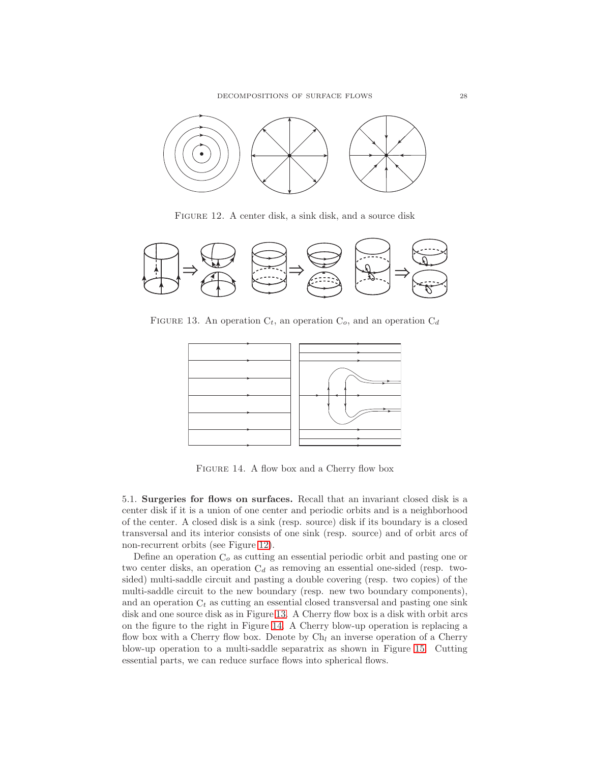

<span id="page-27-0"></span>FIGURE 12. A center disk, a sink disk, and a source disk



FIGURE 13. An operation  $C_t$ , an operation  $C_o$ , and an operation  $C_d$ 

<span id="page-27-1"></span>

<span id="page-27-2"></span>Figure 14. A flow box and a Cherry flow box

5.1. Surgeries for flows on surfaces. Recall that an invariant closed disk is a center disk if it is a union of one center and periodic orbits and is a neighborhood of the center. A closed disk is a sink (resp. source) disk if its boundary is a closed transversal and its interior consists of one sink (resp. source) and of orbit arcs of non-recurrent orbits (see Figure [12\)](#page-27-0).

Define an operation  $C<sub>o</sub>$  as cutting an essential periodic orbit and pasting one or two center disks, an operation  $C_d$  as removing an essential one-sided (resp. twosided) multi-saddle circuit and pasting a double covering (resp. two copies) of the multi-saddle circuit to the new boundary (resp. new two boundary components), and an operation  $C_t$  as cutting an essential closed transversal and pasting one sink disk and one source disk as in Figure [13.](#page-27-1) A Cherry flow box is a disk with orbit arcs on the figure to the right in Figure [14.](#page-27-2) A Cherry blow-up operation is replacing a flow box with a Cherry flow box. Denote by  $Ch<sub>l</sub>$  an inverse operation of a Cherry blow-up operation to a multi-saddle separatrix as shown in Figure [15.](#page-28-0) Cutting essential parts, we can reduce surface flows into spherical flows.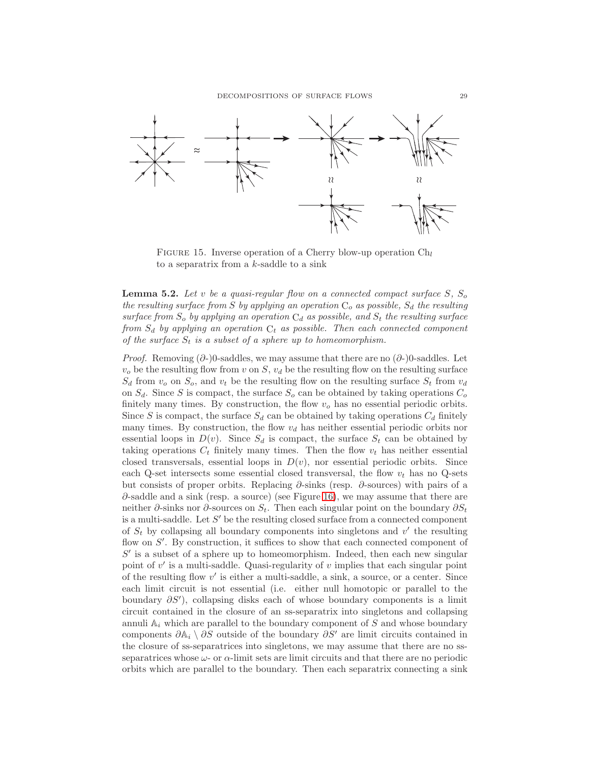

<span id="page-28-0"></span>FIGURE 15. Inverse operation of a Cherry blow-up operation  $\mathrm{Ch}_l$ to a separatrix from a  $k$ -saddle to a sink

<span id="page-28-1"></span>**Lemma 5.2.** Let v be a quasi-regular flow on a connected compact surface  $S$ ,  $S_o$ the resulting surface from S by applying an operation  $C_o$  as possible,  $S_d$  the resulting surface from  $S_o$  by applying an operation  $C_d$  as possible, and  $S_t$  the resulting surface from  $S_d$  by applying an operation  $C_t$  as possible. Then each connected component of the surface  $S_t$  is a subset of a sphere up to homeomorphism.

*Proof.* Removing  $(\partial)$ -)0-saddles, we may assume that there are no  $(\partial)$ -)0-saddles. Let  $v<sub>o</sub>$  be the resulting flow from v on S,  $v<sub>d</sub>$  be the resulting flow on the resulting surface  $S_d$  from  $v_o$  on  $S_o$ , and  $v_t$  be the resulting flow on the resulting surface  $S_t$  from  $v_d$ on  $S_d$ . Since S is compact, the surface  $S_o$  can be obtained by taking operations  $C_o$ finitely many times. By construction, the flow  $v<sub>o</sub>$  has no essential periodic orbits. Since S is compact, the surface  $S_d$  can be obtained by taking operations  $C_d$  finitely many times. By construction, the flow  $v_d$  has neither essential periodic orbits nor essential loops in  $D(v)$ . Since  $S_d$  is compact, the surface  $S_t$  can be obtained by taking operations  $C_t$  finitely many times. Then the flow  $v_t$  has neither essential closed transversals, essential loops in  $D(v)$ , nor essential periodic orbits. Since each Q-set intersects some essential closed transversal, the flow  $v_t$  has no Q-sets but consists of proper orbits. Replacing  $\partial$ -sinks (resp.  $\partial$ -sources) with pairs of a  $\partial$ -saddle and a sink (resp. a source) (see Figure [16\)](#page-29-0), we may assume that there are neither  $\partial$ -sinks nor  $\partial$ -sources on  $S_t$ . Then each singular point on the boundary  $\partial S_t$ is a multi-saddle. Let S' be the resulting closed surface from a connected component of  $S_t$  by collapsing all boundary components into singletons and  $v'$  the resulting flow on S'. By construction, it suffices to show that each connected component of  $S'$  is a subset of a sphere up to homeomorphism. Indeed, then each new singular point of  $v'$  is a multi-saddle. Quasi-regularity of  $v$  implies that each singular point of the resulting flow v ′ is either a multi-saddle, a sink, a source, or a center. Since each limit circuit is not essential (i.e. either null homotopic or parallel to the boundary ∂S′ ), collapsing disks each of whose boundary components is a limit circuit contained in the closure of an ss-separatrix into singletons and collapsing annuli  $A_i$  which are parallel to the boundary component of  $S$  and whose boundary components  $\partial A_i \setminus \partial S$  outside of the boundary  $\partial S'$  are limit circuits contained in the closure of ss-separatrices into singletons, we may assume that there are no ssseparatrices whose  $\omega$ - or  $\alpha$ -limit sets are limit circuits and that there are no periodic orbits which are parallel to the boundary. Then each separatrix connecting a sink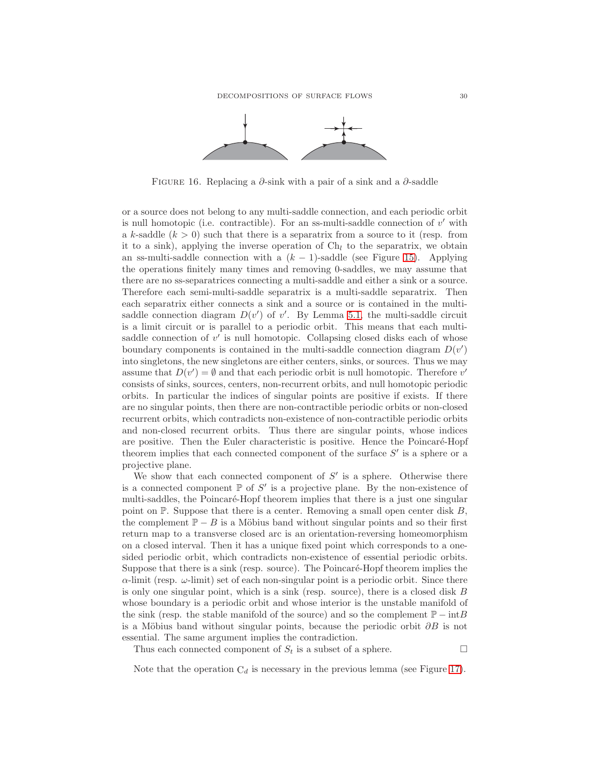

<span id="page-29-0"></span>FIGURE 16. Replacing a  $\partial$ -sink with a pair of a sink and a  $\partial$ -saddle

or a source does not belong to any multi-saddle connection, and each periodic orbit is null homotopic (i.e. contractible). For an ss-multi-saddle connection of  $v'$  with a k-saddle  $(k > 0)$  such that there is a separatrix from a source to it (resp. from it to a sink), applying the inverse operation of  $Ch_l$  to the separatrix, we obtain an ss-multi-saddle connection with a  $(k - 1)$ -saddle (see Figure [15\)](#page-28-0). Applying the operations finitely many times and removing 0-saddles, we may assume that there are no ss-separatrices connecting a multi-saddle and either a sink or a source. Therefore each semi-multi-saddle separatrix is a multi-saddle separatrix. Then each separatrix either connects a sink and a source or is contained in the multisaddle connection diagram  $D(v')$  of v'. By Lemma [5.1,](#page-26-1) the multi-saddle circuit is a limit circuit or is parallel to a periodic orbit. This means that each multisaddle connection of  $v'$  is null homotopic. Collapsing closed disks each of whose boundary components is contained in the multi-saddle connection diagram  $D(v')$ into singletons, the new singletons are either centers, sinks, or sources. Thus we may assume that  $D(v') = \emptyset$  and that each periodic orbit is null homotopic. Therefore v' consists of sinks, sources, centers, non-recurrent orbits, and null homotopic periodic orbits. In particular the indices of singular points are positive if exists. If there are no singular points, then there are non-contractible periodic orbits or non-closed recurrent orbits, which contradicts non-existence of non-contractible periodic orbits and non-closed recurrent orbits. Thus there are singular points, whose indices are positive. Then the Euler characteristic is positive. Hence the Poincaré-Hopf theorem implies that each connected component of the surface  $S'$  is a sphere or a projective plane.

We show that each connected component of  $S'$  is a sphere. Otherwise there is a connected component  $\mathbb P$  of  $S'$  is a projective plane. By the non-existence of multi-saddles, the Poincaré-Hopf theorem implies that there is a just one singular point on  $\mathbb{P}$ . Suppose that there is a center. Removing a small open center disk  $B$ , the complement  $\mathbb{P} - B$  is a Möbius band without singular points and so their first return map to a transverse closed arc is an orientation-reversing homeomorphism on a closed interval. Then it has a unique fixed point which corresponds to a onesided periodic orbit, which contradicts non-existence of essential periodic orbits. Suppose that there is a sink (resp. source). The Poincaré-Hopf theorem implies the  $\alpha$ -limit (resp.  $\omega$ -limit) set of each non-singular point is a periodic orbit. Since there is only one singular point, which is a sink (resp. source), there is a closed disk B whose boundary is a periodic orbit and whose interior is the unstable manifold of the sink (resp. the stable manifold of the source) and so the complement  $\mathbb{P} - \text{int}B$ is a Möbius band without singular points, because the periodic orbit  $\partial B$  is not essential. The same argument implies the contradiction.

Thus each connected component of  $S_t$  is a subset of a sphere.

Note that the operation  $C_d$  is necessary in the previous lemma (see Figure [17\)](#page-30-0).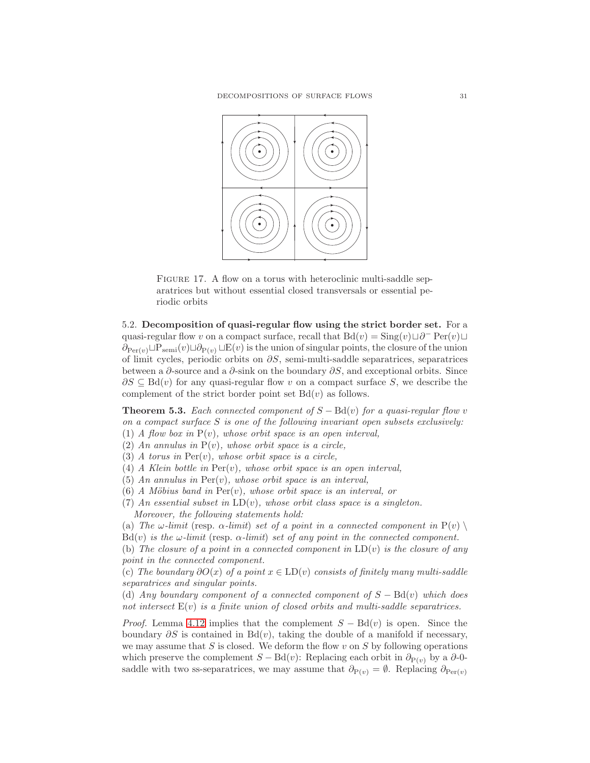

<span id="page-30-0"></span>FIGURE 17. A flow on a torus with heteroclinic multi-saddle separatrices but without essential closed transversals or essential periodic orbits

5.2. Decomposition of quasi-regular flow using the strict border set. For a quasi-regular flow v on a compact surface, recall that  $Bd(v) = Sing(v) \sqcup \partial^- \text{Per}(v) \sqcup$  $\partial_{\text{Per}(v)} \Box \text{Per}(v) \Box \partial_{\text{Per}(v)} \Box E(v)$  is the union of singular points, the closure of the union of limit cycles, periodic orbits on ∂S, semi-multi-saddle separatrices, separatrices between a  $\partial$ -source and a  $\partial$ -sink on the boundary  $\partial S$ , and exceptional orbits. Since  $\partial S \subseteq \text{Bd}(v)$  for any quasi-regular flow v on a compact surface S, we describe the complement of the strict border point set  $Bd(v)$  as follows.

<span id="page-30-1"></span>**Theorem 5.3.** Each connected component of  $S - \text{Bd}(v)$  for a quasi-regular flow v on a compact surface  $S$  is one of the following invariant open subsets exclusively: (1) A flow box in  $P(v)$ , whose orbit space is an open interval,

(2) An annulus in  $P(v)$ , whose orbit space is a circle,

(3) A torus in  $Per(v)$ , whose orbit space is a circle,

(4) A Klein bottle in  $Per(v)$ , whose orbit space is an open interval.

(5) An annulus in  $Per(v)$ , whose orbit space is an interval,

- (6) A Möbius band in  $Per(v)$ , whose orbit space is an interval, or
- (7) An essential subset in  $LD(v)$ , whose orbit class space is a singleton. Moreover, the following statements hold:

(a) The  $\omega$ -limit (resp.  $\alpha$ -limit) set of a point in a connected component in P(v)

 $Bd(v)$  is the  $\omega$ -limit (resp.  $\alpha$ -limit) set of any point in the connected component.

(b) The closure of a point in a connected component in  $LD(v)$  is the closure of any point in the connected component.

(c) The boundary  $\partial O(x)$  of a point  $x \in LD(v)$  consists of finitely many multi-saddle separatrices and singular points.

(d) Any boundary component of a connected component of  $S - \text{Bd}(v)$  which does not intersect  $E(v)$  is a finite union of closed orbits and multi-saddle separatrices.

*Proof.* Lemma [4.12](#page-22-0) implies that the complement  $S - \text{Bd}(v)$  is open. Since the boundary  $\partial S$  is contained in Bd(v), taking the double of a manifold if necessary, we may assume that  $S$  is closed. We deform the flow  $v$  on  $S$  by following operations which preserve the complement  $S - \text{Bd}(v)$ : Replacing each orbit in  $\partial_{P(v)}$  by a  $\partial$ -0saddle with two ss-separatrices, we may assume that  $\partial_{P(v)} = \emptyset$ . Replacing  $\partial_{Per(v)}$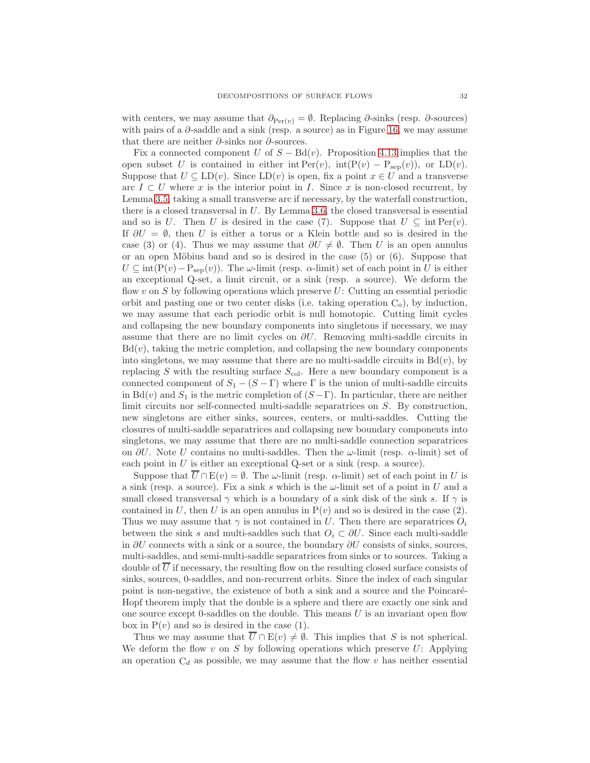with centers, we may assume that  $\partial_{\text{Per}(\nu)} = \emptyset$ . Replacing  $\partial$ -sinks (resp.  $\partial$ -sources) with pairs of a  $\partial$ -saddle and a sink (resp. a source) as in Figure [16,](#page-29-0) we may assume that there are neither  $\partial$ -sinks nor  $\partial$ -sources.

Fix a connected component U of  $S - \text{Bd}(v)$ . Proposition [4.13](#page-23-0) implies that the open subset U is contained in either int  $\text{Per}(v)$ , int $(\text{P}(v) - \text{P}_{\text{sep}}(v))$ , or  $\text{LD}(v)$ . Suppose that  $U \subseteq LD(v)$ . Since  $LD(v)$  is open, fix a point  $x \in U$  and a transverse arc  $I \subset U$  where x is the interior point in I. Since x is non-closed recurrent, by Lemma [3.5,](#page-14-1) taking a small transverse arc if necessary, by the waterfall construction, there is a closed transversal in U. By Lemma [3.6,](#page-14-2) the closed transversal is essential and so is U. Then U is desired in the case (7). Suppose that  $U \subseteq \text{int Per}(v)$ . If  $\partial U = \emptyset$ , then U is either a torus or a Klein bottle and so is desired in the case (3) or (4). Thus we may assume that  $\partial U \neq \emptyset$ . Then U is an open annulus or an open Möbius band and so is desired in the case  $(5)$  or  $(6)$ . Suppose that  $U \subseteq \text{int}(P(v)-P_{\text{sep}}(v))$ . The  $\omega$ -limit (resp.  $\alpha$ -limit) set of each point in U is either an exceptional Q-set, a limit circuit, or a sink (resp. a source). We deform the flow v on  $S$  by following operations which preserve  $U$ : Cutting an essential periodic orbit and pasting one or two center disks (i.e. taking operation  $C<sub>o</sub>$ ), by induction, we may assume that each periodic orbit is null homotopic. Cutting limit cycles and collapsing the new boundary components into singletons if necessary, we may assume that there are no limit cycles on  $\partial U$ . Removing multi-saddle circuits in  $Bd(v)$ , taking the metric completion, and collapsing the new boundary components into singletons, we may assume that there are no multi-saddle circuits in  $Bd(v)$ , by replacing S with the resulting surface  $S_{\text{col}}$ . Here a new boundary component is a connected component of  $S_1 - (S - \Gamma)$  where  $\Gamma$  is the union of multi-saddle circuits in Bd(v) and  $S_1$  is the metric completion of  $(S - \Gamma)$ . In particular, there are neither limit circuits nor self-connected multi-saddle separatrices on S. By construction, new singletons are either sinks, sources, centers, or multi-saddles. Cutting the closures of multi-saddle separatrices and collapsing new boundary components into singletons, we may assume that there are no multi-saddle connection separatrices on  $\partial U$ . Note U contains no multi-saddles. Then the  $\omega$ -limit (resp.  $\alpha$ -limit) set of each point in  $U$  is either an exceptional Q-set or a sink (resp. a source).

Suppose that  $\overline{U} \cap E(v) = \emptyset$ . The  $\omega$ -limit (resp.  $\alpha$ -limit) set of each point in U is a sink (resp. a source). Fix a sink s which is the  $\omega$ -limit set of a point in U and a small closed transversal  $\gamma$  which is a boundary of a sink disk of the sink s. If  $\gamma$  is contained in U, then U is an open annulus in  $P(v)$  and so is desired in the case (2). Thus we may assume that  $\gamma$  is not contained in U. Then there are separatrices  $O_i$ between the sink s and multi-saddles such that  $O_i \subset \partial U$ . Since each multi-saddle in  $\partial U$  connects with a sink or a source, the boundary  $\partial U$  consists of sinks, sources, multi-saddles, and semi-multi-saddle separatrices from sinks or to sources. Taking a double of  $\overline{U}$  if necessary, the resulting flow on the resulting closed surface consists of sinks, sources, 0-saddles, and non-recurrent orbits. Since the index of each singular point is non-negative, the existence of both a sink and a source and the Poincaré-Hopf theorem imply that the double is a sphere and there are exactly one sink and one source except 0-saddles on the double. This means  $U$  is an invariant open flow box in  $P(v)$  and so is desired in the case (1).

Thus we may assume that  $\overline{U} \cap E(v) \neq \emptyset$ . This implies that S is not spherical. We deform the flow v on S by following operations which preserve U: Applying an operation  $C_d$  as possible, we may assume that the flow v has neither essential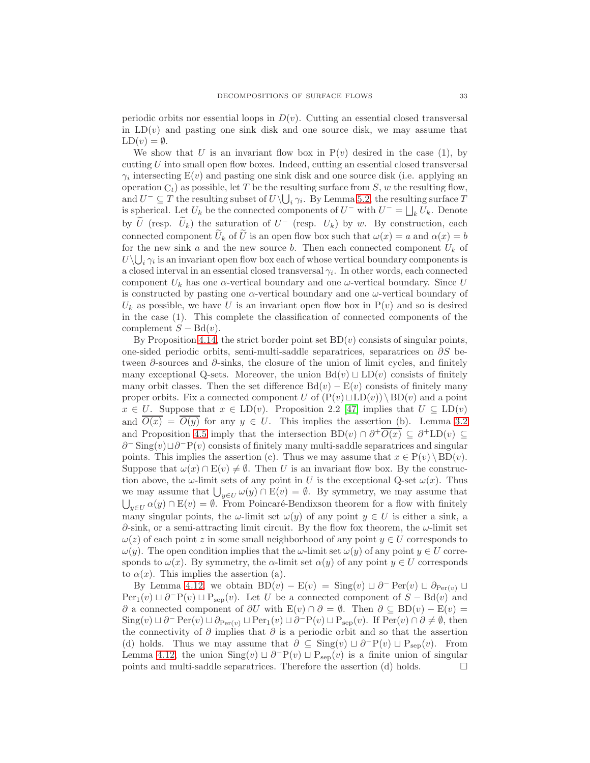periodic orbits nor essential loops in  $D(v)$ . Cutting an essential closed transversal in  $LD(v)$  and pasting one sink disk and one source disk, we may assume that  $LD(v) = \emptyset.$ 

We show that U is an invariant flow box in  $P(v)$  desired in the case (1), by cutting U into small open flow boxes. Indeed, cutting an essential closed transversal  $\gamma_i$  intersecting  $E(v)$  and pasting one sink disk and one source disk (i.e. applying an operation  $C_t$ ) as possible, let T be the resulting surface from S, w the resulting flow, and  $U^-\subseteq T$  the resulting subset of  $U\setminus\bigcup_i\gamma_i$ . By Lemma [5.2,](#page-28-1) the resulting surface T is spherical. Let  $U_k$  be the connected components of  $U^-$  with  $U^- = \bigsqcup_k U_k$ . Denote by  $\tilde{U}$  (resp.  $\tilde{U}_k$ ) the saturation of  $U^-$  (resp.  $U_k$ ) by w. By construction, each connected component  $\tilde{U}_k$  of  $\tilde{U}$  is an open flow box such that  $\omega(x) = a$  and  $\alpha(x) = b$ for the new sink a and the new source b. Then each connected component  $U_k$  of  $U\setminus\bigcup_i\gamma_i$  is an invariant open flow box each of whose vertical boundary components is a closed interval in an essential closed transversal  $\gamma_i$ . In other words, each connected component  $U_k$  has one  $\alpha$ -vertical boundary and one  $\omega$ -vertical boundary. Since U is constructed by pasting one  $\alpha$ -vertical boundary and one  $\omega$ -vertical boundary of  $U_k$  as possible, we have U is an invariant open flow box in  $P(v)$  and so is desired in the case (1). This complete the classification of connected components of the complement  $S - \text{Bd}(v)$ .

By Proposition [4.14,](#page-24-0) the strict border point set  $BD(v)$  consists of singular points, one-sided periodic orbits, semi-multi-saddle separatrices, separatrices on ∂S between ∂-sources and ∂-sinks, the closure of the union of limit cycles, and finitely many exceptional Q-sets. Moreover, the union  $Bd(v) \sqcup LD(v)$  consists of finitely many orbit classes. Then the set difference  $Bd(v) - E(v)$  consists of finitely many proper orbits. Fix a connected component U of  $(P(v) \sqcup LD(v)) \setminus BD(v)$  and a point  $x \in U$ . Suppose that  $x \in \text{LD}(v)$ . Proposition 2.2 [\[47\]](#page-57-6) implies that  $U \subseteq \text{LD}(v)$ and  $\overline{O(x)} = \overline{O(y)}$  for any  $y \in U$ . This implies the assertion (b). Lemma [3.2](#page-12-0) and Proposition [4.5](#page-20-2) imply that the intersection  $BD(v) \cap \partial^+ \overline{O(x)} \subseteq \partial^+ LD(v) \subseteq$  $\partial$ <sup>-</sup> Sing $(v)$   $\Box$  $\partial$ <sup>-</sup> $P(v)$  consists of finitely many multi-saddle separatrices and singular points. This implies the assertion (c). Thus we may assume that  $x \in P(v) \setminus BD(v)$ . Suppose that  $\omega(x) \cap E(v) \neq \emptyset$ . Then U is an invariant flow box. By the construction above, the  $\omega$ -limit sets of any point in U is the exceptional Q-set  $\omega(x)$ . Thus we may assume that  $\bigcup_{y\in U}\omega(y)\cap E(v) = \emptyset$ . By symmetry, we may assume that  $\bigcup_{y\in U}\alpha(y)\cap E(v)=\emptyset$ . From Poincaré-Bendixson theorem for a flow with finitely many singular points, the  $\omega$ -limit set  $\omega(y)$  of any point  $y \in U$  is either a sink, a  $\partial$ -sink, or a semi-attracting limit circuit. By the flow fox theorem, the  $\omega$ -limit set  $\omega(z)$  of each point z in some small neighborhood of any point  $y \in U$  corresponds to  $\omega(y)$ . The open condition implies that the  $\omega$ -limit set  $\omega(y)$  of any point  $y \in U$  corresponds to  $\omega(x)$ . By symmetry, the  $\alpha$ -limit set  $\alpha(y)$  of any point  $y \in U$  corresponds to  $\alpha(x)$ . This implies the assertion (a).

By Lemma [4.12,](#page-22-0) we obtain BD $(v)$  –  $E(v)$  = Sing $(v) \sqcup \partial^{\mathsf{-}} \text{Per}(v) \sqcup \partial_{\text{Per}(v)}$  $Per_1(v) \sqcup \partial^{-}P(v) \sqcup P_{sep}(v)$ . Let U be a connected component of  $S - Bd(v)$  and ∂ a connected component of  $\partial U$  with  $E(v) \cap \partial = \emptyset$ . Then  $\partial \subseteq BD(v) - E(v) =$  $\text{Sing}(v) \sqcup \partial^- \text{Per}(v) \sqcup \partial_{\text{Per}(v)} \sqcup \text{Per}_1(v) \sqcup \partial^- \text{P}(v) \sqcup \text{P}_{\text{sep}}(v)$ . If  $\text{Per}(v) \cap \partial \neq \emptyset$ , then the connectivity of  $\partial$  implies that  $\partial$  is a periodic orbit and so that the assertion (d) holds. Thus we may assume that  $\partial \subseteq \text{Sing}(v) \sqcup \partial^{-}P(v) \sqcup P_{\text{sep}}(v)$ . From Lemma [4.12,](#page-22-0) the union  $\text{Sing}(v) \sqcup \partial^{-}P(v) \sqcup P_{\text{sep}}(v)$  is a finite union of singular points and multi-saddle separatrices. Therefore the assertion (d) holds.  $\Box$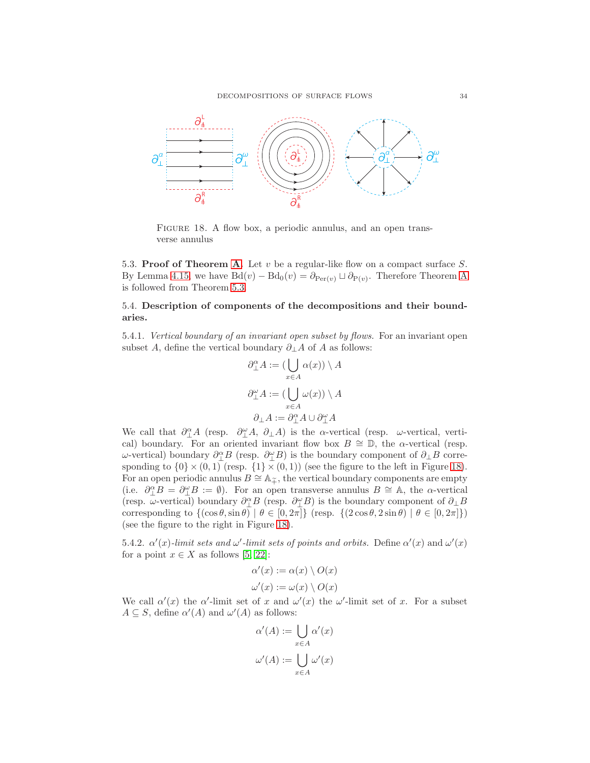

<span id="page-33-0"></span>FIGURE 18. A flow box, a periodic annulus, and an open transverse annulus

5.3. Proof of Theorem [A.](#page-3-0) Let  $v$  be a regular-like flow on a compact surface  $S$ . By Lemma [4.15,](#page-25-1) we have  $Bd(v) - Bd_0(v) = \partial_{Per(v)} \sqcup \partial_{P(v)}$ . Therefore Theorem [A](#page-3-0) is followed from Theorem [5.3.](#page-30-1)

5.4. Description of components of the decompositions and their boundaries.

5.4.1. Vertical boundary of an invariant open subset by flows. For an invariant open subset A, define the vertical boundary  $\partial_{\perp} A$  of A as follows:

$$
\begin{aligned} \partial_{\perp}^{\alpha}A &:= (\bigcup_{x \in A} \alpha(x)) \setminus A \\ \partial_{\perp}^{\omega}A &:= (\bigcup_{x \in A} \omega(x)) \setminus A \\ \partial_{\perp}A &:= \partial_{\perp}^{\alpha}A \cup \partial_{\perp}^{\omega}A \end{aligned}
$$

We call that  $\partial_{\perp}^{\alpha}A$  (resp.  $\partial_{\perp}^{\alpha}A$ ,  $\partial_{\perp}A$ ) is the  $\alpha$ -vertical (resp.  $\omega$ -vertical, vertical) boundary. For an oriented invariant flow box  $B \cong \mathbb{D}$ , the  $\alpha$ -vertical (resp.  $ω$ -vertical) boundary  $\partial_{\perp}^{\alpha}B$  (resp.  $\partial_{\perp}^{\omega}B$ ) is the boundary component of  $\partial_{\perp}B$  corresponding to  $\{0\} \times (0,1)$  (resp.  $\{1\} \times (0,1)$ ) (see the figure to the left in Figure [18\)](#page-33-0). For an open periodic annulus  $B \cong \mathbb{A}_{\widetilde{+}}$ , the vertical boundary components are empty (i.e.  $\partial_{\perp}^{\alpha}B = \partial_{\perp}^{\alpha}B := \emptyset$ ). For an open transverse annulus  $B \cong \mathbb{A}$ , the  $\alpha$ -vertical (resp.  $\omega$ -vertical) boundary  $\partial_\perp^\alpha B$  (resp.  $\partial_\perp^\omega B$ ) is the boundary component of  $\partial_\perp B$ corresponding to  $\{(\cos \theta, \sin \theta) \mid \theta \in [0, 2\pi]\}$  (resp.  $\{(2 \cos \theta, 2 \sin \theta) \mid \theta \in [0, 2\pi]\})$ ) (see the figure to the right in Figure [18\)](#page-33-0).

5.4.2.  $\alpha'(x)$ -limit sets and  $\omega'$ -limit sets of points and orbits. Define  $\alpha'(x)$  and  $\omega'(x)$ for a point  $x \in X$  as follows [\[5,](#page-56-22) [22\]](#page-56-19):

$$
\alpha'(x) := \alpha(x) \setminus O(x)
$$
  

$$
\omega'(x) := \omega(x) \setminus O(x)
$$

We call  $\alpha'(x)$  the  $\alpha'$ -limit set of x and  $\omega'(x)$  the  $\omega'$ -limit set of x. For a subset  $A \subseteq S$ , define  $\alpha'(A)$  and  $\omega'(A)$  as follows:

$$
\alpha'(A) := \bigcup_{x \in A} \alpha'(x)
$$

$$
\omega'(A) := \bigcup_{x \in A} \omega'(x)
$$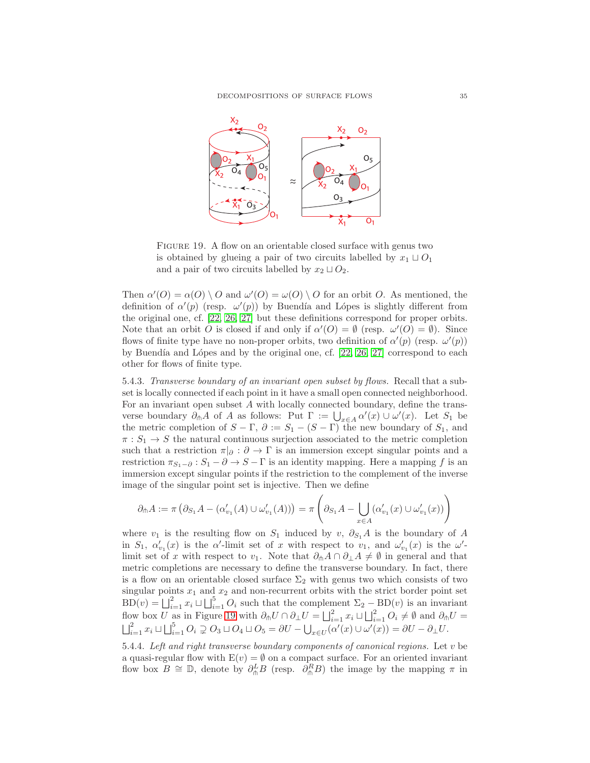

<span id="page-34-0"></span>FIGURE 19. A flow on an orientable closed surface with genus two is obtained by glueing a pair of two circuits labelled by  $x_1 \sqcup O_1$ and a pair of two circuits labelled by  $x_2 \sqcup O_2$ .

Then  $\alpha'(O) = \alpha(O) \setminus O$  and  $\omega'(O) = \omega(O) \setminus O$  for an orbit O. As mentioned, the definition of  $\alpha'(p)$  (resp.  $\omega'(p)$ ) by Buendía and Lópes is slightly different from the original one, cf. [\[22,](#page-56-19) [26,](#page-56-20) [27\]](#page-56-21) but these definitions correspond for proper orbits. Note that an orbit O is closed if and only if  $\alpha'(O) = \emptyset$  (resp.  $\omega'(O) = \emptyset$ ). Since flows of finite type have no non-proper orbits, two definition of  $\alpha'(p)$  (resp.  $\omega'(p)$ ) by Buendía and Lópes and by the original one, cf.  $[22, 26, 27]$  $[22, 26, 27]$  $[22, 26, 27]$  correspond to each other for flows of finite type.

5.4.3. Transverse boundary of an invariant open subset by flows. Recall that a subset is locally connected if each point in it have a small open connected neighborhood. For an invariant open subset A with locally connected boundary, define the transverse boundary  $\partial_{\ln}A$  of A as follows: Put  $\Gamma := \bigcup_{x \in A} \alpha'(x) \cup \omega'(x)$ . Let  $S_1$  be the metric completion of  $S - \Gamma$ ,  $\partial := S_1 - (S - \Gamma)$  the new boundary of  $S_1$ , and  $\pi: S_1 \to S$  the natural continuous surjection associated to the metric completion such that a restriction  $\pi|_{\partial} : \partial \to \Gamma$  is an immersion except singular points and a restriction  $\pi_{S_1-\partial}: S_1-\partial \to S-\Gamma$  is an identity mapping. Here a mapping f is an immersion except singular points if the restriction to the complement of the inverse image of the singular point set is injective. Then we define

$$
\partial_{\pitchfork} A := \pi \left( \partial_{S_1} A - (\alpha_{v_1}'(A) \cup \omega_{v_1}'(A)) \right) = \pi \left( \partial_{S_1} A - \bigcup_{x \in A} (\alpha_{v_1}'(x) \cup \omega_{v_1}'(x)) \right)
$$

where  $v_1$  is the resulting flow on  $S_1$  induced by v,  $\partial_{S_1}A$  is the boundary of A in  $S_1$ ,  $\alpha'_{v_1}(x)$  is the  $\alpha'$ -limit set of x with respect to  $v_1$ , and  $\omega'_{v_1}(x)$  is the  $\omega'$ limit set of x with respect to v<sub>1</sub>. Note that  $\partial_{\ln}A \cap \partial_{\perp}A \neq \emptyset$  in general and that metric completions are necessary to define the transverse boundary. In fact, there is a flow on an orientable closed surface  $\Sigma_2$  with genus two which consists of two singular points  $x_1$  and  $x_2$  and non-recurrent orbits with the strict border point set  $BD(v) = \bigsqcup_{i=1}^{2} x_i \sqcup \bigsqcup_{i=1}^{5} O_i$  such that the complement  $\Sigma_2 - BD(v)$  is an invariant flow box U as in Figure [19](#page-34-0) with  $\partial_{\uparrow} U \cap \partial_{\perp} U = \bigsqcup_{i=1}^{2} x_i \sqcup \bigsqcup_{i=1}^{2} O_i \neq \emptyset$  and  $\partial_{\uparrow} U = \bigsqcup_{i=1}^{2} x_i \sqcup \bigsqcup_{i=1}^{5} O_i \supsetneq O_3 \sqcup O_4 \sqcup O_5 = \partial U - \bigcup_{x \in U} (\alpha'(x) \cup \omega'(x)) = \partial U - \partial_{\perp} U$ .

5.4.4. Left and right transverse boundary components of canonical regions. Let v be a quasi-regular flow with  $E(v) = \emptyset$  on a compact surface. For an oriented invariant flow box  $B \cong \mathbb{D}$ , denote by  $\partial_{\theta}^L B$  (resp.  $\partial_{\theta}^R B$ ) the image by the mapping  $\pi$  in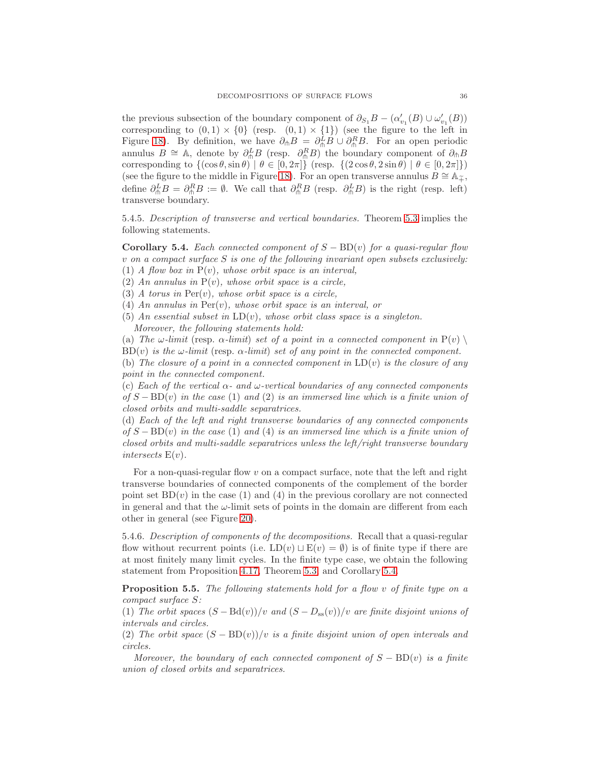the previous subsection of the boundary component of  $\partial_{S_1}B - (\alpha'_{v_1}(B) \cup \omega'_{v_1}(B))$ corresponding to  $(0,1) \times \{0\}$  (resp.  $(0,1) \times \{1\}$ ) (see the figure to the left in Figure [18\)](#page-33-0). By definition, we have  $\partial_{\phi}B = \partial_{\phi}^{L}B \cup \partial_{\phi}^{R}B$ . For an open periodic annulus  $B \cong A$ , denote by  $\partial_{\phi}^L B$  (resp.  $\partial_{\phi}^R B$ ) the boundary component of  $\partial_{\phi} B$ corresponding to  $\{(\cos \theta, \sin \theta) \mid \theta \in [0, 2\pi]\}$  (resp.  $\{(2 \cos \theta, 2 \sin \theta) \mid \theta \in [0, 2\pi]\}$ ) (see the figure to the middle in Figure [18\)](#page-33-0). For an open transverse annulus  $B \cong A_{\tilde{+}}$ , define  $\partial_{\phi}^L B = \partial_{\phi}^R B := \emptyset$ . We call that  $\partial_{\phi}^R B$  (resp.  $\partial_{\phi}^L B$ ) is the right (resp. left) transverse boundary.

5.4.5. Description of transverse and vertical boundaries. Theorem [5.3](#page-30-1) implies the following statements.

<span id="page-35-0"></span>**Corollary 5.4.** Each connected component of  $S - BD(v)$  for a quasi-regular flow  $v$  on a compact surface  $S$  is one of the following invariant open subsets exclusively: (1) A flow box in  $P(v)$ , whose orbit space is an interval,

(2) An annulus in  $P(v)$ , whose orbit space is a circle,

(3) A torus in  $Per(v)$ , whose orbit space is a circle,

(4) An annulus in  $\text{Per}(v)$ , whose orbit space is an interval, or

(5) An essential subset in  $LD(v)$ , whose orbit class space is a singleton.

Moreover, the following statements hold:

(a) The  $\omega$ -limit (resp.  $\alpha$ -limit) set of a point in a connected component in  $P(v) \setminus$  $BD(v)$  is the  $\omega$ -limit (resp.  $\alpha$ -limit) set of any point in the connected component.

(b) The closure of a point in a connected component in  $LD(v)$  is the closure of any point in the connected component.

(c) Each of the vertical  $\alpha$ - and  $\omega$ -vertical boundaries of any connected components of  $S - BD(v)$  in the case (1) and (2) is an immersed line which is a finite union of closed orbits and multi-saddle separatrices.

(d) Each of the left and right transverse boundaries of any connected components of  $S - BD(v)$  in the case (1) and (4) is an immersed line which is a finite union of closed orbits and multi-saddle separatrices unless the left/right transverse boundary intersects  $E(v)$ .

For a non-quasi-regular flow v on a compact surface, note that the left and right transverse boundaries of connected components of the complement of the border point set  $BD(v)$  in the case (1) and (4) in the previous corollary are not connected in general and that the  $\omega$ -limit sets of points in the domain are different from each other in general (see Figure [20\)](#page-36-0).

5.4.6. Description of components of the decompositions. Recall that a quasi-regular flow without recurrent points (i.e.  $LD(v) \sqcup E(v) = \emptyset$ ) is of finite type if there are at most finitely many limit cycles. In the finite type case, we obtain the following statement from Proposition [4.17,](#page-25-2) Theorem [5.3,](#page-30-1) and Corollary [5.4.](#page-35-0)

<span id="page-35-1"></span>Proposition 5.5. The following statements hold for a flow v of finite type on a compact surface S:

(1) The orbit spaces  $(S - Bd(v))/v$  and  $(S - D_{ss}(v))/v$  are finite disjoint unions of intervals and circles.

(2) The orbit space  $(S - BD(v))/v$  is a finite disjoint union of open intervals and circles.

Moreover, the boundary of each connected component of  $S - BD(v)$  is a finite union of closed orbits and separatrices.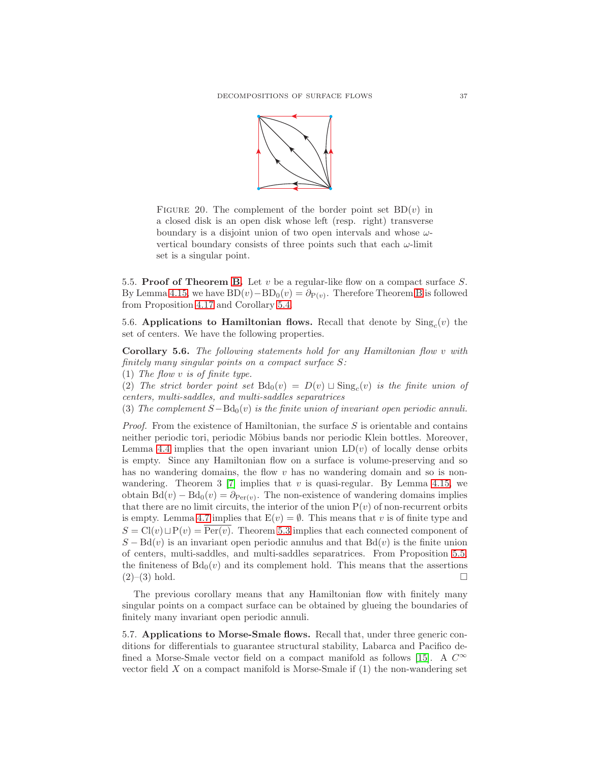

<span id="page-36-0"></span>FIGURE 20. The complement of the border point set  $BD(v)$  in a closed disk is an open disk whose left (resp. right) transverse boundary is a disjoint union of two open intervals and whose  $\omega$ vertical boundary consists of three points such that each  $\omega$ -limit set is a singular point.

5.5. Proof of Theorem [B.](#page-4-0) Let  $v$  be a regular-like flow on a compact surface  $S$ . By Lemma [4.15,](#page-25-1) we have  $BD(v) - BD_0(v) = \partial_{P(v)}$  $BD(v) - BD_0(v) = \partial_{P(v)}$  $BD(v) - BD_0(v) = \partial_{P(v)}$ . Therefore Theorem B is followed from Proposition [4.17](#page-25-2) and Corollary [5.4.](#page-35-0)

5.6. Applications to Hamiltonian flows. Recall that denote by  $\text{Sing}_c(v)$  the set of centers. We have the following properties.

Corollary 5.6. The following statements hold for any Hamiltonian flow v with finitely many singular points on a compact surface S:

(1) The flow v is of finite type.

(2) The strict border point set  $Bd_0(v) = D(v) \sqcup Sing_c(v)$  is the finite union of centers, multi-saddles, and multi-saddles separatrices

(3) The complement  $S-\text{Bd}_0(v)$  is the finite union of invariant open periodic annuli.

*Proof.* From the existence of Hamiltonian, the surface  $S$  is orientable and contains neither periodic tori, periodic Möbius bands nor periodic Klein bottles. Moreover, Lemma [4.4](#page-19-1) implies that the open invariant union  $LD(v)$  of locally dense orbits is empty. Since any Hamiltonian flow on a surface is volume-preserving and so has no wandering domains, the flow  $v$  has no wandering domain and so is non-wandering. Theorem 3 [\[7\]](#page-56-27) implies that  $v$  is quasi-regular. By Lemma [4.15,](#page-25-1) we obtain  $Bd(v) - Bd_0(v) = \partial_{Per(v)}$ . The non-existence of wandering domains implies that there are no limit circuits, the interior of the union  $P(v)$  of non-recurrent orbits is empty. Lemma [4.7](#page-20-3) implies that  $E(v) = \emptyset$ . This means that v is of finite type and  $S = Cl(v) \sqcup P(v) = \overline{\text{Per}(v)}$ . Theorem [5.3](#page-30-1) implies that each connected component of  $S - \text{Bd}(v)$  is an invariant open periodic annulus and that  $\text{Bd}(v)$  is the finite union of centers, multi-saddles, and multi-saddles separatrices. From Proposition [5.5,](#page-35-1) the finiteness of  $Bd_0(v)$  and its complement hold. This means that the assertions  $(2)$ – $(3)$  hold.

The previous corollary means that any Hamiltonian flow with finitely many singular points on a compact surface can be obtained by glueing the boundaries of finitely many invariant open periodic annuli.

5.7. Applications to Morse-Smale flows. Recall that, under three generic conditions for differentials to guarantee structural stability, Labarca and Pacifico de-fined a Morse-Smale vector field on a compact manifold as follows [\[15\]](#page-56-29). A  $C^{\infty}$ vector field X on a compact manifold is Morse-Smale if (1) the non-wandering set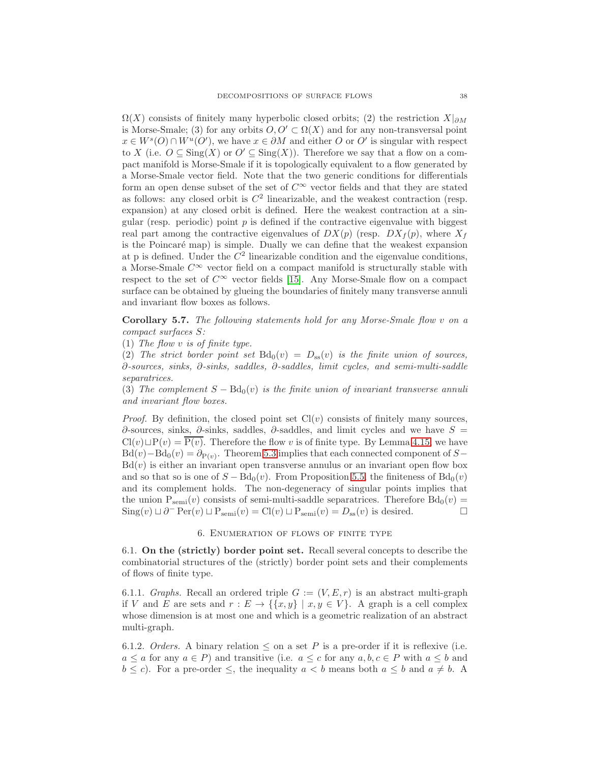$\Omega(X)$  consists of finitely many hyperbolic closed orbits; (2) the restriction  $X|_{\partial M}$ is Morse-Smale; (3) for any orbits  $O, O' \subset \Omega(X)$  and for any non-transversal point  $x \in W^{s}(O) \cap W^{u}(O')$ , we have  $x \in \partial M$  and either O or O' is singular with respect to X (i.e.  $O \subseteq Sing(X)$  or  $O' \subseteq Sing(X)$ ). Therefore we say that a flow on a compact manifold is Morse-Smale if it is topologically equivalent to a flow generated by a Morse-Smale vector field. Note that the two generic conditions for differentials form an open dense subset of the set of  $C^{\infty}$  vector fields and that they are stated as follows: any closed orbit is  $C^2$  linearizable, and the weakest contraction (resp. expansion) at any closed orbit is defined. Here the weakest contraction at a singular (resp. periodic) point  $p$  is defined if the contractive eigenvalue with biggest real part among the contractive eigenvalues of  $DX(p)$  (resp.  $DX_f(p)$ , where  $X_f$ is the Poincaré map) is simple. Dually we can define that the weakest expansion at p is defined. Under the  $C<sup>2</sup>$  linearizable condition and the eigenvalue conditions, a Morse-Smale  $C^{\infty}$  vector field on a compact manifold is structurally stable with respect to the set of  $C^{\infty}$  vector fields [\[15\]](#page-56-29). Any Morse-Smale flow on a compact surface can be obtained by glueing the boundaries of finitely many transverse annuli and invariant flow boxes as follows.

Corollary 5.7. The following statements hold for any Morse-Smale flow v on a compact surfaces S:

(1) The flow v is of finite type.

(2) The strict border point set  $Bd_0(v) = D_{ss}(v)$  is the finite union of sources, ∂-sources, sinks, ∂-sinks, saddles, ∂-saddles, limit cycles, and semi-multi-saddle separatrices.

(3) The complement  $S - \text{Bd}_0(v)$  is the finite union of invariant transverse annuli and invariant flow boxes.

*Proof.* By definition, the closed point set  $Cl(v)$  consists of finitely many sources,  $∂$ -sources, sinks,  $∂$ -sinks, saddles,  $∂$ -saddles, and limit cycles and we have  $S =$  $Cl(v) \sqcup P(v) = P(v)$ . Therefore the flow v is of finite type. By Lemma [4.15,](#page-25-1) we have  $Bd(v) - Bd_0(v) = \partial_{P(v)}$ . Theorem [5.3](#page-30-1) implies that each connected component of S−  $Bd(v)$  is either an invariant open transverse annulus or an invariant open flow box and so that so is one of  $S - Bd_0(v)$ . From Proposition [5.5,](#page-35-1) the finiteness of  $Bd_0(v)$ and its complement holds. The non-degeneracy of singular points implies that the union  $P_{\text{semi}}(v)$  consists of semi-multi-saddle separatrices. Therefore  $Bd_0(v)$  =  $\text{Sing}(v) \sqcup \partial^- \text{Per}(v) \sqcup \text{P}_{\text{semi}}(v) = \text{Cl}(v) \sqcup \text{P}_{\text{semi}}(v) = D_{\text{ss}}(v)$  is desired.

#### 6. Enumeration of flows of finite type

6.1. On the (strictly) border point set. Recall several concepts to describe the combinatorial structures of the (strictly) border point sets and their complements of flows of finite type.

6.1.1. Graphs. Recall an ordered triple  $G := (V, E, r)$  is an abstract multi-graph if V and E are sets and  $r : E \to \{\{x, y\} \mid x, y \in V\}$ . A graph is a cell complex whose dimension is at most one and which is a geometric realization of an abstract multi-graph.

6.1.2. Orders. A binary relation  $\leq$  on a set P is a pre-order if it is reflexive (i.e.  $a \le a$  for any  $a \in P$ ) and transitive (i.e.  $a \le c$  for any  $a, b, c \in P$  with  $a \le b$  and  $b \leq c$ ). For a pre-order  $\leq$ , the inequality  $a < b$  means both  $a \leq b$  and  $a \neq b$ . A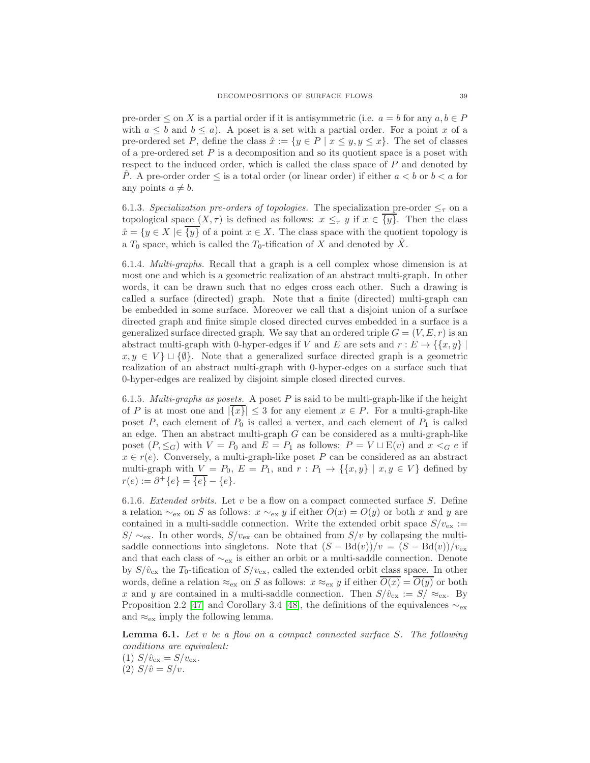pre-order  $\leq$  on X is a partial order if it is antisymmetric (i.e.  $a = b$  for any  $a, b \in P$ with  $a \leq b$  and  $b \leq a$ ). A poset is a set with a partial order. For a point x of a pre-ordered set P, define the class  $\hat{x} := \{y \in P \mid x \leq y, y \leq x\}$ . The set of classes of a pre-ordered set  $P$  is a decomposition and so its quotient space is a poset with respect to the induced order, which is called the class space of  $P$  and denoted by P. A pre-order order  $\leq$  is a total order (or linear order) if either  $a < b$  or  $b < a$  for any points  $a \neq b$ .

6.1.3. Specialization pre-orders of topologies. The specialization pre-order  $\leq_{\tau}$  on a topological space  $(X, \tau)$  is defined as follows:  $x \leq_{\tau} y$  if  $x \in \{y\}$ . Then the class  $\hat{x} = \{y \in X \mid \in \{y\} \text{ of a point } x \in X. \text{ The class space with the quotient topology is }$ a  $T_0$  space, which is called the  $T_0$ -tification of X and denoted by  $\hat{X}$ .

6.1.4. Multi-graphs. Recall that a graph is a cell complex whose dimension is at most one and which is a geometric realization of an abstract multi-graph. In other words, it can be drawn such that no edges cross each other. Such a drawing is called a surface (directed) graph. Note that a finite (directed) multi-graph can be embedded in some surface. Moreover we call that a disjoint union of a surface directed graph and finite simple closed directed curves embedded in a surface is a generalized surface directed graph. We say that an ordered triple  $G = (V, E, r)$  is an abstract multi-graph with 0-hyper-edges if V and E are sets and  $r : E \to \{\{x, y\} \mid$  $x, y \in V$   $\cup$  { $\emptyset$ }. Note that a generalized surface directed graph is a geometric realization of an abstract multi-graph with 0-hyper-edges on a surface such that 0-hyper-edges are realized by disjoint simple closed directed curves.

6.1.5. *Multi-graphs as posets.* A poset P is said to be multi-graph-like if the height of P is at most one and  $|\overline{\{x\}}| \leq 3$  for any element  $x \in P$ . For a multi-graph-like poset  $P$ , each element of  $P_0$  is called a vertex, and each element of  $P_1$  is called an edge. Then an abstract multi-graph G can be considered as a multi-graph-like poset  $(P, \leq_G)$  with  $V = P_0$  and  $E = P_1$  as follows:  $P = V \sqcup E(v)$  and  $x <_G e$  if  $x \in r(e).$  Conversely, a multi-graph-like poset  $P$  can be considered as an abstract multi-graph with  $V = P_0$ ,  $E = P_1$ , and  $r : P_1 \to \{\{x, y\} \mid x, y \in V\}$  defined by  $r(e) := \partial^+ \{e\} = \overline{\{e\}} - \{e\}.$ 

6.1.6. Extended orbits. Let  $v$  be a flow on a compact connected surface  $S$ . Define a relation  $\sim_{\text{ex}}$  on S as follows:  $x \sim_{\text{ex}} y$  if either  $O(x) = O(y)$  or both x and y are contained in a multi-saddle connection. Write the extended orbit space  $S/v_{\text{ex}} :=$  $S/\sim_{\text{ex}}$ . In other words,  $S/v_{\text{ex}}$  can be obtained from  $S/v$  by collapsing the multisaddle connections into singletons. Note that  $(S - Bd(v))/v = (S - Bd(v))/v_{ex}$ and that each class of  $\sim_{\text{ex}}$  is either an orbit or a multi-saddle connection. Denote by  $S/\hat{v}_{\rm ex}$  the  $T_0$ -tification of  $S/v_{\rm ex}$ , called the extended orbit class space. In other words, define a relation  $\approx_{\text{ex}}$  on S as follows:  $x \approx_{\text{ex}} y$  if either  $\overline{O(x)} = \overline{O(y)}$  or both x and y are contained in a multi-saddle connection. Then  $S/\hat{v}_{\text{ex}} := S/\approx_{\text{ex}} B$ Proposition 2.2 [\[47\]](#page-57-6) and Corollary 3.4 [\[48\]](#page-57-5), the definitions of the equivalences  $\sim_{\text{ex}}$ and  $\approx_{\text{ex}}$  imply the following lemma.

<span id="page-38-0"></span>**Lemma 6.1.** Let  $v$  be a flow on a compact connected surface  $S$ . The following conditions are equivalent:

(1)  $S/\hat{v}_{\text{ex}} = S/v_{\text{ex}}$ . (2)  $S/\hat{v} = S/v$ .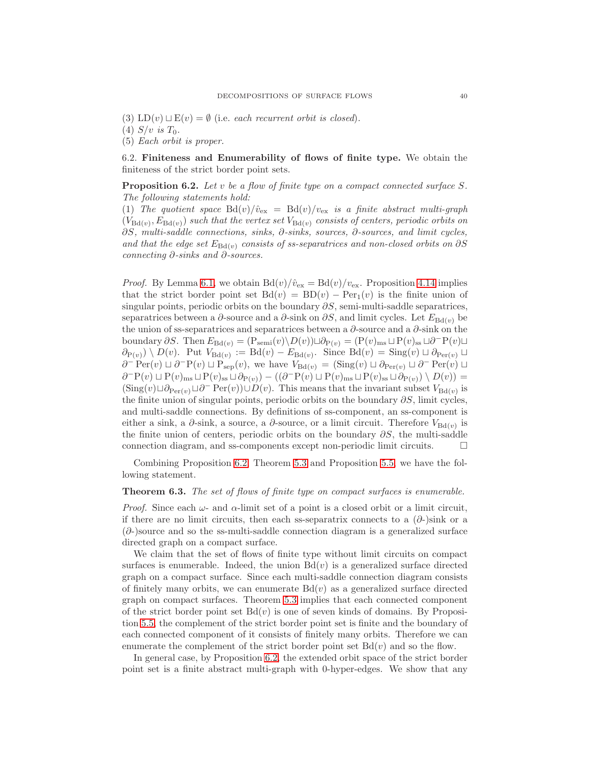(3) LD(v)  $\sqcup$  E(v) =  $\emptyset$  (i.e. each recurrent orbit is closed).

(4)  $S/v$  is  $T_0$ .

(5) Each orbit is proper.

6.2. Finiteness and Enumerability of flows of finite type. We obtain the finiteness of the strict border point sets.

<span id="page-39-0"></span>Proposition 6.2. Let v be a flow of finite type on a compact connected surface S. The following statements hold:

(1) The quotient space  $Bd(v)/\hat{v}_{ex} = Bd(v)/v_{ex}$  is a finite abstract multi-graph  $(V_{\text{Bd}(v)}, E_{\text{Bd}(v)})$  such that the vertex set  $V_{\text{Bd}(v)}$  consists of centers, periodic orbits on ∂S, multi-saddle connections, sinks, ∂-sinks, sources, ∂-sources, and limit cycles, and that the edge set  $E_{Bd(v)}$  consists of ss-separatrices and non-closed orbits on  $\partial S$ connecting ∂-sinks and ∂-sources.

*Proof.* By Lemma [6.1,](#page-38-0) we obtain  $Bd(v)/\hat{v}_{ex} = Bd(v)/v_{ex}$ . Proposition [4.14](#page-24-0) implies that the strict border point set  $Bd(v) = BD(v) - Per_1(v)$  is the finite union of singular points, periodic orbits on the boundary  $\partial S$ , semi-multi-saddle separatrices, separatrices between a  $\partial$ -source and a  $\partial$ -sink on  $\partial S$ , and limit cycles. Let  $E_{\text{Bd}(v)}$  be the union of ss-separatrices and separatrices between a  $\partial$ -source and a  $\partial$ -sink on the boundary  $\partial S$ . Then  $E_{\text{Bd}(v)} = (\text{P}_{\text{semi}}(v) \setminus D(v)) \sqcup \partial_{\text{P}(v)} = (\text{P}(v)_{\text{ms}} \sqcup \text{P}(v)_{\text{ss}} \sqcup \partial^{-} \text{P}(v) \sqcup$  $\partial_{P(v)}$   $\setminus D(v)$ . Put  $V_{Bd(v)} := Bd(v) - E_{Bd(v)}$ . Since  $Bd(v) = Sing(v) \sqcup \partial_{Per(v)} \sqcup$  $\partial^- \operatorname{Per}(v) \sqcup \partial^- \operatorname{P}(v) \sqcup \operatorname{P}_{\operatorname{sep}}(v)$ , we have  $V_{\mathrm{Bd}(v)} = (\operatorname{Sing}(v) \sqcup \partial_{\operatorname{Per}(v)} \sqcup \partial^- \operatorname{Per}(v) \sqcup$  $\partial^{\Box} P(v) \sqcup P(v)_{\text{ms}} \sqcup P(v)_{\text{ss}} \sqcup \partial_{P(v)} ) - ((\partial^{\Box} P(v) \sqcup P(v)_{\text{ms}} \sqcup P(v)_{\text{ss}} \sqcup \partial_{P(v)}) \setminus D(v)) =$  $(\text{Sing}(v) \sqcup \partial_{\text{Per}(v)} \sqcup \partial^-\text{Per}(v)) \cup D(v)$ . This means that the invariant subset  $V_{\text{Bd}(v)}$  is the finite union of singular points, periodic orbits on the boundary  $\partial S$ , limit cycles, and multi-saddle connections. By definitions of ss-component, an ss-component is either a sink, a  $\partial$ -sink, a source, a  $\partial$ -source, or a limit circuit. Therefore  $V_{\text{Bd}(v)}$  is the finite union of centers, periodic orbits on the boundary  $\partial S$ , the multi-saddle connection diagram, and ss-components except non-periodic limit circuits.  $\Box$ 

Combining Proposition [6.2,](#page-39-0) Theorem [5.3](#page-30-1) and Proposition [5.5,](#page-35-1) we have the following statement.

# <span id="page-39-1"></span>Theorem 6.3. The set of flows of finite type on compact surfaces is enumerable.

*Proof.* Since each  $\omega$ - and  $\alpha$ -limit set of a point is a closed orbit or a limit circuit, if there are no limit circuits, then each ss-separatrix connects to a  $(\partial$ -)sink or a  $(\partial)$ -)source and so the ss-multi-saddle connection diagram is a generalized surface directed graph on a compact surface.

We claim that the set of flows of finite type without limit circuits on compact surfaces is enumerable. Indeed, the union  $Bd(v)$  is a generalized surface directed graph on a compact surface. Since each multi-saddle connection diagram consists of finitely many orbits, we can enumerate  $Bd(v)$  as a generalized surface directed graph on compact surfaces. Theorem [5.3](#page-30-1) implies that each connected component of the strict border point set  $Bd(v)$  is one of seven kinds of domains. By Proposition [5.5,](#page-35-1) the complement of the strict border point set is finite and the boundary of each connected component of it consists of finitely many orbits. Therefore we can enumerate the complement of the strict border point set  $Bd(v)$  and so the flow.

In general case, by Proposition [6.2,](#page-39-0) the extended orbit space of the strict border point set is a finite abstract multi-graph with 0-hyper-edges. We show that any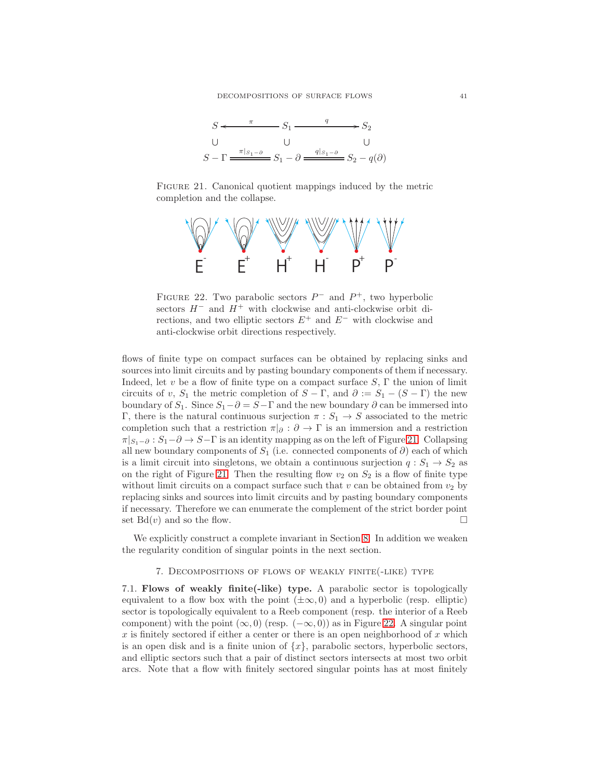

FIGURE 21. Canonical quotient mappings induced by the metric completion and the collapse.

<span id="page-40-0"></span>

<span id="page-40-1"></span>FIGURE 22. Two parabolic sectors  $P^-$  and  $P^+$ , two hyperbolic sectors  $H^-$  and  $H^+$  with clockwise and anti-clockwise orbit directions, and two elliptic sectors  $E^+$  and  $E^-$  with clockwise and anti-clockwise orbit directions respectively.

flows of finite type on compact surfaces can be obtained by replacing sinks and sources into limit circuits and by pasting boundary components of them if necessary. Indeed, let v be a flow of finite type on a compact surface  $S$ ,  $\Gamma$  the union of limit circuits of v,  $S_1$  the metric completion of  $S - \Gamma$ , and  $\partial := S_1 - (S - \Gamma)$  the new boundary of  $S_1$ . Since  $S_1 - \partial = S - \Gamma$  and the new boundary  $\partial$  can be immersed into Γ, there is the natural continuous surjection  $\pi : S_1 \to S$  associated to the metric completion such that a restriction  $\pi|_{\partial} : \partial \to \Gamma$  is an immersion and a restriction  $\pi|_{S_1-\partial}:S_1-\partial\to S-\Gamma$  is an identity mapping as on the left of Figure [21.](#page-40-0) Collapsing all new boundary components of  $S_1$  (i.e. connected components of  $\partial$ ) each of which is a limit circuit into singletons, we obtain a continuous surjection  $q : S_1 \to S_2$  as on the right of Figure [21.](#page-40-0) Then the resulting flow  $v_2$  on  $S_2$  is a flow of finite type without limit circuits on a compact surface such that v can be obtained from  $v_2$  by replacing sinks and sources into limit circuits and by pasting boundary components if necessary. Therefore we can enumerate the complement of the strict border point set  $Bd(v)$  and so the flow.

We explicitly construct a complete invariant in Section [8.](#page-45-0) In addition we weaken the regularity condition of singular points in the next section.

7. Decompositions of flows of weakly finite(-like) type

7.1. Flows of weakly finite(-like) type. A parabolic sector is topologically equivalent to a flow box with the point  $(\pm \infty, 0)$  and a hyperbolic (resp. elliptic) sector is topologically equivalent to a Reeb component (resp. the interior of a Reeb component) with the point  $(\infty, 0)$  (resp.  $(-\infty, 0)$ ) as in Figure [22.](#page-40-1) A singular point  $x$  is finitely sectored if either a center or there is an open neighborhood of  $x$  which is an open disk and is a finite union of  $\{x\}$ , parabolic sectors, hyperbolic sectors, and elliptic sectors such that a pair of distinct sectors intersects at most two orbit arcs. Note that a flow with finitely sectored singular points has at most finitely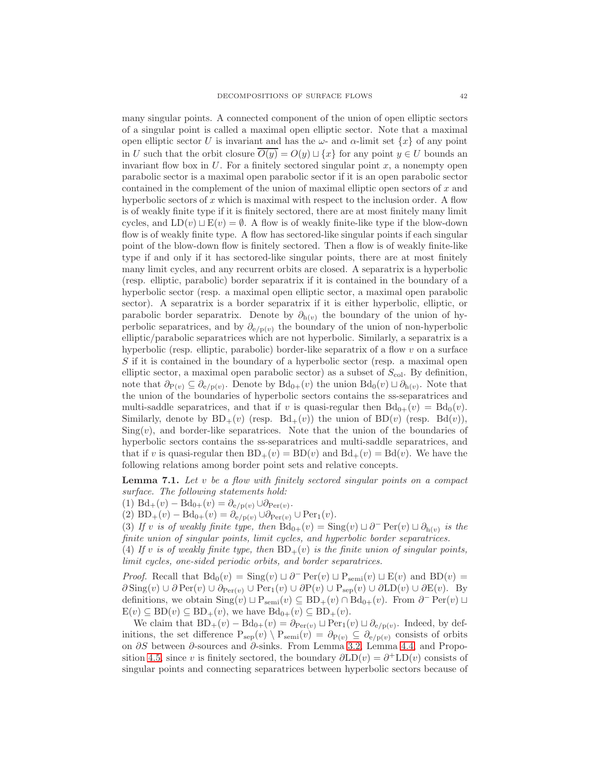many singular points. A connected component of the union of open elliptic sectors of a singular point is called a maximal open elliptic sector. Note that a maximal open elliptic sector U is invariant and has the  $\omega$ - and  $\alpha$ -limit set  $\{x\}$  of any point in U such that the orbit closure  $\overline{O(y)} = O(y) \sqcup \{x\}$  for any point  $y \in U$  bounds an invariant flow box in  $U$ . For a finitely sectored singular point  $x$ , a nonempty open parabolic sector is a maximal open parabolic sector if it is an open parabolic sector contained in the complement of the union of maximal elliptic open sectors of x and hyperbolic sectors of  $x$  which is maximal with respect to the inclusion order. A flow is of weakly finite type if it is finitely sectored, there are at most finitely many limit cycles, and  $LD(v) \sqcup E(v) = \emptyset$ . A flow is of weakly finite-like type if the blow-down flow is of weakly finite type. A flow has sectored-like singular points if each singular point of the blow-down flow is finitely sectored. Then a flow is of weakly finite-like type if and only if it has sectored-like singular points, there are at most finitely many limit cycles, and any recurrent orbits are closed. A separatrix is a hyperbolic (resp. elliptic, parabolic) border separatrix if it is contained in the boundary of a hyperbolic sector (resp. a maximal open elliptic sector, a maximal open parabolic sector). A separatrix is a border separatrix if it is either hyperbolic, elliptic, or parabolic border separatrix. Denote by  $\partial_{h(v)}$  the boundary of the union of hyperbolic separatrices, and by  $\partial_{e/p(v)}$  the boundary of the union of non-hyperbolic elliptic/parabolic separatrices which are not hyperbolic. Similarly, a separatrix is a hyperbolic (resp. elliptic, parabolic) border-like separatrix of a flow  $v$  on a surface  $S$  if it is contained in the boundary of a hyperbolic sector (resp. a maximal open elliptic sector, a maximal open parabolic sector) as a subset of  $S_{\text{col}}$ . By definition, note that  $\partial_{P(v)} \subseteq \partial_{e/p(v)}$ . Denote by  $Bd_{0+}(v)$  the union  $Bd_0(v) \sqcup \partial_{h(v)}$ . Note that the union of the boundaries of hyperbolic sectors contains the ss-separatrices and multi-saddle separatrices, and that if v is quasi-regular then  $Bd_{0+}(v) = Bd_0(v)$ . Similarly, denote by  $BD_+(v)$  (resp.  $Bd_+(v)$ ) the union of  $BD(v)$  (resp.  $Bd(v)$ ),  $\text{Sing}(v)$ , and border-like separatrices. Note that the union of the boundaries of hyperbolic sectors contains the ss-separatrices and multi-saddle separatrices, and that if v is quasi-regular then  $BD_+(v) = BD(v)$  and  $Bd_+(v) = Bd(v)$ . We have the following relations among border point sets and relative concepts.

<span id="page-41-0"></span>**Lemma 7.1.** Let v be a flow with finitely sectored singular points on a compact surface. The following statements hold:

(1)  $\text{Bd}_+(v) - \text{Bd}_{0+}(v) = \partial_{e/p(v)} \cup \partial_{\text{Per}(v)}$ .

(2)  $BD_+(v) - Bd_{0+}(v) = \partial_{e/p(v)} \cup \partial_{Per(v)} \cup Per_1(v).$ 

(3) If v is of weakly finite type, then  $Bd_{0+}(v) = Sing(v) \sqcup \partial^{-} Per(v) \sqcup \partial_{h(v)}$  is the finite union of singular points, limit cycles, and hyperbolic border separatrices.

(4) If v is of weakly finite type, then  $BD_+(v)$  is the finite union of singular points, limit cycles, one-sided periodic orbits, and border separatrices.

*Proof.* Recall that  $Bd_0(v) = Sing(v) \sqcup \partial^- \text{Per}(v) \sqcup P_{semi}(v) \sqcup E(v)$  and  $BD(v) =$  $\partial \text{Sing}(v) \cup \partial \text{Per}(v) \cup \partial_{\text{Per}(v)} \cup \text{Per}_1(v) \cup \partial \text{P}(v) \cup \text{Per}_2(v) \cup \partial \text{LD}(v) \cup \partial \text{E}(v)$ . By definitions, we obtain  $\text{Sing}(v) \sqcup \text{P}_{\text{semi}}(v) \subseteq \text{BD}_+(v) \cap \text{Bd}_{0+}(v)$ . From  $\partial^- \text{Per}(v) \sqcup$  $E(v) \subseteq BD(v) \subseteq BD_+(v)$ , we have  $Bd_{0+}(v) \subseteq BD_+(v)$ .

We claim that  $BD_+(v) - Bd_{0+}(v) = \partial_{Per(v)} \sqcup Per_1(v) \sqcup \partial_{e/p(v)}$ . Indeed, by definitions, the set difference  $P_{\text{sep}}(v) \setminus P_{\text{semi}}(v) = \partial_{P(v)} \subseteq \partial_{e/p(v)}$  consists of orbits on ∂S between ∂-sources and ∂-sinks. From Lemma [3.2,](#page-12-0) Lemma [4.4,](#page-19-1) and Propo-sition [4.5,](#page-20-2) since v is finitely sectored, the boundary  $\partial LD(v) = \partial^+ LD(v)$  consists of singular points and connecting separatrices between hyperbolic sectors because of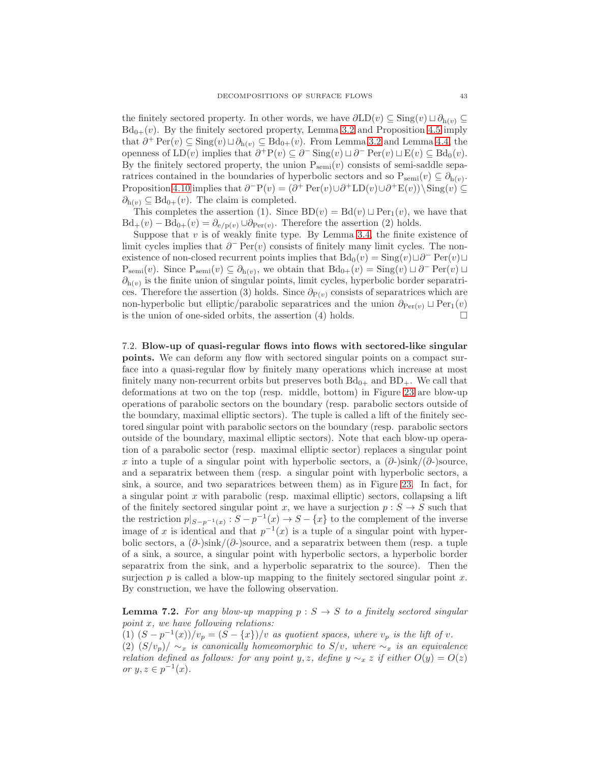the finitely sectored property. In other words, we have  $\partial LD(v) \subseteq Sing(v) \sqcup \partial_{h(v)} \subseteq$  $Bd_{0+}(v)$ . By the finitely sectored property, Lemma [3.2](#page-12-0) and Proposition [4.5](#page-20-2) imply that  $\partial^+ \operatorname{Per}(v) \subseteq \operatorname{Sing}(v) \sqcup \partial_{h(v)} \subseteq \operatorname{Bd}_{0+}(v)$ . From Lemma [3.2](#page-12-0) and Lemma [4.4,](#page-19-1) the openness of  $LD(v)$  implies that  $\partial^+ P(v) \subseteq \partial^- Sing(v) \sqcup \partial^- Per(v) \sqcup E(v) \subseteq Bd_0(v)$ . By the finitely sectored property, the union  $P_{\text{semi}}(v)$  consists of semi-saddle separatrices contained in the boundaries of hyperbolic sectors and so  $P_{semi}(v) \subseteq \partial_{h(v)}$ . Proposition [4.10](#page-22-1) implies that  $\partial^-P(v) = (\partial^+ \text{Per}(v) \cup \partial^+ \text{LD}(v) \cup \partial^+ \text{E}(v)) \setminus \text{Sing}(v) \subseteq$  $\partial_{h(v)} \subseteq Bd_{0+}(v)$ . The claim is completed.

This completes the assertion (1). Since  $BD(v) = Bd(v) \sqcup Per_1(v)$ , we have that  $Bd_+(v) - Bd_{0+}(v) = \partial_{e/p(v)} \cup \partial_{Per(v)}$ . Therefore the assertion (2) holds.

Suppose that  $v$  is of weakly finite type. By Lemma [3.4,](#page-13-1) the finite existence of limit cycles implies that  $\partial^-$  Per $(v)$  consists of finitely many limit cycles. The nonexistence of non-closed recurrent points implies that  $Bd_0(v) = Sing(v) \sqcup \partial^- \text{Per}(v) \sqcup$  $P_{semi}(v)$ . Since  $P_{semi}(v) \subseteq \partial_{h(v)}$ , we obtain that  $Bd_{0+}(v) = Sing(v) \sqcup \partial^-\operatorname{Per}(v) \sqcup$  $\partial_{h(v)}$  is the finite union of singular points, limit cycles, hyperbolic border separatrices. Therefore the assertion (3) holds. Since  $\partial_{P(v)}$  consists of separatrices which are non-hyperbolic but elliptic/parabolic separatrices and the union  $\partial_{Per(v)} \sqcup Per_1(v)$ is the union of one-sided orbits, the assertion  $(4)$  holds.

7.2. Blow-up of quasi-regular flows into flows with sectored-like singular points. We can deform any flow with sectored singular points on a compact surface into a quasi-regular flow by finitely many operations which increase at most finitely many non-recurrent orbits but preserves both  $Bd_{0+}$  and  $BD_{+}$ . We call that deformations at two on the top (resp. middle, bottom) in Figure [23](#page-43-0) are blow-up operations of parabolic sectors on the boundary (resp. parabolic sectors outside of the boundary, maximal elliptic sectors). The tuple is called a lift of the finitely sectored singular point with parabolic sectors on the boundary (resp. parabolic sectors outside of the boundary, maximal elliptic sectors). Note that each blow-up operation of a parabolic sector (resp. maximal elliptic sector) replaces a singular point x into a tuple of a singular point with hyperbolic sectors, a  $(\partial_z)\sin k/(\partial_z)\$ source, and a separatrix between them (resp. a singular point with hyperbolic sectors, a sink, a source, and two separatrices between them) as in Figure [23.](#page-43-0) In fact, for a singular point  $x$  with parabolic (resp. maximal elliptic) sectors, collapsing a lift of the finitely sectored singular point x, we have a surjection  $p : S \to S$  such that the restriction  $p|_{S-p^{-1}(x)} : S-p^{-1}(x) \to S-\{x\}$  to the complement of the inverse image of x is identical and that  $p^{-1}(x)$  is a tuple of a singular point with hyperbolic sectors, a  $(\partial_z)\sin k/(\partial_z)$  source, and a separatrix between them (resp. a tuple of a sink, a source, a singular point with hyperbolic sectors, a hyperbolic border separatrix from the sink, and a hyperbolic separatrix to the source). Then the surjection  $p$  is called a blow-up mapping to the finitely sectored singular point  $x$ . By construction, we have the following observation.

**Lemma 7.2.** For any blow-up mapping  $p : S \rightarrow S$  to a finitely sectored singular point x, we have following relations:

(1)  $(S - p^{-1}(x))/v_p = (S - \{x\})/v$  as quotient spaces, where  $v_p$  is the lift of v. (2)  $(S/v_p)/\sim_x$  is canonically homeomorphic to  $S/v$ , where  $\sim_x$  is an equivalence

relation defined as follows: for any point y, z, define  $y \sim_x z$  if either  $O(y) = O(z)$ or  $y, z \in p^{-1}(x)$ .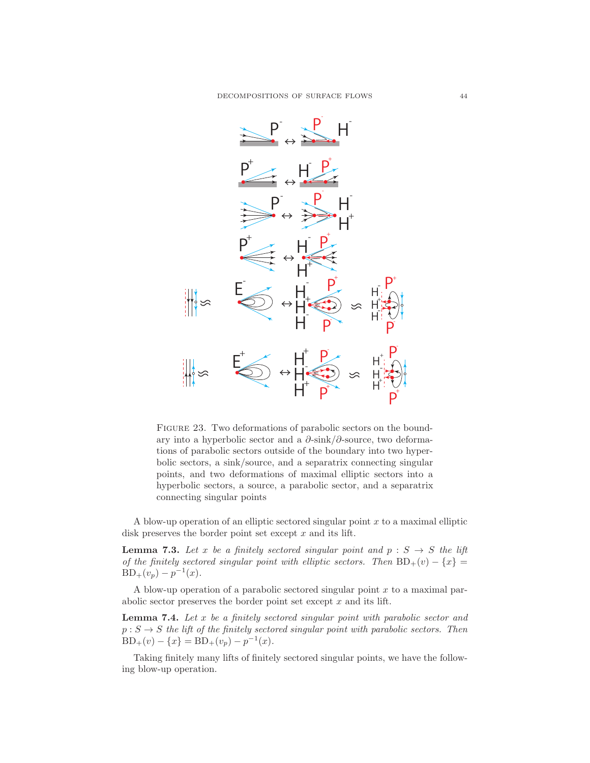

<span id="page-43-0"></span>FIGURE 23. Two deformations of parabolic sectors on the boundary into a hyperbolic sector and a  $\partial$ -sink/ $\partial$ -source, two deformations of parabolic sectors outside of the boundary into two hyperbolic sectors, a sink/source, and a separatrix connecting singular points, and two deformations of maximal elliptic sectors into a hyperbolic sectors, a source, a parabolic sector, and a separatrix connecting singular points

A blow-up operation of an elliptic sectored singular point  $x$  to a maximal elliptic disk preserves the border point set except  $x$  and its lift.

**Lemma 7.3.** Let x be a finitely sectored singular point and  $p : S \rightarrow S$  the lift of the finitely sectored singular point with elliptic sectors. Then  $BD_+(v) - \{x\} =$  $BD_+(v_p) - p^{-1}(x)$ .

A blow-up operation of a parabolic sectored singular point  $x$  to a maximal parabolic sector preserves the border point set except  $x$  and its lift.

**Lemma 7.4.** Let  $x$  be a finitely sectored singular point with parabolic sector and  $p : S \to S$  the lift of the finitely sectored singular point with parabolic sectors. Then  $BD_+(v) - \{x\} = BD_+(v_p) - p^{-1}(x).$ 

Taking finitely many lifts of finitely sectored singular points, we have the following blow-up operation.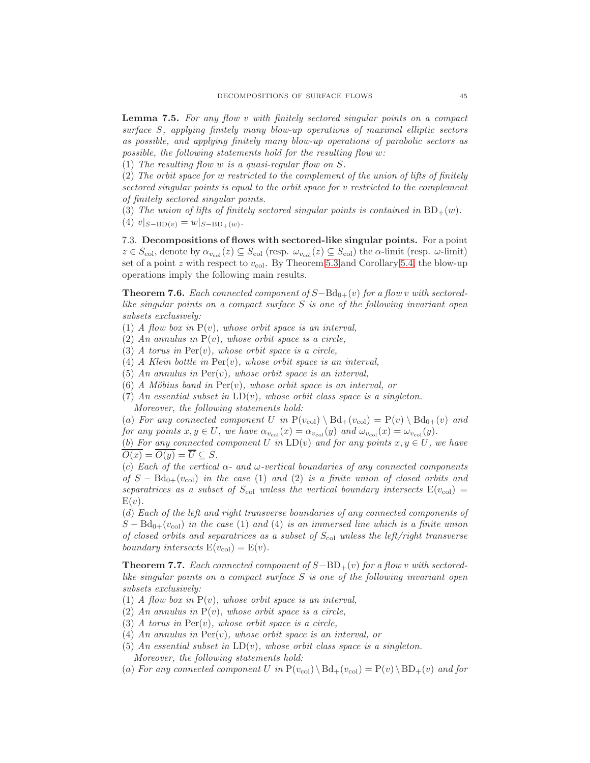<span id="page-44-2"></span>Lemma 7.5. For any flow v with finitely sectored singular points on a compact surface S, applying finitely many blow-up operations of maximal elliptic sectors as possible, and applying finitely many blow-up operations of parabolic sectors as possible, the following statements hold for the resulting flow w:

(1) The resulting flow w is a quasi-regular flow on S.

(2) The orbit space for w restricted to the complement of the union of lifts of finitely sectored singular points is equal to the orbit space for v restricted to the complement of finitely sectored singular points.

(3) The union of lifts of finitely sectored singular points is contained in  $BD_+(w)$ .

(4)  $v|_{S-\text{BD}(v)} = w|_{S-\text{BD}_+(w)}$ .

7.3. Decompositions of flows with sectored-like singular points. For a point  $z \in S_{\text{col}}$ , denote by  $\alpha_{v_{\text{col}}}(z) \subseteq S_{\text{col}}$  (resp.  $\omega_{v_{\text{col}}}(z) \subseteq S_{\text{col}}$ ) the  $\alpha$ -limit (resp.  $\omega$ -limit) set of a point z with respect to  $v_{\text{col}}$ . By Theorem [5.3](#page-30-1) and Corollary [5.4,](#page-35-0) the blow-up operations imply the following main results.

<span id="page-44-0"></span>**Theorem 7.6.** Each connected component of  $S-\text{Bd}_{0+}(v)$  for a flow v with sectoredlike singular points on a compact surface S is one of the following invariant open subsets exclusively:

(1) A flow box in  $P(v)$ , whose orbit space is an interval,

(2) An annulus in  $P(v)$ , whose orbit space is a circle,

(3) A torus in  $Per(v)$ , whose orbit space is a circle,

- (4) A Klein bottle in  $Per(v)$ , whose orbit space is an interval,
- (5) An annulus in  $Per(v)$ , whose orbit space is an interval,
- (6) A Möbius band in  $Per(v)$ , whose orbit space is an interval, or
- (7) An essential subset in  $LD(v)$ , whose orbit class space is a singleton. Moreover, the following statements hold:

(a) For any connected component U in  $P(v_{col}) \setminus Bd_+(v_{col}) = P(v) \setminus Bd_{0+}(v)$  and for any points  $x, y \in U$ , we have  $\alpha_{v_{\text{col}}}(x) = \alpha_{v_{\text{col}}}(y)$  and  $\omega_{v_{\text{col}}}(x) = \omega_{v_{\text{col}}}(y)$ .

(b) For any connected component U in  $LD(v)$  and for any points  $x, y \in U$ , we have  $\overline{O(x)} = \overline{O(y)} = \overline{U} \subseteq S.$ 

(c) Each of the vertical  $\alpha$ - and  $\omega$ -vertical boundaries of any connected components of  $S - Bd_{0+}(v_{col})$  in the case (1) and (2) is a finite union of closed orbits and separatrices as a subset of  $S_{\text{col}}$  unless the vertical boundary intersects  $E(v_{\text{col}})$  =  $E(v)$ .

(d) Each of the left and right transverse boundaries of any connected components of  $S - Bd_{0+}(v_{col})$  in the case (1) and (4) is an immersed line which is a finite union of closed orbits and separatrices as a subset of  $S_{\text{col}}$  unless the left/right transverse boundary intersects  $E(v_{col}) = E(v)$ .

<span id="page-44-1"></span>**Theorem 7.7.** Each connected component of  $S-\text{BD}_{+}(v)$  for a flow v with sectoredlike singular points on a compact surface S is one of the following invariant open subsets exclusively:

- (1) A flow box in  $P(v)$ , whose orbit space is an interval,
- (2) An annulus in  $P(v)$ , whose orbit space is a circle,
- (3) A torus in  $Per(v)$ , whose orbit space is a circle,
- (4) An annulus in Per(v), whose orbit space is an interval, or
- (5) An essential subset in  $LD(v)$ , whose orbit class space is a singleton. Moreover, the following statements hold:
- (a) For any connected component U in  $P(v_{\text{col}}) \setminus \text{Bd}_+(v_{\text{col}}) = P(v) \setminus \text{BD}_+(v)$  and for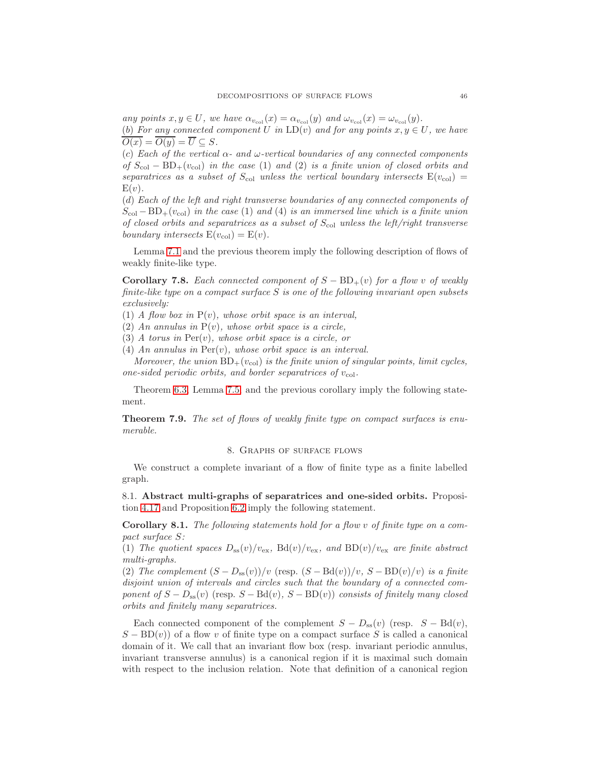any points  $x, y \in U$ , we have  $\alpha_{v_{\text{col}}}(x) = \alpha_{v_{\text{col}}}(y)$  and  $\omega_{v_{\text{col}}}(x) = \omega_{v_{\text{col}}}(y)$ . (b) For any connected component U in  $LD(v)$  and for any points  $x, y \in U$ , we have  $\overline{O(x)} = \overline{O(y)} = \overline{U} \subseteq S.$ 

(c) Each of the vertical  $\alpha$ - and  $\omega$ -vertical boundaries of any connected components of  $S_{\text{col}} - BD_{+}(v_{\text{col}})$  in the case (1) and (2) is a finite union of closed orbits and separatrices as a subset of  $S_{\text{col}}$  unless the vertical boundary intersects  $E(v_{\text{col}})$  =  $E(v)$ .

(d) Each of the left and right transverse boundaries of any connected components of  $S_{\text{col}} - BD_{+}(v_{\text{col}})$  in the case (1) and (4) is an immersed line which is a finite union of closed orbits and separatrices as a subset of  $S_{\text{col}}$  unless the left/right transverse boundary intersects  $E(v_{col}) = E(v)$ .

Lemma [7.1](#page-41-0) and the previous theorem imply the following description of flows of weakly finite-like type.

Corollary 7.8. Each connected component of  $S - BD_+(v)$  for a flow v of weakly finite-like type on a compact surface  $S$  is one of the following invariant open subsets exclusively:

(1) A flow box in  $P(v)$ , whose orbit space is an interval,

(2) An annulus in  $P(v)$ , whose orbit space is a circle,

(3) A torus in  $Per(v)$ , whose orbit space is a circle, or

(4) An annulus in  $Per(v)$ , whose orbit space is an interval.

Moreover, the union  $BD_+(v_{col})$  is the finite union of singular points, limit cycles, one-sided periodic orbits, and border separatrices of  $v_{\text{col}}$ .

Theorem [6.3,](#page-39-1) Lemma [7.5,](#page-44-2) and the previous corollary imply the following statement.

<span id="page-45-0"></span>Theorem 7.9. The set of flows of weakly finite type on compact surfaces is enumerable.

# 8. Graphs of surface flows

We construct a complete invariant of a flow of finite type as a finite labelled graph.

8.1. Abstract multi-graphs of separatrices and one-sided orbits. Proposition [4.17](#page-25-2) and Proposition [6.2](#page-39-0) imply the following statement.

Corollary 8.1. The following statements hold for a flow v of finite type on a compact surface S:

(1) The quotient spaces  $D_{ss}(v)/v_{ex}$ , Bd $(v)/v_{ex}$ , and BD $(v)/v_{ex}$  are finite abstract multi-graphs.

(2) The complement  $(S - D_{ss}(v))/v$  (resp.  $(S - Bd(v))/v$ ,  $S - BD(v)/v$ ) is a finite disjoint union of intervals and circles such that the boundary of a connected component of  $S - D_{ss}(v)$  (resp.  $S - \text{Bd}(v)$ ,  $S - \text{BD}(v)$ ) consists of finitely many closed orbits and finitely many separatrices.

Each connected component of the complement  $S - D_{ss}(v)$  (resp.  $S - \text{Bd}(v)$ ),  $S - BD(v)$  of a flow v of finite type on a compact surface S is called a canonical domain of it. We call that an invariant flow box (resp. invariant periodic annulus, invariant transverse annulus) is a canonical region if it is maximal such domain with respect to the inclusion relation. Note that definition of a canonical region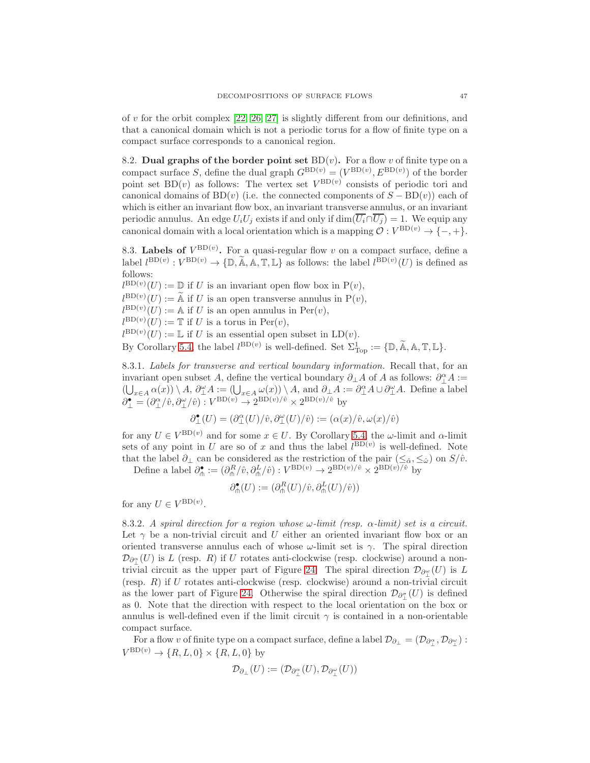of v for the orbit complex  $[22, 26, 27]$  $[22, 26, 27]$  $[22, 26, 27]$  is slightly different from our definitions, and that a canonical domain which is not a periodic torus for a flow of finite type on a compact surface corresponds to a canonical region.

8.2. Dual graphs of the border point set  $BD(v)$ . For a flow v of finite type on a compact surface S, define the dual graph  $G^{\text{BD}(v)} = (V^{\text{BD}(v)}, E^{\text{BD}(v)})$  of the border point set  $BD(v)$  as follows: The vertex set  $V^{BD(v)}$  consists of periodic tori and canonical domains of BD(v) (i.e. the connected components of  $S - BD(v)$ ) each of which is either an invariant flow box, an invariant transverse annulus, or an invariant periodic annulus. An edge  $U_iU_j$  exists if and only if  $\dim(\overline{U_i} \cap \overline{U_j}) = 1$ . We equip any canonical domain with a local orientation which is a mapping  $\mathcal{O}: V^{\text{BD}(v)} \to \{-, +\}.$ 

8.3. Labels of  $V^{\text{BD}(v)}$ . For a quasi-regular flow v on a compact surface, define a label  $l^{\text{BD}(v)} : V^{\text{BD}(v)} \to \{\mathbb{D}, \mathbb{A}, \mathbb{A}, \mathbb{T}, \mathbb{L}\}$  as follows: the label  $l^{\text{BD}(v)}(U)$  is defined as follows:

 $l^{\text{BD}(v)}(U) := \mathbb{D}$  if U is an invariant open flow box in  $P(v)$ ,  $l^{BD(v)}(U) := A$  if U is an open transverse annulus in  $P(v)$ ,  $l^{\text{BD}(v)}(U) := A$  if U is an open annulus in  $\text{Per}(v)$ ,  $l^{\text{BD}(v)}(U) := \mathbb{T}$  if U is a torus in  $\text{Per}(v)$ ,  $l^{\text{BD}(v)}(U) := \mathbb{L}$  if U is an essential open subset in  $\text{LD}(v)$ .

By Corollary [5.4,](#page-35-0) the label  $l^{\text{BD}(v)}$  is well-defined. Set  $\Sigma^1_{\text{Top}} := {\mathbb{D}, \mathbb{A}, \mathbb{A}, \mathbb{T}, \mathbb{L}}.$ 

8.3.1. Labels for transverse and vertical boundary information. Recall that, for an invariant open subset A, define the vertical boundary  $\partial_{\perp} A$  of A as follows:  $\partial_{\perp}^{\alpha} A :=$  $(\bigcup_{x \in A} \alpha(x)) \setminus A, \ \partial_{\perp}^{\omega} A := (\bigcup_{x \in A} \omega(x)) \setminus A, \text{ and } \partial_{\perp} A := \partial_{\perp}^{\alpha} A \cup \partial_{\perp}^{\omega} A.$  Define a label  $\partial_{\perp}^{\bullet} = (\partial_{\perp}^{\alpha}/\hat{v}, \partial_{\perp}^{\omega}/\hat{v}) : V^{\text{BD}(v)} \to 2^{\text{BD}(v)/\hat{v}} \times 2^{\text{BD}(v)/\hat{v}}$  by

$$
\partial^\bullet_\bot(U)=(\partial^\alpha_\bot(U)/\hat v,\partial^\omega_\bot(U)/\hat v):=(\alpha(x)/\hat v,\omega(x)/\hat v)
$$

for any  $U \in V^{\text{BD}(v)}$  and for some  $x \in U$ . By Corollary [5.4,](#page-35-0) the  $\omega$ -limit and  $\alpha$ -limit sets of any point in U are so of x and thus the label  $l^{BD(v)}$  is well-defined. Note that the label  $\partial_{\perp}$  can be considered as the restriction of the pair  $(\leq_{\hat{\alpha}}, \leq_{\hat{\omega}})$  on  $S/\hat{v}$ .

Define a label  $\partial_{\phi}^{\bullet} := (\partial_{\phi}^{R}/\hat{v}, \partial_{\phi}^{L}/\hat{v}) : V^{BD(v)} \to 2^{BD(v)/\hat{v}} \times 2^{BD(v)/\hat{v}}$  by

$$
\partial_{\mathsf{m}}^{\bullet}(U):=(\partial_{\mathsf{m}}^R(U)/\hat{v},\partial_{\mathsf{m}}^L(U)/\hat{v}))
$$

for any  $U \in V^{\text{BD}(v)}$ .

8.3.2. A spiral direction for a region whose  $\omega$ -limit (resp.  $\alpha$ -limit) set is a circuit. Let  $\gamma$  be a non-trivial circuit and U either an oriented invariant flow box or an oriented transverse annulus each of whose  $\omega$ -limit set is  $\gamma$ . The spiral direction  $\mathcal{D}_{\partial_{\mu}^{\alpha}}(U)$  is L (resp. R) if U rotates anti-clockwise (resp. clockwise) around a non-trivial circuit as the upper part of Figure [24.](#page-47-0) The spiral direction  $\mathcal{D}_{\partial_{\perp}^{\omega}}(U)$  is L (resp.  $R$ ) if  $U$  rotates anti-clockwise (resp. clockwise) around a non-trivial circuit as the lower part of Figure [24.](#page-47-0) Otherwise the spiral direction  $\mathcal{D}_{\partial_{\perp}^{\sigma}}(U)$  is defined as 0. Note that the direction with respect to the local orientation on the box or annulus is well-defined even if the limit circuit  $\gamma$  is contained in a non-orientable compact surface.

For a flow v of finite type on a compact surface, define a label  $\mathcal{D}_{\partial_\perp} = (\mathcal{D}_{\partial_\perp^\alpha}, \mathcal{D}_{\partial_\perp^\omega})$ :  $V^{\text{BD}(v)} \to \{R, L, 0\} \times \{R, L, 0\}$  by

$$
\mathcal{D}_{\partial_{\perp}}(U) := (\mathcal{D}_{\partial_{\perp}^{\alpha}}(U), \mathcal{D}_{\partial_{\perp}^{\omega}}(U))
$$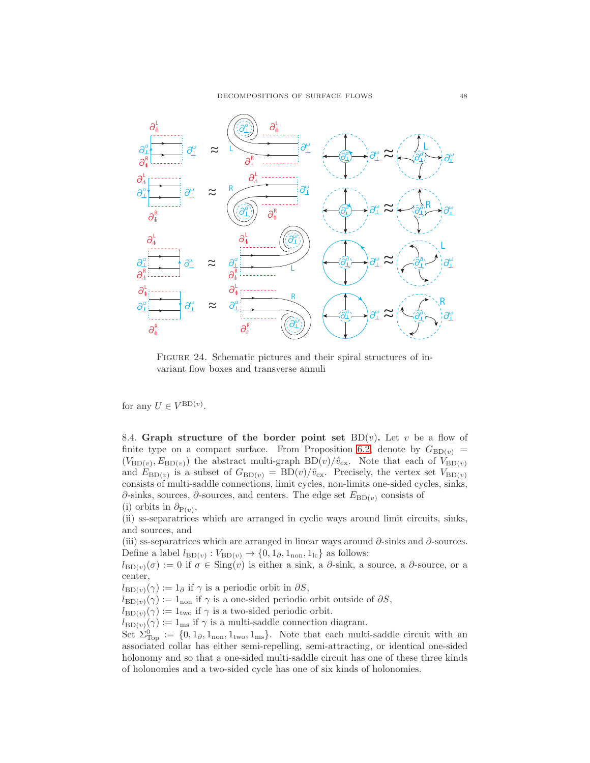

<span id="page-47-0"></span>Figure 24. Schematic pictures and their spiral structures of invariant flow boxes and transverse annuli

for any  $U \in V^{\text{BD}(v)}$ .

8.4. Graph structure of the border point set  $BD(v)$ . Let v be a flow of finite type on a compact surface. From Proposition [6.2,](#page-39-0) denote by  $G_{BD(v)} =$  $(V_{\text{BD}(v)}, E_{\text{BD}(v)})$  the abstract multi-graph  $\text{BD}(v)/\hat{v}_{\text{ex}}$ . Note that each of  $V_{\text{BD}(v)}$ and  $E_{BD(v)}$  is a subset of  $G_{BD(v)} = BD(v)/\hat{v}_{ex}$ . Precisely, the vertex set  $V_{BD(v)}$ consists of multi-saddle connections, limit cycles, non-limits one-sided cycles, sinks,  $\partial$ -sinks, sources,  $\partial$ -sources, and centers. The edge set  $E_{BD(v)}$  consists of (i) orbits in  $\partial_{P(v)}$ ,

(ii) ss-separatrices which are arranged in cyclic ways around limit circuits, sinks, and sources, and

(iii) ss-separatrices which are arranged in linear ways around  $\partial$ -sinks and  $\partial$ -sources. Define a label  $l_{BD(v)}$ :  $V_{BD(v)} \rightarrow \{0, 1_{\partial}, 1_{\text{non}}, 1_{\text{lc}}\}$  as follows:

 $l_{BD(v)}(\sigma) := 0$  if  $\sigma \in Sing(v)$  is either a sink, a  $\partial$ -sink, a source, a  $\partial$ -source, or a center,

 $l_{BD(v)}(\gamma) := 1_{\partial}$  if  $\gamma$  is a periodic orbit in  $\partial S$ ,

 $l_{BD(v)}(\gamma) := 1_{\text{non}}$  if  $\gamma$  is a one-sided periodic orbit outside of  $\partial S$ ,

 $l_{BD(v)}(\gamma) := 1_{\text{two}}$  if  $\gamma$  is a two-sided periodic orbit.

 $l_{BD(v)}(\gamma) := 1_{\text{ms}}$  if  $\gamma$  is a multi-saddle connection diagram.

Set  $\Sigma_{\text{Top}}^0 := \{0, 1_{\partial}, 1_{\text{non}}, 1_{\text{two}}, 1_{\text{ms}}\}.$  Note that each multi-saddle circuit with an associated collar has either semi-repelling, semi-attracting, or identical one-sided holonomy and so that a one-sided multi-saddle circuit has one of these three kinds of holonomies and a two-sided cycle has one of six kinds of holonomies.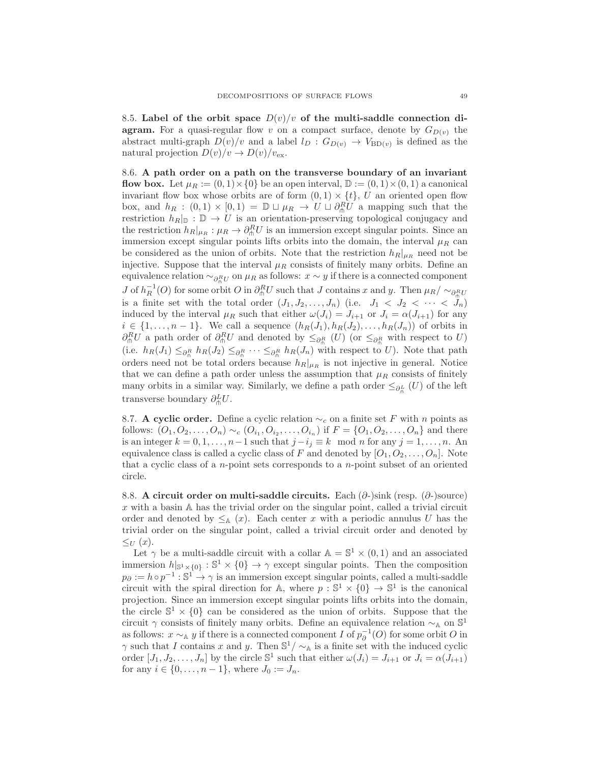8.5. Label of the orbit space  $D(v)/v$  of the multi-saddle connection di**agram.** For a quasi-regular flow v on a compact surface, denote by  $G_{D(v)}$  the abstract multi-graph  $D(v)/v$  and a label  $l_D : G_{D(v)} \to V_{BD(v)}$  is defined as the natural projection  $D(v)/v \to D(v)/v_{\text{ex}}$ .

8.6. A path order on a path on the transverse boundary of an invariant flow box. Let  $\mu_R := (0,1) \times \{0\}$  be an open interval,  $\mathbb{D} := (0,1) \times (0,1)$  a canonical invariant flow box whose orbits are of form  $(0, 1) \times \{t\}$ , U an oriented open flow box, and  $h_R$ :  $(0,1) \times [0,1) = \mathbb{D} \sqcup \mu_R \to U \sqcup \partial_{\hat{m}}^R U$  a mapping such that the restriction  $h_R|_{\mathbb{D}} : \mathbb{D} \to U$  is an orientation-preserving topological conjugacy and the restriction  $h_R|_{\mu_R} : \mu_R \to \partial_{\theta}^R U$  is an immersion except singular points. Since an immersion except singular points lifts orbits into the domain, the interval  $\mu_R$  can be considered as the union of orbits. Note that the restriction  $h_R|_{\mu_R}$  need not be injective. Suppose that the interval  $\mu_R$  consists of finitely many orbits. Define an equivalence relation  $\sim_{\partial_{\Pi}^{R}U}$  on  $\mu_R$  as follows:  $x \sim y$  if there is a connected component J of  $h_R^{-1}(O)$  for some orbit  $O$  in  $\partial_{\ln}^R U$  such that J contains x and y. Then  $\mu_R/\sim_{\partial_{\ln}^R U}$ is a finite set with the total order  $(J_1, J_2, \ldots, J_n)$  (i.e.  $J_1 < J_2 < \cdots < J_n$ ) induced by the interval  $\mu_R$  such that either  $\omega(J_i) = J_{i+1}$  or  $J_i = \alpha(J_{i+1})$  for any  $i \in \{1, \ldots, n-1\}$ . We call a sequence  $(h_R(J_1), h_R(J_2), \ldots, h_R(J_n))$  of orbits in  $\partial_{\ln}^R U$  a path order of  $\partial_{\ln}^R U$  and denoted by  $\leq_{\partial_{\ln}^R} (U)$  (or  $\leq_{\partial_{\ln}^R}$  with respect to U) (i.e.  $h_R(J_1) \leq_{\partial_R^R} h_R(J_2) \leq_{\partial_R^R} \cdots \leq_{\partial_R^R} h_R(J_n)$  with respect to U). Note that path orders need not be total orders because  $h_R|_{\mu_R}$  is not injective in general. Notice that we can define a path order unless the assumption that  $\mu_R$  consists of finitely many orbits in a similar way. Similarly, we define a path order  $\leq_{\partial_{\theta}^{L}}(U)$  of the left transverse boundary  $\partial_{\theta}^{L}U$ .

8.7. A cyclic order. Define a cyclic relation  $\sim_c$  on a finite set F with n points as follows:  $(O_1, O_2, \ldots, O_n) \sim_c (O_{i_1}, O_{i_2}, \ldots, O_{i_n})$  if  $F = \{O_1, O_2, \ldots, O_n\}$  and there is an integer  $k = 0, 1, \ldots, n-1$  such that  $j - i_j \equiv k \mod n$  for any  $j = 1, \ldots, n$ . An equivalence class is called a cyclic class of F and denoted by  $[O_1, O_2, \ldots, O_n]$ . Note that a cyclic class of a n-point sets corresponds to a n-point subset of an oriented circle.

8.8. A circuit order on multi-saddle circuits. Each  $(\partial$ -)sink (resp.  $(\partial$ -)source)  $x$  with a basin  $A$  has the trivial order on the singular point, called a trivial circuit order and denoted by  $\leq_{\mathbb{A}} (x)$ . Each center x with a periodic annulus U has the trivial order on the singular point, called a trivial circuit order and denoted by  $\leq_U (x)$ .

Let  $\gamma$  be a multi-saddle circuit with a collar  $\mathbb{A} = \mathbb{S}^1 \times (0,1)$  and an associated immersion  $h|_{\mathbb{S}^1\times\{0\}}:\mathbb{S}^1\times\{0\}\to\gamma$  except singular points. Then the composition  $p_{\partial} := h \circ p^{-1} : \mathbb{S}^1 \to \gamma$  is an immersion except singular points, called a multi-saddle circuit with the spiral direction for A, where  $p : \mathbb{S}^1 \times \{0\} \to \mathbb{S}^1$  is the canonical projection. Since an immersion except singular points lifts orbits into the domain, the circle  $\mathbb{S}^1 \times \{0\}$  can be considered as the union of orbits. Suppose that the circuit  $\gamma$  consists of finitely many orbits. Define an equivalence relation  $\sim_{\mathbb{A}}$  on  $\mathbb{S}^1$ as follows:  $x \sim_A y$  if there is a connected component I of  $p_{\partial}^{-1}(O)$  for some orbit O in  $\gamma$  such that I contains x and y. Then  $\mathbb{S}^1/\sim_A$  is a finite set with the induced cyclic order  $[J_1, J_2, \ldots, J_n]$  by the circle  $\mathbb{S}^1$  such that either  $\omega(J_i) = J_{i+1}$  or  $J_i = \alpha(J_{i+1})$ for any  $i \in \{0, ..., n-1\}$ , where  $J_0 := J_n$ .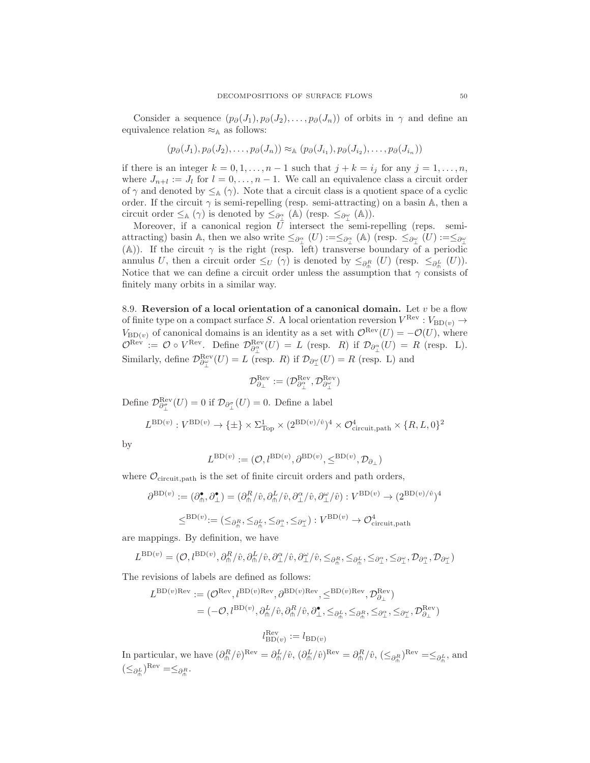Consider a sequence  $(p_{\partial}(J_1), p_{\partial}(J_2), \ldots, p_{\partial}(J_n))$  of orbits in  $\gamma$  and define an equivalence relation  $\approx_{\mathbb{A}}$  as follows:

$$
(p_{\partial}(J_1), p_{\partial}(J_2), \ldots, p_{\partial}(J_n)) \approx_{\mathbb{A}} (p_{\partial}(J_{i_1}), p_{\partial}(J_{i_2}), \ldots, p_{\partial}(J_{i_n}))
$$

if there is an integer  $k = 0, 1, \ldots, n - 1$  such that  $j + k = i_j$  for any  $j = 1, \ldots, n$ , where  $J_{n+l} := J_l$  for  $l = 0, \ldots, n-1$ . We call an equivalence class a circuit order of  $\gamma$  and denoted by  $\leq_{\mathbb{A}} (\gamma)$ . Note that a circuit class is a quotient space of a cyclic order. If the circuit  $\gamma$  is semi-repelling (resp. semi-attracting) on a basin A, then a circuit order  $\leq_{\mathbb{A}} (\gamma)$  is denoted by  $\leq_{\partial_{\perp}^{\alpha}} (\mathbb{A})$  (resp.  $\leq_{\partial_{\perp}^{\omega}} (\mathbb{A})$ ).

Moreover, if a canonical region  $U$  intersect the semi-repelling (reps. semiattracting) basin A, then we also write  $\leq_{\partial_{\perp}^{\alpha}}(U) := \leq_{\partial_{\perp}^{\alpha}}(\mathbb{A})$  (resp.  $\leq_{\partial_{\perp}^{\omega}}(U) := \leq_{\partial_{\perp}^{\omega}}$ (A)). If the circuit  $\gamma$  is the right (resp. left) transverse boundary of a periodic annulus U, then a circuit order  $\leq_U (\gamma)$  is denoted by  $\leq_{\partial_{\overline{n}}} (U)$  (resp.  $\leq_{\partial_{\overline{n}}} (U)$ ). Notice that we can define a circuit order unless the assumption that  $\gamma$  consists of finitely many orbits in a similar way.

8.9. Reversion of a local orientation of a canonical domain. Let  $v$  be a flow of finite type on a compact surface S. A local orientation reversion  $V^{\text{Rev}} : V_{\text{BD}(v)} \to$  $V_{\text{BD}(v)}$  of canonical domains is an identity as a set with  $\mathcal{O}^{\text{Rev}}(U) = -\mathcal{O}(U)$ , where  $\mathcal{O}^{\text{Rev}} := \mathcal{O} \circ V^{\text{Rev}}$ . Define  $\mathcal{D}^{\text{Rev}}_{\partial_{\perp}^{\alpha}}(U) = L$  (resp. R) if  $\mathcal{D}_{\partial_{\perp}^{\alpha}}(U) = R$  (resp. L). Similarly, define  $\mathcal{D}^{\text{Rev}}_{\partial_{\perp}^{\omega}}(U) = L$  (resp. R) if  $\mathcal{D}_{\partial_{\perp}^{\omega}}(U) = R$  (resp. L) and

$$
\mathcal{D}^{\mathrm{Rev}}_{\partial_\perp} := (\mathcal{D}^{\mathrm{Rev}}_{\partial^\alpha_\perp}, \mathcal{D}^{\mathrm{Rev}}_{\partial^\omega_\perp})
$$

Define  $\mathcal{D}^{\text{Rev}}_{\partial_{\perp}^{\sigma}}(U) = 0$  if  $\mathcal{D}_{\partial_{\perp}^{\sigma}}(U) = 0$ . Define a label

$$
L^{\text{BD}(v)}: V^{\text{BD}(v)} \to \{\pm\} \times \Sigma_{\text{Top}}^1 \times (2^{\text{BD}(v)/\hat{v}})^4 \times \mathcal{O}_{\text{circuit}, \text{path}}^4 \times \{R, L, 0\}^2
$$

by

$$
L^{\operatorname{BD}(v)}:=(\mathcal{O},l^{\operatorname{BD}(v)},\partial^{\operatorname{BD}(v)},\leq^{\operatorname{BD}(v)},\mathcal{D}_{\partial_\perp})
$$

where  $\mathcal{O}_{\text{circuit},\text{path}}$  is the set of finite circuit orders and path orders,

$$
\partial^{\mathrm{BD}(v)} := (\partial_{\mathsf{m}}^{\bullet}, \partial_{\perp}^{\bullet}) = (\partial_{\mathsf{m}}^R / \hat{v}, \partial_{\mathsf{m}}^L / \hat{v}, \partial_{\perp}^{\alpha} / \hat{v}, \partial_{\perp}^{\alpha} / \hat{v}) : V^{\mathrm{BD}(v)} \to (2^{\mathrm{BD}(v)/\hat{v}})^4
$$
  

$$
\leq^{\mathrm{BD}(v)} := (\leq_{\partial_{\mathsf{m}}^R}, \leq_{\partial_{\mathsf{m}}^L}, \leq_{\partial_{\perp}^{\alpha}}, \leq_{\partial_{\perp}^{\alpha}}) : V^{\mathrm{BD}(v)} \to \mathcal{O}_{\mathrm{circuit}, \mathrm{path}}^4
$$

are mappings. By definition, we have

$$
L^{\text{BD}(v)} = (\mathcal{O}, l^{\text{BD}(v)}, \partial^R_{\text{th}}/\hat{v}, \partial^L_{\text{th}}/\hat{v}, \partial^{\alpha}_{\perp}/\hat{v}, \partial^{\omega}_{\perp}/\hat{v}, \leq_{\partial^R_{\text{th}}}, \leq_{\partial^R_{\text{th}}}, \leq_{\partial^{\alpha}_{\perp}}, \leq_{\partial^{\alpha}_{\perp}}, \mathcal{D}_{\partial^{\alpha}_{\perp}}, \mathcal{D}_{\partial^{\omega}_{\perp}})
$$

The revisions of labels are defined as follows:

$$
L^{\text{BD}(v)\text{Rev}} := (\mathcal{O}^{\text{Rev}}, l^{\text{BD}(v)\text{Rev}}, \partial^{\text{BD}(v)\text{Rev}}, \leq^{\text{BD}(v)\text{Rev}}, \mathcal{D}^{\text{Rev}}_{\partial_{\perp}})
$$
  
=  $(-\mathcal{O}, l^{\text{BD}(v)}, \partial_{\text{th}}^L/\hat{v}, \partial_{\text{th}}^R/\hat{v}, \partial_{\perp}^{\bullet}, \leq_{\partial_{\text{th}}^L}, \leq_{\partial_{\text{th}}^R}, \leq_{\partial_{\perp}^R}, \mathcal{D}^{\text{Rev}}_{\partial_{\perp}})$ 

$$
l_{\mathrm{BD}(v)}^{\mathrm{Rev}} := l_{\mathrm{BD}(v)}
$$

In particular, we have  $(\partial_{\theta}^{R}/\hat{v})^{\text{Rev}} = \partial_{\theta}^{L}/\hat{v}$ ,  $(\partial_{\theta}^{L}/\hat{v})^{\text{Rev}} = \partial_{\theta}^{R}/\hat{v}$ ,  $(\leq_{\partial_{\theta}^{R}})^{\text{Rev}} = \leq_{\partial_{\theta}^{L}}$ , and  $(\leq_{\partial_{\rho}^{L}})^{\mathrm{Rev}} = \leq_{\partial_{\rho}^{R}}.$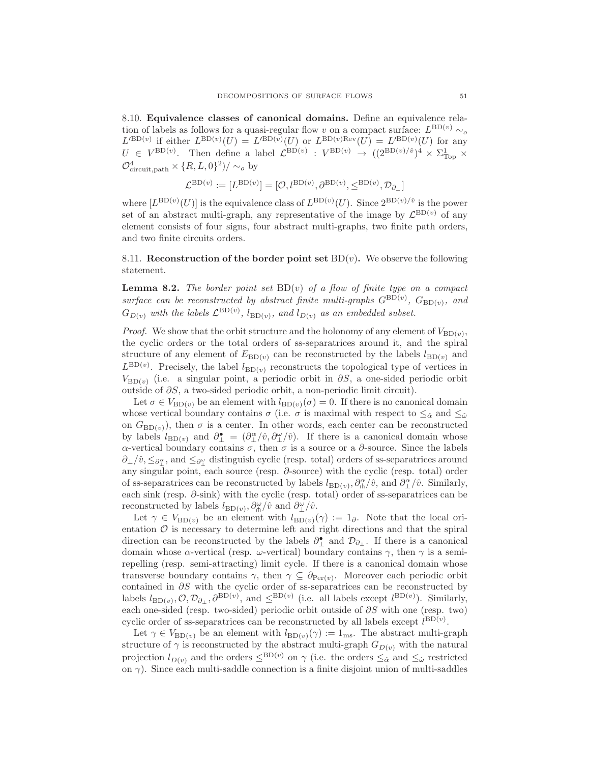8.10. Equivalence classes of canonical domains. Define an equivalence relation of labels as follows for a quasi-regular flow v on a compact surface:  $L^{\text{BD}(v)} \sim_o$  $L^{\prime BD(v)}$  if either  $L^{\text{BD}(v)}(U) = L^{\prime BD(v)}(U)$  or  $L^{\text{BD}(v)Rev}(U) = L^{\prime BD(v)}(U)$  for any  $U \in V^{\text{BD}(v)}$ . Then define a label  $\mathcal{L}^{\text{BD}(v)} : V^{\text{BD}(v)} \to ((2^{\text{BD}(v)/\hat{v}})^4 \times \Sigma_{\text{Top}}^1 \times$  $\mathcal{O}_{\text{circuit},\text{path}}^4 \times \{R,L,0\}^2)/\sim_o \text{by}$ 

$$
\mathcal{L}^{\text{BD}(v)} := [L^{\text{BD}(v)}] = [\mathcal{O}, l^{\text{BD}(v)}, \partial^{\text{BD}(v)}, \leq^{\text{BD}(v)}, \mathcal{D}_{\partial_\perp}]
$$

where  $[L^{BD(v)}(U)]$  is the equivalence class of  $L^{BD(v)}(U)$ . Since  $2^{BD(v)/\hat{v}}$  is the power set of an abstract multi-graph, any representative of the image by  $\mathcal{L}^{\text{BD}(v)}$  of any element consists of four signs, four abstract multi-graphs, two finite path orders, and two finite circuits orders.

8.11. Reconstruction of the border point set  $BD(v)$ . We observe the following statement.

<span id="page-50-0"></span>**Lemma 8.2.** The border point set  $BD(v)$  of a flow of finite type on a compact surface can be reconstructed by abstract finite multi-graphs  $G^{\text{BD}(v)}$ ,  $G_{\text{BD}(v)}$ , and  $G_{D(v)}$  with the labels  $\mathcal{L}^{\text{BD}(v)}$ ,  $l_{\text{BD}(v)}$ , and  $l_{D(v)}$  as an embedded subset.

*Proof.* We show that the orbit structure and the holonomy of any element of  $V_{BD(v)}$ , the cyclic orders or the total orders of ss-separatrices around it, and the spiral structure of any element of  $E_{BD(v)}$  can be reconstructed by the labels  $l_{BD(v)}$  and  $L^{\text{BD}(v)}$ . Precisely, the label  $l_{\text{BD}(v)}$  reconstructs the topological type of vertices in  $V_{\text{BD}(v)}$  (i.e. a singular point, a periodic orbit in  $\partial S$ , a one-sided periodic orbit outside of ∂S, a two-sided periodic orbit, a non-periodic limit circuit).

Let  $\sigma \in V_{BD(v)}$  be an element with  $l_{BD(v)}(\sigma) = 0$ . If there is no canonical domain whose vertical boundary contains  $\sigma$  (i.e.  $\sigma$  is maximal with respect to  $\leq_{\hat{\alpha}}$  and  $\leq_{\hat{\omega}}$ on  $G_{BD(v)}$ , then  $\sigma$  is a center. In other words, each center can be reconstructed by labels  $l_{BD(v)}$  and  $\partial_{\perp}^{\bullet} = (\partial_{\perp}^{\alpha}/\hat{v}, \partial_{\perp}^{\omega}/\hat{v})$ . If there is a canonical domain whose α-vertical boundary contains  $\sigma$ , then  $\sigma$  is a source or a  $\partial$ -source. Since the labels  $\partial_{\perp}/\hat{v}, \leq_{\partial_{\perp}^{\alpha}}$ , and  $\leq_{\partial_{\perp}^{\omega}}$  distinguish cyclic (resp. total) orders of ss-separatrices around any singular point, each source (resp. ∂-source) with the cyclic (resp. total) order of ss-separatrices can be reconstructed by labels  $l_{BD(v)}$ ,  $\partial_{\phi}^{\alpha}/\hat{v}$ , and  $\partial_{\perp}^{\alpha}/\hat{v}$ . Similarly, each sink (resp.  $\partial$ -sink) with the cyclic (resp. total) order of ss-separatrices can be reconstructed by labels  $l_{\text{BD}(v)}, \partial_{\text{th}}^{\omega}/\hat{v}$  and  $\partial_{\perp}^{\omega}/\hat{v}$ .

Let  $\gamma \in V_{\text{BD}(v)}$  be an element with  $l_{\text{BD}(v)}(\gamma) := 1_{\partial}$ . Note that the local orientation  $O$  is necessary to determine left and right directions and that the spiral direction can be reconstructed by the labels  $\partial_{\perp}^{\bullet}$  and  $\mathcal{D}_{\partial_{\perp}}$ . If there is a canonical domain whose  $\alpha$ -vertical (resp.  $\omega$ -vertical) boundary contains  $\gamma$ , then  $\gamma$  is a semirepelling (resp. semi-attracting) limit cycle. If there is a canonical domain whose transverse boundary contains  $\gamma$ , then  $\gamma \subseteq \partial_{\text{Per}(\nu)}$ . Moreover each periodic orbit contained in ∂S with the cyclic order of ss-separatrices can be reconstructed by labels  $l_{BD(v)}, \mathcal{O}, \mathcal{D}_{\partial_{\perp}}, \partial^{BD(v)}$ , and  $\leq^{BD(v)}$  (i.e. all labels except  $l^{BD(v)}$ ). Similarly, each one-sided (resp. two-sided) periodic orbit outside of  $\partial S$  with one (resp. two) cyclic order of ss-separatrices can be reconstructed by all labels except  $l^{BD(v)}$ .

Let  $\gamma \in V_{\text{BD}(v)}$  be an element with  $l_{\text{BD}(v)}(\gamma) := 1_{\text{ms}}$ . The abstract multi-graph structure of  $\gamma$  is reconstructed by the abstract multi-graph  $G_{D(v)}$  with the natural projection  $l_{D(v)}$  and the orders  $\leq^{BD(v)}$  on  $\gamma$  (i.e. the orders  $\leq_{\hat{\alpha}}$  and  $\leq_{\hat{\omega}}$  restricted on  $\gamma$ ). Since each multi-saddle connection is a finite disjoint union of multi-saddles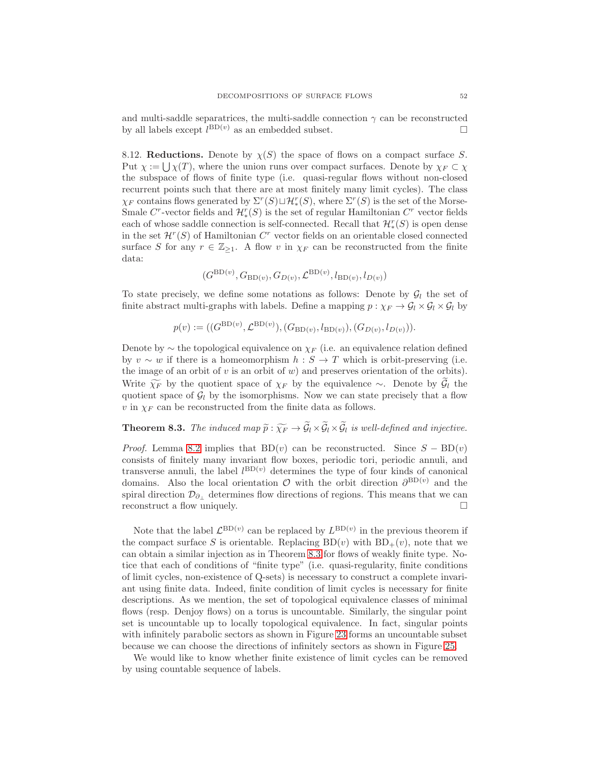and multi-saddle separatrices, the multi-saddle connection  $\gamma$  can be reconstructed by all labels except  $l^{\text{BD}(v)}$  as an embedded subset.

8.12. Reductions. Denote by  $\chi(S)$  the space of flows on a compact surface S. Put  $\chi := \bigcup \chi(T)$ , where the union runs over compact surfaces. Denote by  $\chi_F \subset \chi$ the subspace of flows of finite type (i.e. quasi-regular flows without non-closed recurrent points such that there are at most finitely many limit cycles). The class  $\chi_F$  contains flows generated by  $\Sigma^r(S) \sqcup \mathcal{H}_*^r(S)$ , where  $\Sigma^r(S)$  is the set of the Morse-Smale  $C^r$ -vector fields and  $\mathcal{H}_*^r(S)$  is the set of regular Hamiltonian  $C^r$  vector fields each of whose saddle connection is self-connected. Recall that  $\mathcal{H}_*^r(S)$  is open dense in the set  $\mathcal{H}^r(S)$  of Hamiltonian  $C^r$  vector fields on an orientable closed connected surface S for any  $r \in \mathbb{Z}_{\geq 1}$ . A flow v in  $\chi_F$  can be reconstructed from the finite data:

$$
(G^{\text{BD}(v)}, G_{\text{BD}(v)}, G_{D(v)}, \mathcal{L}^{\text{BD}(v)}, l_{\text{BD}(v)}, l_{D(v)})
$$

To state precisely, we define some notations as follows: Denote by  $\mathcal{G}_l$  the set of finite abstract multi-graphs with labels. Define a mapping  $p : \chi_F \to \mathcal{G}_l \times \mathcal{G}_l \times \mathcal{G}_l$  by

$$
p(v) := ((G^{\text{BD}(v)}, \mathcal{L}^{\text{BD}(v)}), (G_{\text{BD}(v)}, l_{\text{BD}(v)}), (G_{D(v)}, l_{D(v)})).
$$

Denote by  $\sim$  the topological equivalence on  $\chi_F$  (i.e. an equivalence relation defined by  $v \sim w$  if there is a homeomorphism  $h : S \to T$  which is orbit-preserving (i.e. the image of an orbit of v is an orbit of w) and preserves orientation of the orbits). Write  $\widetilde{\chi_F}$  by the quotient space of  $\chi_F$  by the equivalence ∼. Denote by  $\mathcal{G}_l$  the quotient space of  $\mathcal{G}_l$  by the isomorphisms. Now we can state precisely that a flow  $v$  in  $\chi_F$  can be reconstructed from the finite data as follows.

# <span id="page-51-0"></span>**Theorem 8.3.** The induced map  $\widetilde{p}: \widetilde{\chi_F} \to \widetilde{\mathcal{G}}_l \times \widetilde{\mathcal{G}}_l \times \widetilde{\mathcal{G}}_l$  is well-defined and injective.

*Proof.* Lemma [8.2](#page-50-0) implies that BD(v) can be reconstructed. Since  $S - BD(v)$ consists of finitely many invariant flow boxes, periodic tori, periodic annuli, and transverse annuli, the label  $l^{BD(v)}$  determines the type of four kinds of canonical domains. Also the local orientation  $\mathcal O$  with the orbit direction  $\partial^{\text{BD}(v)}$  and the spiral direction  $\mathcal{D}_{\partial_{\perp}}$  determines flow directions of regions. This means that we can reconstruct a flow uniquely.  $\Box$ 

Note that the label  $\mathcal{L}^{\text{BD}(v)}$  can be replaced by  $L^{\text{BD}(v)}$  in the previous theorem if the compact surface S is orientable. Replacing  $BD(v)$  with  $BD_+(v)$ , note that we can obtain a similar injection as in Theorem [8.3](#page-51-0) for flows of weakly finite type. Notice that each of conditions of "finite type" (i.e. quasi-regularity, finite conditions of limit cycles, non-existence of Q-sets) is necessary to construct a complete invariant using finite data. Indeed, finite condition of limit cycles is necessary for finite descriptions. As we mention, the set of topological equivalence classes of minimal flows (resp. Denjoy flows) on a torus is uncountable. Similarly, the singular point set is uncountable up to locally topological equivalence. In fact, singular points with infinitely parabolic sectors as shown in Figure [23](#page-43-0) forms an uncountable subset because we can choose the directions of infinitely sectors as shown in Figure [25.](#page-52-0)

We would like to know whether finite existence of limit cycles can be removed by using countable sequence of labels.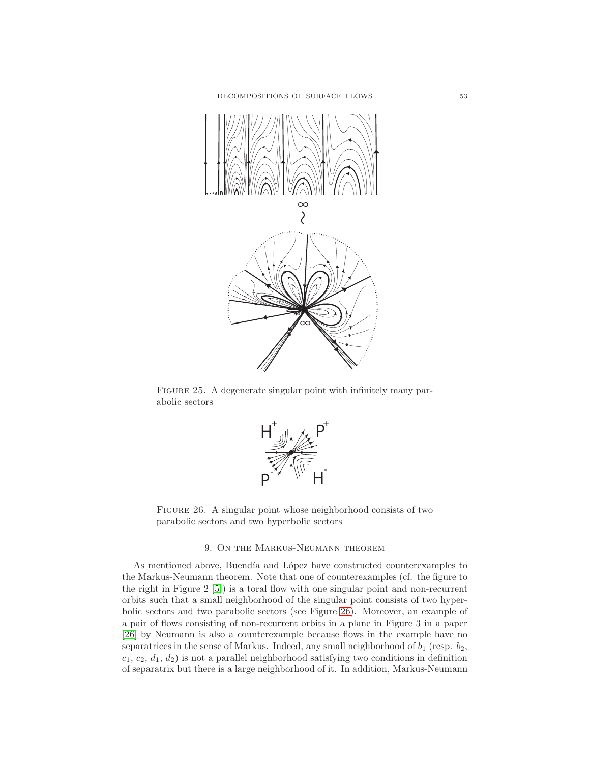

<span id="page-52-0"></span>FIGURE 25. A degenerate singular point with infinitely many parabolic sectors



FIGURE 26. A singular point whose neighborhood consists of two parabolic sectors and two hyperbolic sectors

# <span id="page-52-1"></span>9. On the Markus-Neumann theorem

As mentioned above, Buendía and López have constructed counterexamples to the Markus-Neumann theorem. Note that one of counterexamples (cf. the figure to the right in Figure 2 [\[5\]](#page-56-22)) is a toral flow with one singular point and non-recurrent orbits such that a small neighborhood of the singular point consists of two hyperbolic sectors and two parabolic sectors (see Figure [26\)](#page-52-1). Moreover, an example of a pair of flows consisting of non-recurrent orbits in a plane in Figure 3 in a paper [\[26\]](#page-56-20) by Neumann is also a counterexample because flows in the example have no separatrices in the sense of Markus. Indeed, any small neighborhood of  $b_1$  (resp.  $b_2$ ,  $c_1, c_2, d_1, d_2$  is not a parallel neighborhood satisfying two conditions in definition of separatrix but there is a large neighborhood of it. In addition, Markus-Neumann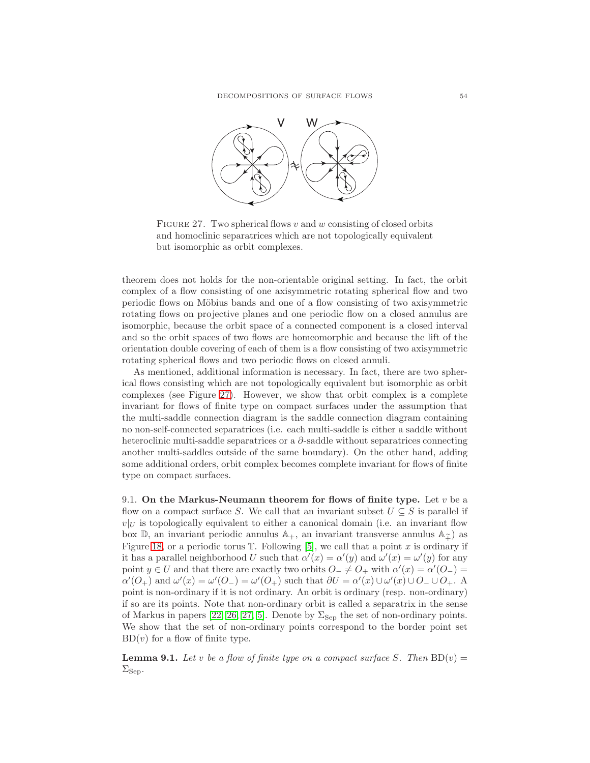

<span id="page-53-0"></span>FIGURE 27. Two spherical flows v and w consisting of closed orbits and homoclinic separatrices which are not topologically equivalent but isomorphic as orbit complexes.

theorem does not holds for the non-orientable original setting. In fact, the orbit complex of a flow consisting of one axisymmetric rotating spherical flow and two periodic flows on Möbius bands and one of a flow consisting of two axisymmetric rotating flows on projective planes and one periodic flow on a closed annulus are isomorphic, because the orbit space of a connected component is a closed interval and so the orbit spaces of two flows are homeomorphic and because the lift of the orientation double covering of each of them is a flow consisting of two axisymmetric rotating spherical flows and two periodic flows on closed annuli.

As mentioned, additional information is necessary. In fact, there are two spherical flows consisting which are not topologically equivalent but isomorphic as orbit complexes (see Figure [27\)](#page-53-0). However, we show that orbit complex is a complete invariant for flows of finite type on compact surfaces under the assumption that the multi-saddle connection diagram is the saddle connection diagram containing no non-self-connected separatrices (i.e. each multi-saddle is either a saddle without heteroclinic multi-saddle separatrices or a  $\partial$ -saddle without separatrices connecting another multi-saddles outside of the same boundary). On the other hand, adding some additional orders, orbit complex becomes complete invariant for flows of finite type on compact surfaces.

9.1. On the Markus-Neumann theorem for flows of finite type. Let  $v$  be a flow on a compact surface S. We call that an invariant subset  $U \subseteq S$  is parallel if  $v|_U$  is topologically equivalent to either a canonical domain (i.e. an invariant flow box  $\mathbb{D}$ , an invariant periodic annulus  $\mathbb{A}_+$ , an invariant transverse annulus  $\mathbb{A}_{\tilde{+}}$  as Figure [18,](#page-33-0) or a periodic torus  $\mathbb T$ . Following [\[5\]](#page-56-22), we call that a point x is ordinary if it has a parallel neighborhood U such that  $\alpha'(x) = \alpha'(y)$  and  $\omega'(x) = \omega'(y)$  for any point  $y \in U$  and that there are exactly two orbits  $O^- \neq O^+$  with  $\alpha'(x) = \alpha'(O^-) =$  $\alpha'(O_+)$  and  $\omega'(x) = \omega'(O_-) = \omega'(O_+)$  such that  $\partial U = \alpha'(x) \cup \omega'(x) \cup O_- \cup O_+$ . A point is non-ordinary if it is not ordinary. An orbit is ordinary (resp. non-ordinary) if so are its points. Note that non-ordinary orbit is called a separatrix in the sense of Markus in papers [\[22,](#page-56-19) [26,](#page-56-20) [27,](#page-56-21) [5\]](#page-56-22). Denote by  $\Sigma_{\text{Sep}}$  the set of non-ordinary points. We show that the set of non-ordinary points correspond to the border point set  $BD(v)$  for a flow of finite type.

**Lemma 9.1.** Let v be a flow of finite type on a compact surface S. Then  $BD(v) =$  $\Sigma_{\text{Sep}}$ .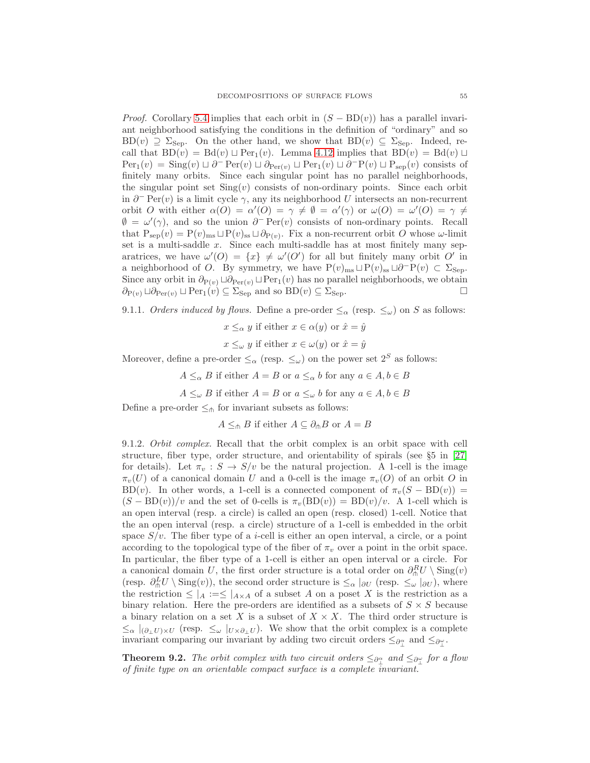*Proof.* Corollary [5.4](#page-35-0) implies that each orbit in  $(S - BD(v))$  has a parallel invariant neighborhood satisfying the conditions in the definition of "ordinary" and so  $BD(v) \supseteq \Sigma_{Sep}$ . On the other hand, we show that  $BD(v) \subseteq \Sigma_{Sep}$ . Indeed, recall that  $BD(v) = Bd(v) \sqcup Per_1(v)$ . Lemma [4.12](#page-22-0) implies that  $BD(v) = Bd(v) \sqcup$  $Per_1(v) = Sing(v) \sqcup \partial^-\operatorname{Per}(v) \sqcup \partial_{Per(v)} \sqcup Per_1(v) \sqcup \partial^-\operatorname{P}(v) \sqcup P_{sep}(v)$  consists of finitely many orbits. Since each singular point has no parallel neighborhoods, the singular point set  $\text{Sing}(v)$  consists of non-ordinary points. Since each orbit in  $\partial^-$  Per(v) is a limit cycle  $\gamma$ , any its neighborhood U intersects an non-recurrent orbit O with either  $\alpha(O) = \alpha'(O) = \gamma \neq \emptyset = \alpha'(\gamma)$  or  $\omega(O) = \omega'(O) = \gamma \neq \gamma$  $\emptyset = \omega'(\gamma)$ , and so the union  $\partial^-\text{Per}(v)$  consists of non-ordinary points. Recall that  $P_{sep}(v) = P(v)_{ms} \sqcup P(v)_{ss} \sqcup \partial_{P(v)}$ . Fix a non-recurrent orbit O whose  $\omega$ -limit set is a multi-saddle  $x$ . Since each multi-saddle has at most finitely many separatrices, we have  $\omega'(O) = \{x\} \neq \omega'(O')$  for all but finitely many orbit O' in a neighborhood of O. By symmetry, we have  $P(v)_{\text{ms}} \sqcup P(v)_{\text{ss}} \sqcup \partial^{-}P(v) \subset \Sigma_{\text{Sep}}$ . Since any orbit in  $\partial_{P(v)} \sqcup \partial_{Per(v)} \sqcup Per_1(v)$  has no parallel neighborhoods, we obtain  $\partial_{P(v)} \sqcup \partial_{Per(v)} \sqcup Per_1(v) \subseteq \Sigma_{Sep}$  and so  $BD(v) \subseteq \Sigma_{Sep}$ .

9.1.1. Orders induced by flows. Define a pre-order  $\leq_{\alpha}$  (resp.  $\leq_{\omega}$ ) on S as follows:

$$
x \leq_\alpha y
$$
 if either  $x \in \alpha(y)$  or  $\hat{x} = \hat{y}$ 

 $x \leq_{\omega} y$  if either  $x \in \omega(y)$  or  $\hat{x} = \hat{y}$ 

Moreover, define a pre-order  $\leq_\alpha$  (resp.  $\leq_\omega$ ) on the power set  $2^S$  as follows:

- $A \leq_{\alpha} B$  if either  $A = B$  or  $a \leq_{\alpha} b$  for any  $a \in A, b \in B$
- $A \leq_{\omega} B$  if either  $A = B$  or  $a \leq_{\omega} b$  for any  $a \in A, b \in B$

Define a pre-order  $\leq_{\pitchfork}$  for invariant subsets as follows:

 $A \leq_{\text{th}} B$  if either  $A \subseteq \partial_{\text{th}} B$  or  $A = B$ 

9.1.2. Orbit complex. Recall that the orbit complex is an orbit space with cell structure, fiber type, order structure, and orientability of spirals (see §5 in [\[27\]](#page-56-21) for details). Let  $\pi_v : S \to S/v$  be the natural projection. A 1-cell is the image  $\pi_v(U)$  of a canonical domain U and a 0-cell is the image  $\pi_v(O)$  of an orbit O in BD(v). In other words, a 1-cell is a connected component of  $\pi_v(S - BD(v)) =$  $(S - BD(v))/v$  and the set of 0-cells is  $\pi_v(BD(v)) = BD(v)/v$ . A 1-cell which is an open interval (resp. a circle) is called an open (resp. closed) 1-cell. Notice that the an open interval (resp. a circle) structure of a 1-cell is embedded in the orbit space  $S/v$ . The fiber type of a *i*-cell is either an open interval, a circle, or a point according to the topological type of the fiber of  $\pi_v$  over a point in the orbit space. In particular, the fiber type of a 1-cell is either an open interval or a circle. For a canonical domain U, the first order structure is a total order on  $\partial_{\theta}^{R}U \setminus \text{Sing}(v)$ (resp.  $\partial_{\phi}^{L}U \setminus \text{Sing}(v)$ ), the second order structure is  $\leq_{\alpha} |\partial U|$  (resp.  $\leq_{\omega} |\partial U|$ ), where the restriction  $\leq |A| := \leq |A \times A$  of a subset A on a poset X is the restriction as a binary relation. Here the pre-orders are identified as a subsets of  $S \times S$  because a binary relation on a set X is a subset of  $X \times X$ . The third order structure is  $\leq_{\alpha}|_{(\partial_{\perp}U)\times U}$  (resp.  $\leq_{\omega}|_{U\times \partial_{\perp}U}$ ). We show that the orbit complex is a complete invariant comparing our invariant by adding two circuit orders  $\leq_{\partial_{\perp}^{\alpha}}$  and  $\leq_{\partial_{\perp}^{\alpha}}$ .

<span id="page-54-0"></span>**Theorem 9.2.** The orbit complex with two circuit orders  $\leq_{\partial_{\mu}^{\alpha}}$  and  $\leq_{\partial_{\mu}^{\alpha}}$  for a flow of finite type on an orientable compact surface is a complete invariant.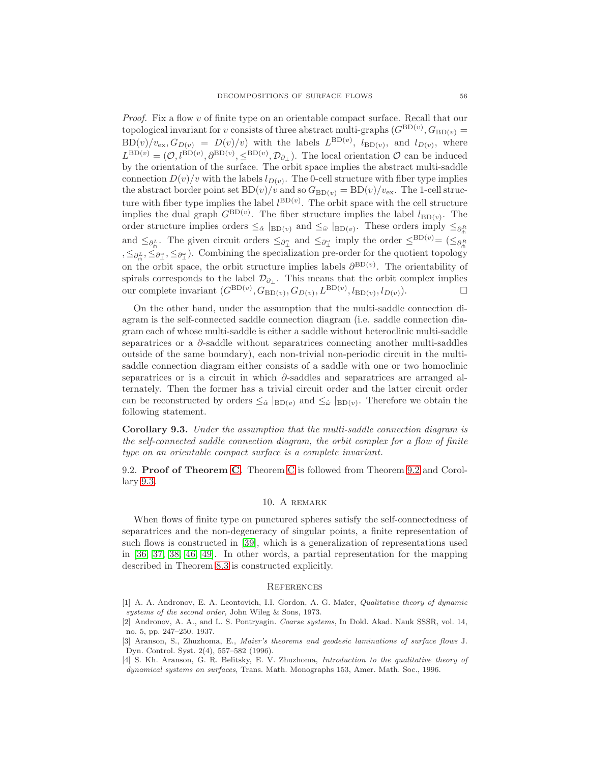Proof. Fix a flow v of finite type on an orientable compact surface. Recall that our topological invariant for v consists of three abstract multi-graphs  $(G^{BD(v)}, G_{BD(v)})$  $BD(v)/v_{\text{ex}}, G_{D(v)} = D(v)/v$  with the labels  $L^{BD(v)}$ ,  $l_{BD(v)}$ , and  $l_{D(v)}$ , where  $L^{\text{BD}(v)} = (0, l^{\text{BD}(v)}, \partial^{\text{BD}(v)}, \leq^{\text{BD}(v)}, \mathcal{D}_{\partial_\perp})$ . The local orientation  $\mathcal{O}$  can be induced by the orientation of the surface. The orbit space implies the abstract multi-saddle connection  $D(v)/v$  with the labels  $l_{D(v)}$ . The 0-cell structure with fiber type implies the abstract border point set  $BD(v)/v$  and so  $G_{BD(v)} = BD(v)/v_{ex}$ . The 1-cell structure with fiber type implies the label  $l^{BD(v)}$ . The orbit space with the cell structure implies the dual graph  $G^{\text{BD}(v)}$ . The fiber structure implies the label  $l_{\text{BD}(v)}$ . The order structure implies orders  $\leq_{\hat{\alpha}} \vert_{BD(v)}$  and  $\leq_{\hat{\omega}} \vert_{BD(v)}$ . These orders imply  $\leq_{\partial_{\hat{\beta}}}$ and  $\leq_{\partial_{\Pi}^L}$ . The given circuit orders  $\leq_{\partial_{\Pi}^{\alpha}}$  and  $\leq_{\partial_{\Pi}^{\alpha}}$  imply the order  $\leq^{BD(v)} = (\leq_{\partial_{\Pi}^R}$ ,  $\leq_{\partial_{\Pi}^L}$ ,  $\leq_{\partial_{\Pi}^{\alpha}}$ ,  $\leq_{\partial_{\Pi}^{\alpha}}$ . Combining the specialization pre-order for the quotient topology on the orbit space, the orbit structure implies labels  $\partial^{BD(v)}$ . The orientability of spirals corresponds to the label  $\mathcal{D}_{\partial_{\perp}}$ . This means that the orbit complex implies our complete invariant  $(G^{\text{BD}(v)}, G_{\text{BD}(v)}, G_{D(v)}, L^{\text{BD}(v)}, l_{\text{BD}(v)}, l_{D(v)})$ .

On the other hand, under the assumption that the multi-saddle connection diagram is the self-connected saddle connection diagram (i.e. saddle connection diagram each of whose multi-saddle is either a saddle without heteroclinic multi-saddle separatrices or a ∂-saddle without separatrices connecting another multi-saddles outside of the same boundary), each non-trivial non-periodic circuit in the multisaddle connection diagram either consists of a saddle with one or two homoclinic separatrices or is a circuit in which ∂-saddles and separatrices are arranged alternately. Then the former has a trivial circuit order and the latter circuit order can be reconstructed by orders  $\leq_{\hat{\alpha}} \vert_{BD(v)}$  and  $\leq_{\hat{\omega}} \vert_{BD(v)}$ . Therefore we obtain the following statement.

<span id="page-55-4"></span>Corollary 9.3. Under the assumption that the multi-saddle connection diagram is the self-connected saddle connection diagram, the orbit complex for a flow of finite type on an orientable compact surface is a complete invariant.

9.2. Proof of Theorem [C.](#page-5-0) Theorem [C](#page-5-0) is followed from Theorem [9.2](#page-54-0) and Corollary [9.3.](#page-55-4)

# 10. A remark

When flows of finite type on punctured spheres satisfy the self-connectedness of separatrices and the non-degeneracy of singular points, a finite representation of such flows is constructed in [\[39\]](#page-57-7), which is a generalization of representations used in [\[36,](#page-57-8) [37,](#page-57-9) [38,](#page-57-10) [46,](#page-57-11) [49\]](#page-57-12). In other words, a partial representation for the mapping described in Theorem [8.3](#page-51-0) is constructed explicitly.

#### **REFERENCES**

- <span id="page-55-0"></span>[1] A. A. Andronov, E. A. Leontovich, I.I. Gordon, A. G. Maĭer, Qualitative theory of dynamic systems of the second order, John Wileg & Sons, 1973.
- <span id="page-55-3"></span>[2] Andronov, A. A., and L. S. Pontryagin. Coarse systems, In Dokl. Akad. Nauk SSSR, vol. 14, no. 5, pp. 247–250. 1937.
- <span id="page-55-2"></span>[3] Aranson, S., Zhuzhoma, E., Maier's theorems and geodesic laminations of surface flows J. Dyn. Control. Syst. 2(4), 557–582 (1996).
- <span id="page-55-1"></span>[4] S. Kh. Aranson, G. R. Belitsky, E. V. Zhuzhoma, *Introduction to the qualitative theory of* dynamical systems on surfaces, Trans. Math. Monographs 153, Amer. Math. Soc., 1996.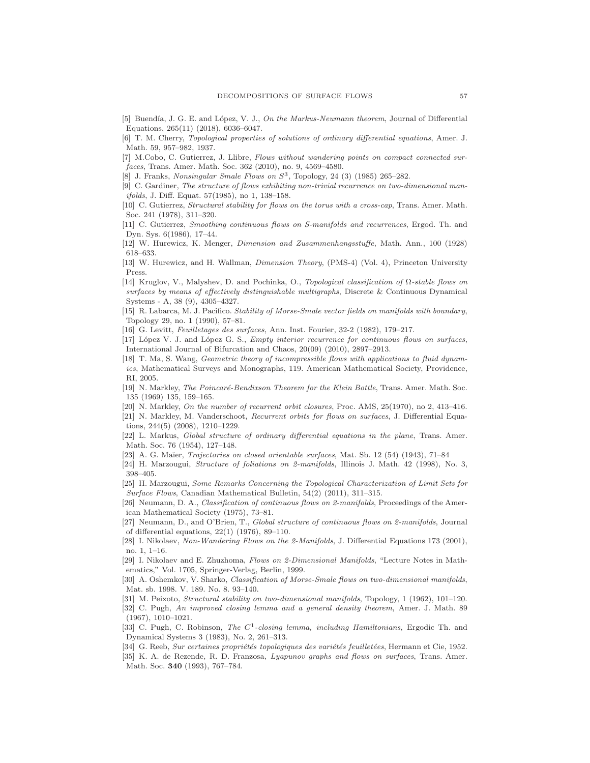- <span id="page-56-28"></span><span id="page-56-22"></span>[5] Buendía, J. G. E. and López, V. J., On the Markus-Neumann theorem, Journal of Differential Equations, 265(11) (2018), 6036–6047.
- [6] T. M. Cherry, Topological properties of solutions of ordinary differential equations, Amer. J. Math. 59, 957–982, 1937.
- <span id="page-56-27"></span>[7] M.Cobo, C. Gutierrez, J. Llibre, Flows without wandering points on compact connected surfaces, Trans. Amer. Math. Soc. 362 (2010), no. 9, 4569–4580.
- <span id="page-56-14"></span><span id="page-56-0"></span>[8] J. Franks, Nonsingular Smale Flows on  $S^3$ , Topology, 24 (3) (1985) 265-282.
- [9] C. Gardiner, The structure of flows exhibiting non-trivial recurrence on two-dimensional manifolds, J. Diff. Equat. 57(1985), no 1, 138–158.
- <span id="page-56-11"></span>[10] C. Gutierrez, Structural stability for flows on the torus with a cross-cap, Trans. Amer. Math. Soc. 241 (1978), 311–320.
- <span id="page-56-1"></span>[11] C. Gutierrez, Smoothing continuous flows on S-manifolds and recurrences, Ergod. Th. and Dyn. Sys. 6(1986), 17–44.
- <span id="page-56-25"></span><span id="page-56-24"></span>[12] W. Hurewicz, K. Menger, Dimension and Zusammenhangsstuffe, Math. Ann., 100 (1928) 618–633.
- <span id="page-56-17"></span>[13] W. Hurewicz, and H. Wallman, Dimension Theory, (PMS-4) (Vol. 4), Princeton University Press.
- [14] Kruglov, V., Malyshev, D. and Pochinka, O., Topological classification of Ω-stable flows on surfaces by means of effectively distinguishable multigraphs, Discrete & Continuous Dynamical Systems - A, 38 (9), 4305–4327.
- <span id="page-56-29"></span>[15] R. Labarca, M. J. Pacifico. Stability of Morse-Smale vector fields on manifolds with boundary, Topology 29, no. 1 (1990), 57–81.
- <span id="page-56-3"></span><span id="page-56-2"></span>[16] G. Levitt, Feuilletages des surfaces, Ann. Inst. Fourier, 32-2 (1982), 179–217.
- [17] López V. J. and López G. S., *Empty interior recurrence for continuous flows on surfaces*, International Journal of Bifurcation and Chaos, 20(09) (2010), 2897–2913.
- <span id="page-56-13"></span>[18] T. Ma, S. Wang, Geometric theory of incompressible flows with applications to fluid dynamics, Mathematical Surveys and Monographs, 119. American Mathematical Society, Providence, RI, 2005.
- <span id="page-56-12"></span>[19] N. Markley, The Poincaré-Bendixson Theorem for the Klein Bottle, Trans. Amer. Math. Soc. 135 (1969) 135, 159–165.
- <span id="page-56-26"></span><span id="page-56-7"></span>[20] N. Markley, On the number of recurrent orbit closures, Proc. AMS, 25(1970), no 2, 413-416. [21] N. Markley, M. Vanderschoot, Recurrent orbits for flows on surfaces, J. Differential Equa-
- <span id="page-56-19"></span>tions, 244(5) (2008), 1210–1229.
- [22] L. Markus, Global structure of ordinary differential equations in the plane, Trans. Amer. Math. Soc. 76 (1954), 127–148.
- <span id="page-56-6"></span>[23] A. G. Maĭer, *Trajectories on closed orientable surfaces*, Mat. Sb. 12 (54) (1943), 71–84
- <span id="page-56-4"></span>[24] H. Marzougui, Structure of foliations on 2-manifolds, Illinois J. Math. 42 (1998), No. 3, 398–405.
- [25] H. Marzougui, Some Remarks Concerning the Topological Characterization of Limit Sets for Surface Flows, Canadian Mathematical Bulletin, 54(2) (2011), 311–315.
- <span id="page-56-20"></span>[26] Neumann, D. A., Classification of continuous flows on 2-manifolds, Proceedings of the American Mathematical Society (1975), 73–81.
- <span id="page-56-21"></span>[27] Neumann, D., and O'Brien, T., Global structure of continuous flows on 2-manifolds, Journal of differential equations, 22(1) (1976), 89–110.
- <span id="page-56-18"></span>[28] I. Nikolaev, Non-Wandering Flows on the 2-Manifolds, J. Differential Equations 173 (2001), no. 1, 1–16.
- <span id="page-56-5"></span>[29] I. Nikolaev and E. Zhuzhoma, Flows on 2-Dimensional Manifolds, "Lecture Notes in Mathematics," Vol. 1705, Springer-Verlag, Berlin, 1999.
- <span id="page-56-16"></span>[30] A. Oshemkov, V. Sharko, Classification of Morse-Smale flows on two-dimensional manifolds, Mat. sb. 1998. V. 189. No. 8. 93–140.
- <span id="page-56-9"></span><span id="page-56-8"></span>[31] M. Peixoto, Structural stability on two-dimensional manifolds, Topology, 1 (1962), 101–120.
- [32] C. Pugh, An improved closing lemma and a general density theorem, Amer. J. Math. 89 (1967), 1010–1021.
- <span id="page-56-10"></span>[33] C. Pugh, C. Robinson, *The C*<sup>1</sup>-closing lemma, including Hamiltonians, Ergodic Th. and Dynamical Systems 3 (1983), No. 2, 261–313.
- <span id="page-56-23"></span><span id="page-56-15"></span>[34] G. Reeb, Sur certaines propriétés topologiques des variétés feuilletées, Hermann et Cie, 1952.
- [35] K. A. de Rezende, R. D. Franzosa, Lyapunov graphs and flows on surfaces, Trans. Amer. Math. Soc. 340 (1993), 767–784.